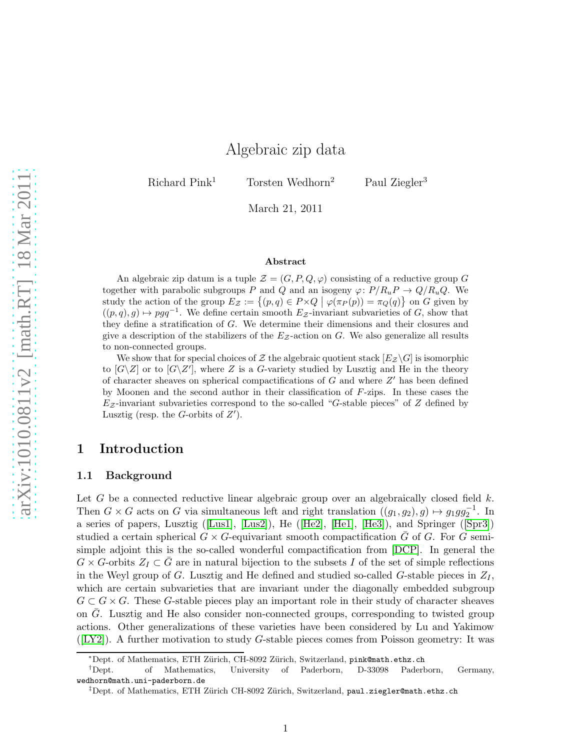# Algebraic zip data

Richard Pink<sup>1</sup> Torsten Wedhorn<sup>2</sup> Paul Ziegler<sup>3</sup>

March 21, 2011

#### Abstract

An algebraic zip datum is a tuple  $\mathcal{Z} = (G, P, Q, \varphi)$  consisting of a reductive group G together with parabolic subgroups P and Q and an isogeny  $\varphi: P/R_uP \to Q/R_uQ$ . We study the action of the group  $E_z := \{(p,q) \in P \times Q \mid \varphi(\pi_P(p)) = \pi_Q(q)\}$  on G given by  $((p, q), g) \mapsto p g q^{-1}$ . We define certain smooth  $E_Z$ -invariant subvarieties of G, show that they define a stratification of G. We determine their dimensions and their closures and give a description of the stabilizers of the  $E_z$ -action on G. We also generalize all results to non-connected groups.

We show that for special choices of Z the algebraic quotient stack  $[E_Z \setminus G]$  is isomorphic to  $[G\backslash Z]$  or to  $[G\backslash Z']$ , where Z is a G-variety studied by Lusztig and He in the theory of character sheaves on spherical compactifications of  $G$  and where  $Z'$  has been defined by Moonen and the second author in their classification of F-zips. In these cases the  $E_z$ -invariant subvarieties correspond to the so-called "G-stable pieces" of Z defined by Lusztig (resp. the *G*-orbits of  $Z'$ ).

### <span id="page-0-0"></span>1 Introduction

### 1.1 Background

Let G be a connected reductive linear algebraic group over an algebraically closed field  $k$ . Then  $G \times G$  acts on G via simultaneous left and right translation  $((g_1, g_2), g) \mapsto g_1gg_2^{-1}$ . In a series of papers, Lusztig([\[Lus1\]](#page-40-0), [\[Lus2\]](#page-40-1)), He([\[He2\]](#page-40-2), [\[He1\]](#page-40-3), [\[He3\]](#page-40-4)), and Springer([\[Spr3\]](#page-41-0)) studied a certain spherical  $G \times G$ -equivariant smooth compactification G of G. For G semisimple adjoint this is the so-called wonderful compactification from [\[DCP\]](#page-40-5). In general the  $G \times G$ -orbits  $Z_I \subset G$  are in natural bijection to the subsets I of the set of simple reflections in the Weyl group of G. Lusztig and He defined and studied so-called G-stable pieces in  $Z_I$ , which are certain subvarieties that are invariant under the diagonally embedded subgroup  $G \subset G \times G$ . These G-stable pieces play an important role in their study of character sheaves on  $\bar{G}$ . Lusztig and He also consider non-connected groups, corresponding to twisted group actions. Other generalizations of these varieties have been considered by Lu and Yakimow  $([LY2])$  $([LY2])$  $([LY2])$ . A further motivation to study G-stable pieces comes from Poisson geometry: It was

<sup>∗</sup>Dept. of Mathematics, ETH Z¨urich, CH-8092 Z¨urich, Switzerland, pink@math.ethz.ch

<sup>†</sup>Dept. of Mathematics, University of Paderborn, D-33098 Paderborn, Germany, wedhorn@math.uni-paderborn.de

 $^{\ddagger}$ Dept. of Mathematics, ETH Zürich CH-8092 Zürich, Switzerland, paul.ziegler@math.ethz.ch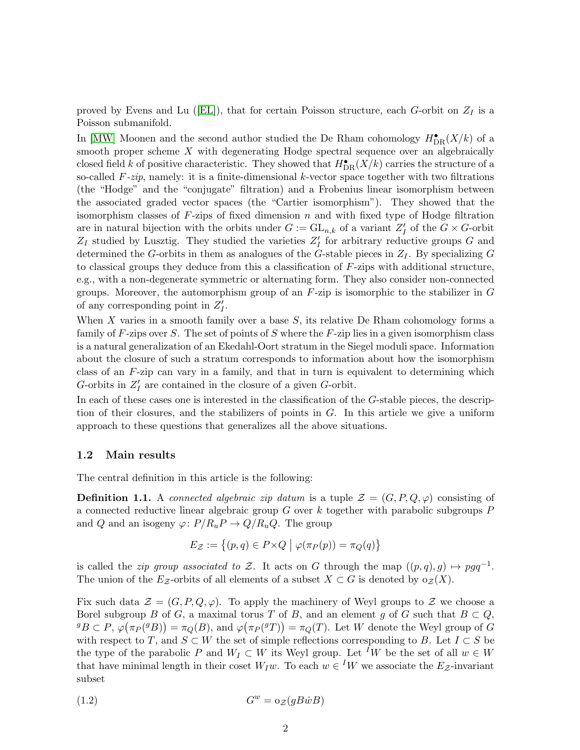provedby Evens and Lu ([\[EL\]](#page-40-7)), that for certain Poisson structure, each G-orbit on  $Z_I$  is a Poisson submanifold.

In [\[MW\]](#page-40-8) Moonen and the second author studied the De Rham cohomology  $H^{\bullet}_{\mathrm{DR}}(X/k)$  of a smooth proper scheme  $X$  with degenerating Hodge spectral sequence over an algebraically closed field k of positive characteristic. They showed that  $H^{\bullet}_{DR}(X/k)$  carries the structure of a so-called  $F\text{-}zip$ , namely: it is a finite-dimensional k-vector space together with two filtrations (the "Hodge" and the "conjugate" filtration) and a Frobenius linear isomorphism between the associated graded vector spaces (the "Cartier isomorphism"). They showed that the isomorphism classes of  $F$ -zips of fixed dimension  $n$  and with fixed type of Hodge filtration are in natural bijection with the orbits under  $G := GL_{n,k}$  of a variant  $Z'_{I}$  of the  $G \times G$ -orbit  $Z_I$  studied by Lusztig. They studied the varieties  $Z_I'$  for arbitrary reductive groups G and determined the G-orbits in them as analogues of the G-stable pieces in  $Z_I$ . By specializing G to classical groups they deduce from this a classification of  $F$ -zips with additional structure, e.g., with a non-degenerate symmetric or alternating form. They also consider non-connected groups. Moreover, the automorphism group of an  $F$ -zip is isomorphic to the stabilizer in  $G$ of any corresponding point in  $Z'_I$ .

When X varies in a smooth family over a base  $S$ , its relative De Rham cohomology forms a family of  $F$ -zips over  $S$ . The set of points of  $S$  where the  $F$ -zip lies in a given isomorphism class is a natural generalization of an Ekedahl-Oort stratum in the Siegel moduli space. Information about the closure of such a stratum corresponds to information about how the isomorphism class of an  $F$ -zip can vary in a family, and that in turn is equivalent to determining which G-orbits in  $Z'_I$  are contained in the closure of a given G-orbit.

In each of these cases one is interested in the classification of the G-stable pieces, the description of their closures, and the stabilizers of points in G. In this article we give a uniform approach to these questions that generalizes all the above situations.

#### 1.2 Main results

The central definition in this article is the following:

**Definition 1.1.** A connected algebraic zip datum is a tuple  $\mathcal{Z} = (G, P, Q, \varphi)$  consisting of a connected reductive linear algebraic group  $G$  over  $k$  together with parabolic subgroups  $P$ and Q and an isogeny  $\varphi: P/R_uP \to Q/R_uQ$ . The group

$$
E_{\mathcal{Z}} := \{ (p, q) \in P \times Q \mid \varphi(\pi_P(p)) = \pi_Q(q) \}
$$

is called the *zip group associated to* Z. It acts on G through the map  $((p,q), g) \mapsto pgq^{-1}$ . The union of the Ez-orbits of all elements of a subset  $X \subset G$  is denoted by  $o_{\mathcal{Z}}(X)$ .

Fix such data  $\mathcal{Z} = (G, P, Q, \varphi)$ . To apply the machinery of Weyl groups to  $\mathcal{Z}$  we choose a Borel subgroup B of G, a maximal torus T of B, and an element g of G such that  $B \subset Q$ ,  ${}^gB \subset P$ ,  $\varphi(\pi_P({}^gB)) = \pi_Q(B)$ , and  $\varphi(\pi_P({}^gT)) = \pi_Q(T)$ . Let W denote the Weyl group of G with respect to T, and  $S \subset W$  the set of simple reflections corresponding to B. Let  $I \subset S$  be the type of the parabolic P and  $W_I \subset W$  its Weyl group. Let <sup>I</sup>W be the set of all  $w \in W$ that have minimal length in their coset  $W_I w$ . To each  $w \in {}^I W$  we associate the  $E_{\mathcal{Z}}$ -invariant subset

$$
(1.2)\t\t\t G^w = o_{\mathcal{Z}}(gB\dot{w}B)
$$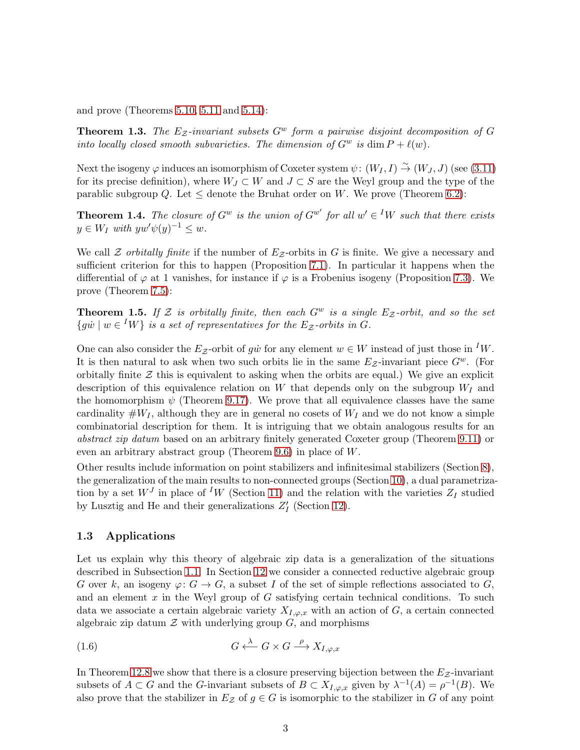and prove (Theorems [5.10,](#page-17-0) [5.11](#page-17-1) and [5.14\)](#page-18-0):

<span id="page-2-1"></span>**Theorem 1.3.** The  $E_z$ -invariant subsets  $G^w$  form a pairwise disjoint decomposition of G into locally closed smooth subvarieties. The dimension of  $G^w$  is dim  $P + \ell(w)$ .

Next the isogeny  $\varphi$  induces an isomorphism of Coxeter system  $\psi$ :  $(W_I, I) \stackrel{\sim}{\to} (W_J, J)$  (see [\(3.11\)](#page-10-0) for its precise definition), where  $W_J \subset W$  and  $J \subset S$  are the Weyl group and the type of the parablic subgroup Q. Let  $\leq$  denote the Bruhat order on W. We prove (Theorem [6.2\)](#page-19-0):

<span id="page-2-0"></span>**Theorem 1.4.** The closure of  $G^w$  is the union of  $G^{w'}$  for all  $w' \in {}^I W$  such that there exists  $y \in W_I$  with  $yw'\psi(y)^{-1} \leq w$ .

We call  $\mathcal Z$  orbitally finite if the number of  $E_{\mathcal Z}$ -orbits in G is finite. We give a necessary and sufficient criterion for this to happen (Proposition [7.1\)](#page-21-0). In particular it happens when the differential of  $\varphi$  at 1 vanishes, for instance if  $\varphi$  is a Frobenius isogeny (Proposition [7.3\)](#page-22-0). We prove (Theorem [7.5\)](#page-22-1):

<span id="page-2-2"></span>**Theorem 1.5.** If Z is orbitally finite, then each  $G^w$  is a single  $E_z$ -orbit, and so the set  $\{g\dot{w} \mid w \in {}^I W\}$  is a set of representatives for the E<sub>Z</sub>-orbits in G.

One can also consider the  $E_z$ -orbit of gw for any element  $w \in W$  instead of just those in <sup>I</sup>W. It is then natural to ask when two such orbits lie in the same  $E_{\mathcal{Z}}$ -invariant piece  $G^w$ . (For orbitally finite  $\mathcal Z$  this is equivalent to asking when the orbits are equal.) We give an explicit description of this equivalence relation on W that depends only on the subgroup  $W_I$  and the homomorphism  $\psi$  (Theorem [9.17\)](#page-27-0). We prove that all equivalence classes have the same cardinality  $\#W_I$ , although they are in general no cosets of  $W_I$  and we do not know a simple combinatorial description for them. It is intriguing that we obtain analogous results for an abstract zip datum based on an arbitrary finitely generated Coxeter group (Theorem [9.11\)](#page-25-0) or even an arbitrary abstract group (Theorem [9.6\)](#page-24-0) in place of W.

Other results include information on point stabilizers and infinitesimal stabilizers (Section [8\)](#page-22-2), the generalization of the main results to non-connected groups (Section [10\)](#page-28-0), a dual parametrization by a set  $W<sup>J</sup>$  in place of <sup>I</sup>W (Section [11\)](#page-30-0) and the relation with the varieties  $Z<sub>I</sub>$  studied by Lusztig and He and their generalizations  $Z'_I$  (Section [12\)](#page-33-0).

#### <span id="page-2-3"></span>1.3 Applications

Let us explain why this theory of algebraic zip data is a generalization of the situations described in Subsection [1.1.](#page-0-0) In Section [12](#page-33-0) we consider a connected reductive algebraic group G over k, an isogeny  $\varphi: G \to G$ , a subset I of the set of simple reflections associated to G, and an element  $x$  in the Weyl group of  $G$  satisfying certain technical conditions. To such data we associate a certain algebraic variety  $X_{I,\varphi,x}$  with an action of G, a certain connected algebraic zip datum  $\mathcal Z$  with underlying group  $G$ , and morphisms

$$
(1.6) \tG \xleftarrow{\lambda} G \times G \xrightarrow{\rho} X_{I,\varphi,x}
$$

In Theorem 12.8 we show that there is a closure preserving bijection between the  $E_z$ -invariant subsets of  $A \subset G$  and the G-invariant subsets of  $B \subset X_{I,\varphi,x}$  given by  $\lambda^{-1}(A) = \rho^{-1}(B)$ . We also prove that the stabilizer in  $E_z$  of  $g \in G$  is isomorphic to the stabilizer in G of any point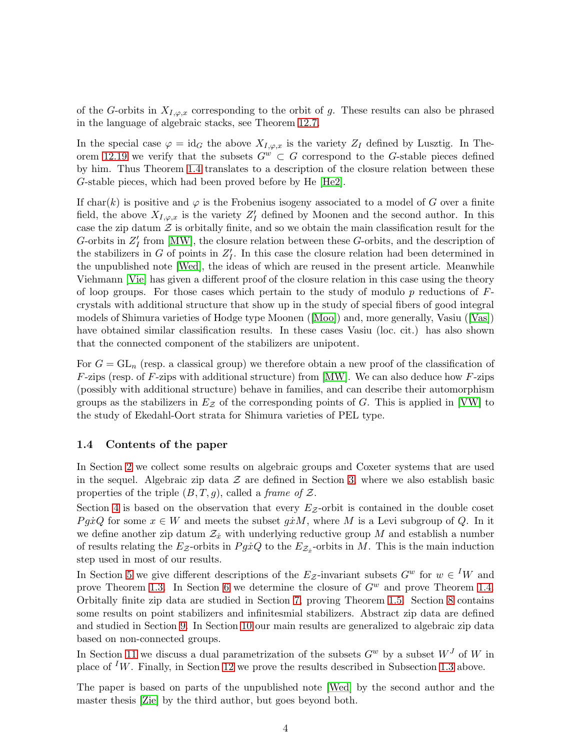of the G-orbits in  $X_{I,\varphi,x}$  corresponding to the orbit of g. These results can also be phrased in the language of algebraic stacks, see Theorem [12.7.](#page-35-0)

In the special case  $\varphi = id_G$  the above  $X_{I,\varphi,x}$  is the variety  $Z_I$  defined by Lusztig. In The-orem [12.19](#page-39-0) we verify that the subsets  $G^w \subset G$  correspond to the G-stable pieces defined by him. Thus Theorem [1.4](#page-2-0) translates to a description of the closure relation between these G-stable pieces, which had been proved before by He [\[He2\]](#page-40-2).

If char(k) is positive and  $\varphi$  is the Frobenius isogeny associated to a model of G over a finite field, the above  $X_{I,\varphi,x}$  is the variety  $Z'_I$  defined by Moonen and the second author. In this case the zip datum  $\mathcal Z$  is orbitally finite, and so we obtain the main classification result for the G-orbits in  $Z'_I$  from [\[MW\]](#page-40-8), the closure relation between these G-orbits, and the description of the stabilizers in G of points in  $Z'_I$ . In this case the closure relation had been determined in the unpublished note [\[Wed\]](#page-41-1), the ideas of which are reused in the present article. Meanwhile Viehmann [\[Vie\]](#page-41-2) has given a different proof of the closure relation in this case using the theory of loop groups. For those cases which pertain to the study of modulo  $p$  reductions of  $F$ crystals with additional structure that show up in the study of special fibers of good integral models of Shimura varieties of Hodge type Moonen([\[Moo\]](#page-40-9)) and, more generally, Vasiu([\[Vas\]](#page-41-3)) have obtained similar classification results. In these cases Vasiu (loc. cit.) has also shown that the connected component of the stabilizers are unipotent.

For  $G = GL_n$  (resp. a classical group) we therefore obtain a new proof of the classification of  $F\text{-zips}$  (resp. of F-zips with additional structure) from [\[MW\]](#page-40-8). We can also deduce how F-zips (possibly with additional structure) behave in families, and can describe their automorphism groups as the stabilizers in  $E_z$  of the corresponding points of G. This is applied in [\[VW\]](#page-41-4) to the study of Ekedahl-Oort strata for Shimura varieties of PEL type.

### 1.4 Contents of the paper

In Section [2](#page-4-0) we collect some results on algebraic groups and Coxeter systems that are used in the sequel. Algebraic zip data  $\mathcal Z$  are defined in Section [3,](#page-9-0) where we also establish basic properties of the triple  $(B, T, g)$ , called a *frame of*  $\mathcal{Z}$ .

Section [4](#page-11-0) is based on the observation that every  $E<sub>z</sub>$ -orbit is contained in the double coset *PgxQ* for some  $x \in W$  and meets the subset  $g x M$ , where M is a Levi subgroup of Q. In it we define another zip datum  $\mathcal{Z}_x$  with underlying reductive group M and establish a number of results relating the  $E_z$ -orbits in  $Pg\dot{x}Q$  to the  $E_{\mathcal{Z}_{\dot{x}}}$ -orbits in M. This is the main induction step used in most of our results.

In Section [5](#page-15-0) we give different descriptions of the  $E_z$ -invariant subsets  $G^w$  for  $w \in {}^I W$  and prove Theorem [1.3.](#page-2-1) In Section [6](#page-18-1) we determine the closure of  $G^w$  and prove Theorem [1.4.](#page-2-0) Orbitally finite zip data are studied in Section [7,](#page-21-1) proving Theorem [1.5.](#page-2-2) Section [8](#page-22-2) contains some results on point stabilizers and infinitesmial stabilizers. Abstract zip data are defined and studied in Section [9.](#page-23-0) In Section [10](#page-28-0) our main results are generalized to algebraic zip data based on non-connected groups.

In Section [11](#page-30-0) we discuss a dual parametrization of the subsets  $G^w$  by a subset  $W^J$  of W in place of <sup>I</sup>W. Finally, in Section [12](#page-33-0) we prove the results described in Subsection [1.3](#page-2-3) above.

The paper is based on parts of the unpublished note [\[Wed\]](#page-41-1) by the second author and the master thesis [\[Zie\]](#page-41-5) by the third author, but goes beyond both.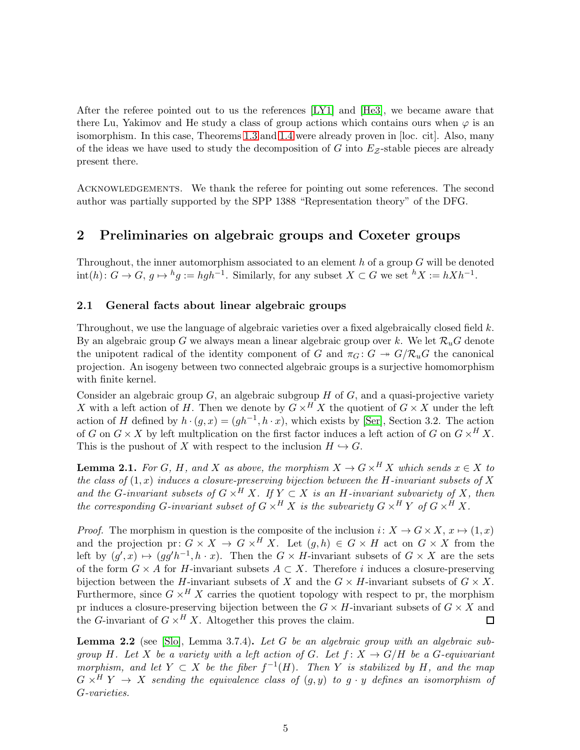After the referee pointed out to us the references [\[LY1\]](#page-40-10) and [\[He3\]](#page-40-4), we became aware that there Lu, Yakimov and He study a class of group actions which contains ours when  $\varphi$  is an isomorphism. In this case, Theorems [1.3](#page-2-1) and [1.4](#page-2-0) were already proven in [loc. cit]. Also, many of the ideas we have used to study the decomposition of  $G$  into  $E_z$ -stable pieces are already present there.

ACKNOWLEDGEMENTS. We thank the referee for pointing out some references. The second author was partially supported by the SPP 1388 "Representation theory" of the DFG.

### <span id="page-4-0"></span>2 Preliminaries on algebraic groups and Coxeter groups

Throughout, the inner automorphism associated to an element  $h$  of a group  $G$  will be denoted  $\text{int}(h): G \to G, g \mapsto {}^h g := hgh^{-1}$ . Similarly, for any subset  $X \subset G$  we set  ${}^h X := hXh^{-1}$ .

### 2.1 General facts about linear algebraic groups

Throughout, we use the language of algebraic varieties over a fixed algebraically closed field k. By an algebraic group G we always mean a linear algebraic group over k. We let  $\mathcal{R}_u$  denote the unipotent radical of the identity component of G and  $\pi_G: G \to G/R_uG$  the canonical projection. An isogeny between two connected algebraic groups is a surjective homomorphism with finite kernel.

Consider an algebraic group  $G$ , an algebraic subgroup  $H$  of  $G$ , and a quasi-projective variety X with a left action of H. Then we denote by  $G \times^H X$  the quotient of  $G \times X$  under the left action of H defined by  $h \cdot (g, x) = (gh^{-1}, h \cdot x)$ , which exists by [\[Ser\]](#page-41-6), Section 3.2. The action of G on  $G \times X$  by left multplication on the first factor induces a left action of G on  $G \times^H X$ . This is the pushout of X with respect to the inclusion  $H \hookrightarrow G$ .

<span id="page-4-2"></span>**Lemma 2.1.** For G, H, and X as above, the morphism  $X \to G \times^H X$  which sends  $x \in X$  to the class of  $(1, x)$  induces a closure-preserving bijection between the H-invariant subsets of X and the G-invariant subsets of  $G \times^H X$ . If  $Y \subset X$  is an H-invariant subvariety of X, then the corresponding G-invariant subset of  $G \times^H X$  is the subvariety  $G \times^H Y$  of  $G \times^H X$ .

*Proof.* The morphism in question is the composite of the inclusion  $i: X \to G \times X$ ,  $x \mapsto (1, x)$ and the projection pr:  $G \times X \to G \times^H X$ . Let  $(g, h) \in G \times H$  act on  $G \times X$  from the left by  $(g', x) \mapsto (gg'h^{-1}, h \cdot x)$ . Then the  $G \times H$ -invariant subsets of  $G \times X$  are the sets of the form  $G \times A$  for H-invariant subsets  $A \subset X$ . Therefore i induces a closure-preserving bijection between the H-invariant subsets of X and the  $G \times H$ -invariant subsets of  $G \times X$ . Furthermore, since  $G \times^H X$  carries the quotient topology with respect to pr, the morphism pr induces a closure-preserving bijection between the  $G \times H$ -invariant subsets of  $G \times X$  and the G-invariant of  $G \times^H X$ . Altogether this proves the claim.  $\Box$ 

<span id="page-4-1"></span>**Lemma 2.2** (see [\[Slo\]](#page-41-7), Lemma 3.7.4). Let G be an algebraic group with an algebraic subgroup H. Let X be a variety with a left action of G. Let  $f: X \to G/H$  be a G-equivariant morphism, and let  $Y \subset X$  be the fiber  $f^{-1}(H)$ . Then Y is stabilized by H, and the map  $G \times^H Y \rightarrow X$  sending the equivalence class of  $(g, y)$  to  $g \cdot y$  defines an isomorphism of G-varieties.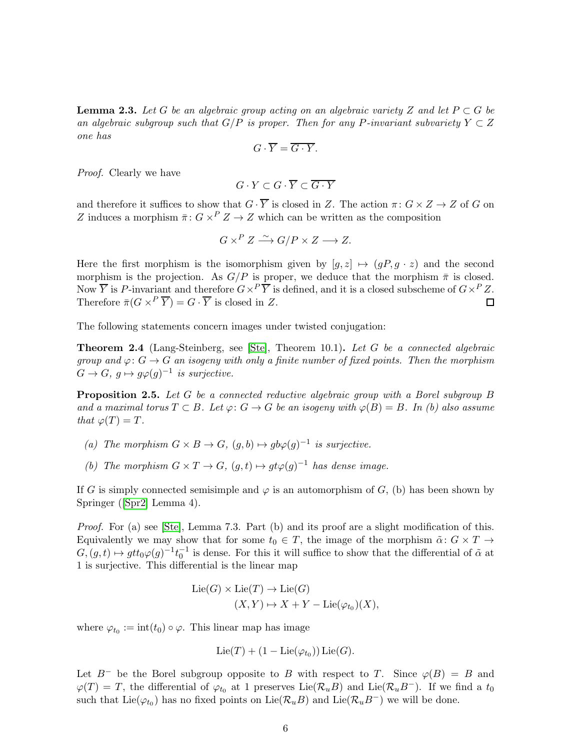<span id="page-5-1"></span>**Lemma 2.3.** Let G be an algebraic group acting on an algebraic variety Z and let  $P \subset G$  be an algebraic subgroup such that  $G/P$  is proper. Then for any P-invariant subvariety  $Y \subset Z$ one has

$$
G\cdot \overline{Y}=\overline{G\cdot Y}.
$$

Proof. Clearly we have

$$
G \cdot Y \subset G \cdot \overline{Y} \subset \overline{G \cdot Y}
$$

and therefore it suffices to show that  $G \cdot \overline{Y}$  is closed in Z. The action  $\pi \colon G \times Z \to Z$  of G on Z induces a morphism  $\bar{\pi}$ :  $G \times^P Z \to Z$  which can be written as the composition

$$
G \times^P Z \xrightarrow{\sim} G/P \times Z \longrightarrow Z.
$$

Here the first morphism is the isomorphism given by  $[g, z] \mapsto (gP, g \cdot z)$  and the second morphism is the projection. As  $G/P$  is proper, we deduce that the morphism  $\bar{\pi}$  is closed. Now  $\overline{Y}$  is P-invariant and therefore  $G \times^P \overline{Y}$  is defined, and it is a closed subscheme of  $G \times^P Z$ . Therefore  $\bar{\pi} (G \times^P \overline{Y}) = G \cdot \overline{Y}$  is closed in Z. 口

The following statements concern images under twisted conjugation:

<span id="page-5-2"></span>**Theorem 2.4** (Lang-Steinberg, see [\[Ste\]](#page-41-8), Theorem 10.1). Let G be a connected algebraic group and  $\varphi: G \to G$  an isogeny with only a finite number of fixed points. Then the morphism  $G \to G$ ,  $g \mapsto g\varphi(g)^{-1}$  is surjective.

<span id="page-5-0"></span>Proposition 2.5. Let G be a connected reductive algebraic group with a Borel subgroup B and a maximal torus  $T \subset B$ . Let  $\varphi: G \to G$  be an isogeny with  $\varphi(B) = B$ . In (b) also assume that  $\varphi(T) = T$ .

- (a) The morphism  $G \times B \to G$ ,  $(g, b) \mapsto gb\varphi(g)^{-1}$  is surjective.
- (b) The morphism  $G \times T \to G$ ,  $(g,t) \mapsto gt\varphi(g)^{-1}$  has dense image.

If G is simply connected semisimple and  $\varphi$  is an automorphism of G, (b) has been shown by Springer([\[Spr2\]](#page-41-9) Lemma 4).

Proof. For (a) see [\[Ste\]](#page-41-8), Lemma 7.3. Part (b) and its proof are a slight modification of this. Equivalently we may show that for some  $t_0 \in T$ , the image of the morphism  $\tilde{\alpha}: G \times T \to$  $G,(g,t) \mapsto gtt_0\varphi(g)^{-1}t_0^{-1}$  is dense. For this it will suffice to show that the differential of  $\tilde{\alpha}$  at 1 is surjective. This differential is the linear map

$$
Lie(G) \times Lie(T) \to Lie(G)
$$
  

$$
(X, Y) \mapsto X + Y - Lie(\varphi_{t_0})(X),
$$

where  $\varphi_{t_0} := \text{int}(t_0) \circ \varphi$ . This linear map has image

$$
\mathrm{Lie}(T)+(1-\mathrm{Lie}(\varphi_{t_0}))\,\mathrm{Lie}(G).
$$

Let  $B^-$  be the Borel subgroup opposite to B with respect to T. Since  $\varphi(B) = B$  and  $\varphi(T) = T$ , the differential of  $\varphi_{t_0}$  at 1 preserves Lie( $\mathcal{R}_u B$ ) and Lie( $\mathcal{R}_u B^-$ ). If we find a  $t_0$ such that  $Lie(\varphi_{t_0})$  has no fixed points on  $Lie(\mathcal{R}_u B)$  and  $Lie(\mathcal{R}_u B^-)$  we will be done.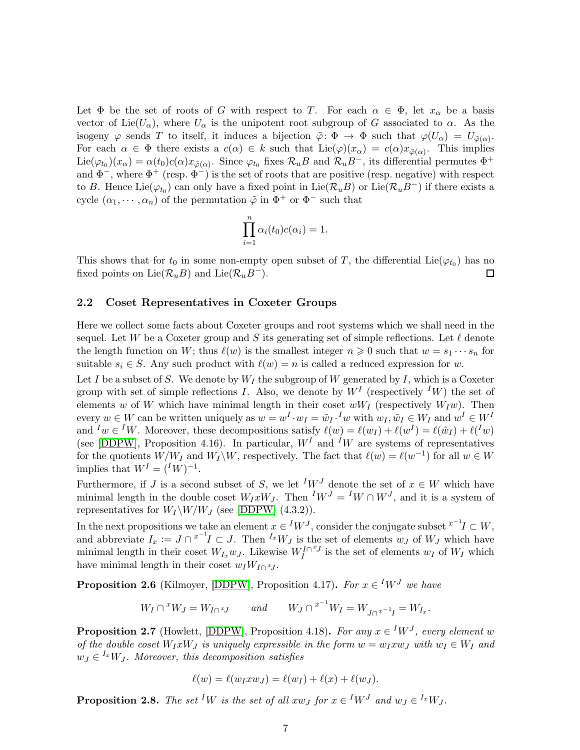Let  $\Phi$  be the set of roots of G with respect to T. For each  $\alpha \in \Phi$ , let  $x_{\alpha}$  be a basis vector of Lie( $U_{\alpha}$ ), where  $U_{\alpha}$  is the unipotent root subgroup of G associated to  $\alpha$ . As the isogeny  $\varphi$  sends T to itself, it induces a bijection  $\tilde{\varphi} \colon \Phi \to \Phi$  such that  $\varphi(U_\alpha) = U_{\tilde{\varphi}(\alpha)}$ . For each  $\alpha \in \Phi$  there exists a  $c(\alpha) \in k$  such that  $\text{Lie}(\varphi)(x_\alpha) = c(\alpha)x_{\tilde{\varphi}(\alpha)}$ . This implies  $\text{Lie}(\varphi_{t_0})(x_\alpha) = \alpha(t_0)c(\alpha)x_{\tilde{\varphi}(\alpha)}$ . Since  $\varphi_{t_0}$  fixes  $\mathcal{R}_u B$  and  $\mathcal{R}_u B^-$ , its differential permutes  $\Phi^+$ and  $\Phi^-$ , where  $\Phi^+$  (resp.  $\Phi^-$ ) is the set of roots that are positive (resp. negative) with respect to B. Hence Lie( $\varphi_{t_0}$ ) can only have a fixed point in Lie( $\mathcal{R}_u$ B) or Lie( $\mathcal{R}_u$ B<sup>-</sup>) if there exists a cycle  $(\alpha_1, \dots, \alpha_n)$  of the permutation  $\tilde{\varphi}$  in  $\Phi^+$  or  $\Phi^-$  such that

$$
\prod_{i=1}^{n} \alpha_i(t_0)c(\alpha_i) = 1.
$$

This shows that for  $t_0$  in some non-empty open subset of T, the differential Lie( $\varphi_{t_0}$ ) has no fixed points on Lie( $\mathcal{R}_u B$ ) and Lie( $\mathcal{R}_u B^-$ ). □

#### 2.2 Coset Representatives in Coxeter Groups

Here we collect some facts about Coxeter groups and root systems which we shall need in the sequel. Let W be a Coxeter group and S its generating set of simple reflections. Let  $\ell$  denote the length function on W; thus  $\ell(w)$  is the smallest integer  $n \geq 0$  such that  $w = s_1 \cdots s_n$  for suitable  $s_i \in S$ . Any such product with  $\ell(w) = n$  is called a reduced expression for w.

Let I be a subset of S. We denote by  $W_I$  the subgroup of W generated by I, which is a Coxeter group with set of simple reflections I. Also, we denote by  $W^I$  (respectively  $^I W$ ) the set of elements w of W which have minimal length in their coset  $wW_I$  (respectively  $W_I w$ ). Then every  $w \in W$  can be written uniquely as  $w = w^I \cdot w_I = \tilde{w}_I \cdot^I w$  with  $w_I, \tilde{w}_I \in W_I$  and  $w^I \in W^I$ and  $^I w \in {}^I W$ . Moreover, these decompositions satisfy  $\ell(w) = \ell(w_I) + \ell(w^I) = \ell(\tilde{w}_I) + \ell({}^I w)$ (see [\[DDPW\]](#page-40-11), Proposition 4.16). In particular,  $W<sup>I</sup>$  and <sup>I</sup>W are systems of representatives for the quotients  $W/W_I$  and  $W_I \backslash W$ , respectively. The fact that  $\ell(w) = \ell(w^{-1})$  for all  $w \in W$ implies that  $W^I = ({}^I W)^{-1}$ .

Furthermore, if J is a second subset of S, we let <sup>I</sup>W<sup>J</sup> denote the set of  $x \in W$  which have minimal length in the double coset  $W_I x W_J$ . Then  $^I W^J = {^I} W \cap W^J$ , and it is a system of representatives for  $W_I \backslash W/W_J$  (see [\[DDPW\]](#page-40-11) (4.3.2)).

In the next propositions we take an element  $x \in {^I}W^J,$  consider the conjugate subset  ${}^{x^{-1}}I \subset W,$ and abbreviate  $I_x := J \cap {}^{x^{-1}}I \subset J$ . Then  ${}^{I_x}W_J$  is the set of elements  $w_J$  of  $W_J$  which have minimal length in their coset  $W_{I_x}w_J$ . Likewise  $W_I^{\Gamma \cap {x_J}}$  is the set of elements  $w_I$  of  $W_I$  which have minimal length in their coset  $w_I W_{I \cap {}^xJ}$ .

<span id="page-6-2"></span>**Proposition 2.6** (Kilmoyer, [\[DDPW\]](#page-40-11), Proposition 4.17). For  $x \in {^I}W^J$  we have

 $W_I \cap {}^x W_J = W_{I \cap {}^x J}$  and  $W_J \cap {}^{x^{-1}} W_I = W_{J \cap {}^{x^{-1}}I} = W_{I_x}$ .

<span id="page-6-0"></span>**Proposition 2.7** (Howlett, [\[DDPW\]](#page-40-11), Proposition 4.18). For any  $x \in {^I}W^J$ , every element w of the double coset  $W_I x W_J$  is uniquely expressible in the form  $w = w_I x w_J$  with  $w_I \in W_I$  and  $w_J \in {}^{I_x}W_J$ . Moreover, this decomposition satisfies

$$
\ell(w) = \ell(w_I x w_J) = \ell(w_I) + \ell(x) + \ell(w_J).
$$

<span id="page-6-1"></span>**Proposition 2.8.** The set <sup>I</sup>W is the set of all  $xw_J$  for  $x \in {}^I W^J$  and  $w_J \in {}^{I_x} W_J$ .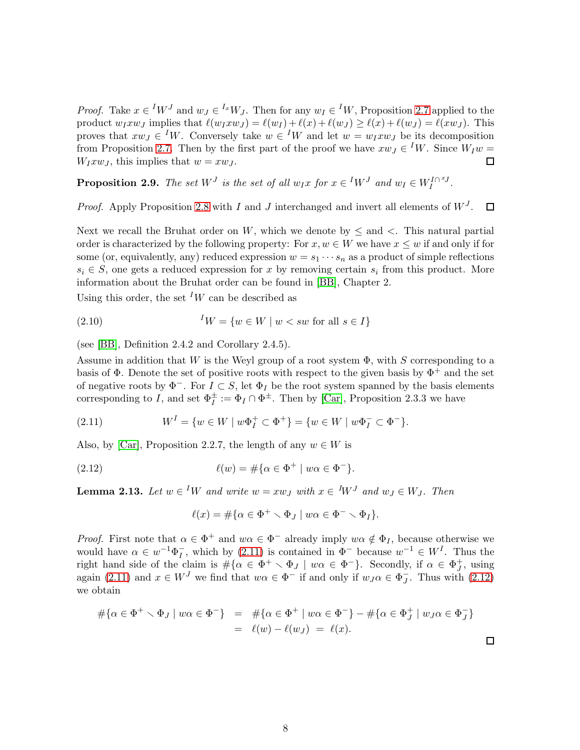*Proof.* Take  $x \in {}^I W^J$  and  $w_J \in {}^{I_x} W_J$ . Then for any  $w_I \in {}^I W$ , Proposition [2.7](#page-6-0) applied to the product  $w_I x w_J$  implies that  $\ell(w_I x w_J) = \ell(w_I) + \ell(x) + \ell(w_J) \geq \ell(x) + \ell(w_J) = \ell(x w_J)$ . This proves that  $xw_J \in {}^I W$ . Conversely take  $w \in {}^I W$  and let  $w = w_I xw_J$  be its decomposition from Proposition [2.7.](#page-6-0) Then by the first part of the proof we have  $xw_J \in {}^I W$ . Since  $W_I w =$  $W_I x w_J$ , this implies that  $w = x w_J$ .  $\Box$ 

<span id="page-7-3"></span>**Proposition 2.9.** The set  $W<sup>J</sup>$  is the set of all  $w_I x$  for  $x \in {}^I W<sup>J</sup>$  and  $w_I \in W_I^{I \cap {^xJ}}$ .

*Proof.* Apply Proposition [2.8](#page-6-1) with I and J interchanged and invert all elements of  $W<sup>J</sup>$ .  $\Box$ 

Next we recall the Bruhat order on W, which we denote by  $\leq$  and  $\lt$ . This natural partial order is characterized by the following property: For  $x, w \in W$  we have  $x \leq w$  if and only if for some (or, equivalently, any) reduced expression  $w = s_1 \cdots s_n$  as a product of simple reflections  $s_i \in S$ , one gets a reduced expression for x by removing certain  $s_i$  from this product. More information about the Bruhat order can be found in [\[BB\]](#page-40-12), Chapter 2.

Using this order, the set <sup>I</sup>W can be described as

$$
(2.10) \t\t\t ${}^{I}W = \{ w \in W \mid w < sw \text{ for all } s \in I \}$
$$

(see [\[BB\]](#page-40-12), Definition 2.4.2 and Corollary 2.4.5).

Assume in addition that W is the Weyl group of a root system  $\Phi$ , with S corresponding to a basis of  $\Phi$ . Denote the set of positive roots with respect to the given basis by  $\Phi^+$  and the set of negative roots by  $\Phi^-$ . For  $I \subset S$ , let  $\Phi_I$  be the root system spanned by the basis elements corresponding to I, and set  $\Phi_I^{\pm} := \Phi_I \cap \Phi^{\pm}$ . Then by [\[Car\]](#page-40-13), Proposition 2.3.3 we have

<span id="page-7-0"></span>(2.11) 
$$
W^{I} = \{ w \in W \mid w\Phi_{I}^{+} \subset \Phi^{+} \} = \{ w \in W \mid w\Phi_{I}^{-} \subset \Phi^{-} \}.
$$

Also, by [\[Car\]](#page-40-13), Proposition 2.2.7, the length of any  $w \in W$  is

(2.12) 
$$
\ell(w) = \#\{\alpha \in \Phi^+ \mid w\alpha \in \Phi^-\}.
$$

<span id="page-7-2"></span>**Lemma 2.13.** Let  $w \in {}^I W$  and write  $w = xw_J$  with  $x \in {}^I W^J$  and  $w_J \in W_J$ . Then

<span id="page-7-1"></span>
$$
\ell(x) = \#\{\alpha \in \Phi^+ \smallsetminus \Phi_J \mid w\alpha \in \Phi^- \smallsetminus \Phi_I\}.
$$

*Proof.* First note that  $\alpha \in \Phi^+$  and  $w\alpha \in \Phi^-$  already imply  $w\alpha \notin \Phi_I$ , because otherwise we would have  $\alpha \in w^{-1}\Phi_I^-,$  which by [\(2.11\)](#page-7-0) is contained in  $\Phi^-$  because  $w^{-1} \in W^I$ . Thus the I right hand side of the claim is  $\#\{\alpha \in \Phi^+ \setminus \Phi_J \mid w\alpha \in \Phi^-\}$ . Secondly, if  $\alpha \in \Phi_J^+$ , using again [\(2.11\)](#page-7-0) and  $x \in W^J$  we find that  $w\alpha \in \Phi^-$  if and only if  $w_J\alpha \in \Phi_J^ J$ . Thus with  $(2.12)$ we obtain

$$
#\{\alpha \in \Phi^+ \setminus \Phi_J \mid w\alpha \in \Phi^-\} = #\{\alpha \in \Phi^+ \mid w\alpha \in \Phi^-\} - #\{\alpha \in \Phi_J^+ \mid w_J\alpha \in \Phi_J^-\}\
$$
  
=  $\ell(w) - \ell(w_J) = \ell(x).$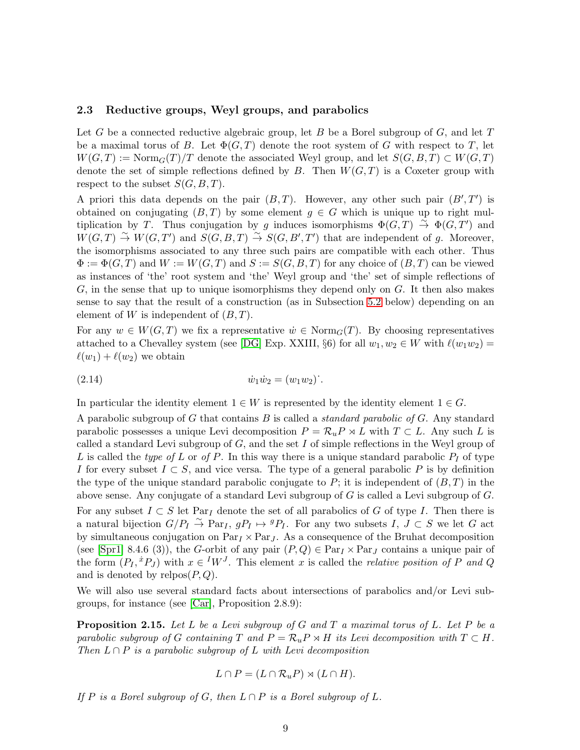#### <span id="page-8-0"></span>2.3 Reductive groups, Weyl groups, and parabolics

Let G be a connected reductive algebraic group, let B be a Borel subgroup of  $G$ , and let T be a maximal torus of B. Let  $\Phi(G, T)$  denote the root system of G with respect to T, let  $W(G, T) := \text{Norm}_G(T)/T$  denote the associated Weyl group, and let  $S(G, B, T) \subset W(G, T)$ denote the set of simple reflections defined by  $B$ . Then  $W(G, T)$  is a Coxeter group with respect to the subset  $S(G, B, T)$ .

A priori this data depends on the pair  $(B, T)$ . However, any other such pair  $(B', T')$  is obtained on conjugating  $(B, T)$  by some element  $g \in G$  which is unique up to right multiplication by T. Thus conjugation by g induces isomorphisms  $\Phi(G,T) \stackrel{\sim}{\to} \Phi(G,T')$  and  $W(G,T) \stackrel{\sim}{\to} W(G,T')$  and  $S(G, B, T) \stackrel{\sim}{\to} S(G, B', T')$  that are independent of g. Moreover, the isomorphisms associated to any three such pairs are compatible with each other. Thus  $\Phi := \Phi(G,T)$  and  $W := W(G,T)$  and  $S := S(G, B, T)$  for any choice of  $(B,T)$  can be viewed as instances of 'the' root system and 'the' Weyl group and 'the' set of simple reflections of G, in the sense that up to unique isomorphisms they depend only on G. It then also makes sense to say that the result of a construction (as in Subsection [5.2](#page-16-0) below) depending on an element of W is independent of  $(B, T)$ .

For any  $w \in W(G,T)$  we fix a representative  $\dot{w} \in \text{Norm}_G(T)$ . By choosing representatives attached to a Chevalley system (see [\[DG\]](#page-40-14) Exp. XXIII, §6) for all  $w_1, w_2 \in W$  with  $\ell(w_1w_2)$  =  $\ell(w_1) + \ell(w_2)$  we obtain

<span id="page-8-2"></span>(2.14) ˙w1w˙ <sup>2</sup> = (w1w2)˙.

In particular the identity element  $1 \in W$  is represented by the identity element  $1 \in G$ .

A parabolic subgroup of G that contains B is called a standard parabolic of G. Any standard parabolic possesses a unique Levi decomposition  $P = \mathcal{R}_u P \rtimes L$  with  $T \subset L$ . Any such L is called a standard Levi subgroup of  $G$ , and the set  $I$  of simple reflections in the Weyl group of L is called the type of L or of P. In this way there is a unique standard parabolic  $P_I$  of type I for every subset  $I \subset S$ , and vice versa. The type of a general parabolic P is by definition the type of the unique standard parabolic conjugate to P; it is independent of  $(B, T)$  in the above sense. Any conjugate of a standard Levi subgroup of  $G$  is called a Levi subgroup of  $G$ . For any subset  $I \subset S$  let Par<sub>I</sub> denote the set of all parabolics of G of type I. Then there is a natural bijection  $G/P_I \overset{\sim}{\to} \text{Par}_I$ ,  $gP_I \mapsto {}^gP_I$ . For any two subsets  $I, J \subset S$  we let G act by simultaneous conjugation on  $\text{Par}_I \times \text{Par}_I$ . As a consequence of the Bruhat decomposition (see [\[Spr1\]](#page-41-10) 8.4.6 (3)), the G-orbit of any pair  $(P,Q) \in Par_I \times Par_J$  contains a unique pair of the form  $(P_I, {}^{\dot{x}}P_J)$  with  $x \in {}^I W^J$ . This element x is called the *relative position of* P and Q and is denoted by  $relpos(P,Q)$ .

We will also use several standard facts about intersections of parabolics and/or Levi subgroups, for instance (see [\[Car\]](#page-40-13), Proposition 2.8.9):

<span id="page-8-1"></span>**Proposition 2.15.** Let L be a Levi subgroup of G and T a maximal torus of L. Let P be a parabolic subgroup of G containing T and  $P = \mathcal{R}_u P \rtimes H$  its Levi decomposition with  $T \subset H$ . Then  $L \cap P$  is a parabolic subgroup of L with Levi decomposition

$$
L \cap P = (L \cap \mathcal{R}_u P) \rtimes (L \cap H).
$$

If P is a Borel subgroup of G, then  $L \cap P$  is a Borel subgroup of L.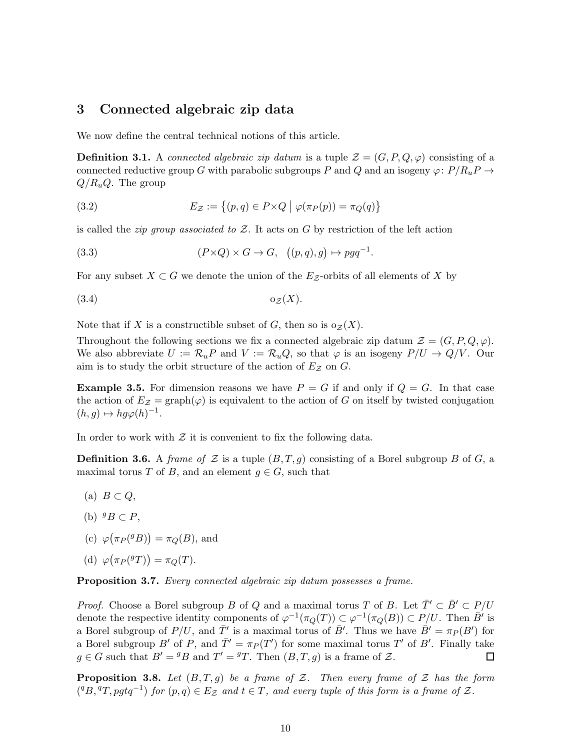### <span id="page-9-0"></span>3 Connected algebraic zip data

We now define the central technical notions of this article.

**Definition 3.1.** A connected algebraic zip datum is a tuple  $\mathcal{Z} = (G, P, Q, \varphi)$  consisting of a connected reductive group G with parabolic subgroups P and Q and an isogeny  $\varphi: P/R_uP \to$  $Q/R_uQ$ . The group

<span id="page-9-4"></span>(3.2) 
$$
E_{\mathcal{Z}} := \{(p,q) \in P \times Q \mid \varphi(\pi_P(p)) = \pi_Q(q)\}
$$

is called the *zip group associated to*  $Z$ . It acts on G by restriction of the left action

<span id="page-9-3"></span>(3.3) 
$$
(P \times Q) \times G \to G, \quad ((p, q), g) \mapsto p g q^{-1}.
$$

For any subset  $X \subset G$  we denote the union of the  $E_Z$ -orbits of all elements of X by

<span id="page-9-6"></span>
$$
(3.4) \t\t\t o_Z(X).
$$

Note that if X is a constructible subset of G, then so is  $o_{\mathcal{Z}}(X)$ .

Throughout the following sections we fix a connected algebraic zip datum  $\mathcal{Z} = (G, P, Q, \varphi)$ . We also abbreviate  $U := \mathcal{R}_u P$  and  $V := \mathcal{R}_u Q$ , so that  $\varphi$  is an isogeny  $P/U \to Q/V$ . Our aim is to study the orbit structure of the action of  $E_z$  on G.

<span id="page-9-5"></span>**Example 3.5.** For dimension reasons we have  $P = G$  if and only if  $Q = G$ . In that case the action of  $E_z = \text{graph}(\varphi)$  is equivalent to the action of G on itself by twisted conjugation  $(h, g) \mapsto h g \varphi(h)^{-1}.$ 

In order to work with  $\mathcal Z$  it is convenient to fix the following data.

<span id="page-9-1"></span>**Definition 3.6.** A *frame of*  $\mathcal{Z}$  is a tuple  $(B, T, g)$  consisting of a Borel subgroup B of G, a maximal torus T of B, and an element  $g \in G$ , such that

- (a)  $B \subset Q$ ,
- (b)  ${}^gB \subset P$ ,
- (c)  $\varphi(\pi_P({}^gB)) = \pi_Q(B)$ , and

(d) 
$$
\varphi\big(\pi_P(^{g}T)\big)=\pi_Q(T).
$$

Proposition 3.7. Every connected algebraic zip datum possesses a frame.

*Proof.* Choose a Borel subgroup B of Q and a maximal torus T of B. Let  $\overline{T}' \subset \overline{B}' \subset P/U$ denote the respective identity components of  $\varphi^{-1}(\pi_Q(T)) \subset \varphi^{-1}(\pi_Q(B)) \subset P/U$ . Then  $\bar{B}'$  is a Borel subgroup of  $P/U$ , and  $\overline{T}'$  is a maximal torus of  $\overline{B}'$ . Thus we have  $\overline{B}' = \pi_P(B')$  for a Borel subgroup B' of P, and  $\overline{T}' = \pi_P(T')$  for some maximal torus T' of B'. Finally take  $g \in G$  such that  $B' = {}^g B$  and  $T' = {}^g T$ . Then  $(B, T, g)$  is a frame of  $\mathcal{Z}$ .  $\Box$ 

<span id="page-9-2"></span>**Proposition 3.8.** Let  $(B,T,g)$  be a frame of Z. Then every frame of Z has the form  $({}^qB, {}^qT, pgtq^{-1})$  for  $(p, q) \in E_{\mathcal{Z}}$  and  $t \in T$ , and every tuple of this form is a frame of  $\mathcal{Z}$ .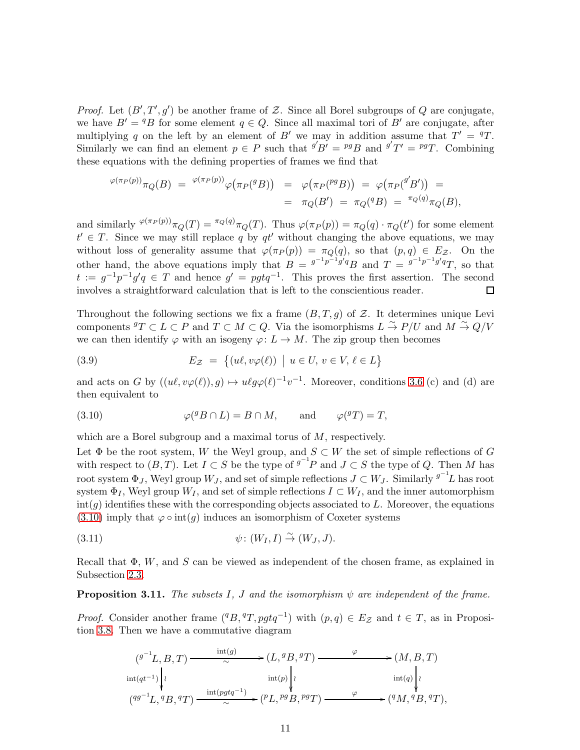*Proof.* Let  $(B', T', g')$  be another frame of Z. Since all Borel subgroups of Q are conjugate, we have  $B' = {}^qB$  for some element  $q \in Q$ . Since all maximal tori of  $B'$  are conjugate, after multiplying q on the left by an element of B' we may in addition assume that  $T' = T$ . Similarly we can find an element  $p \in P$  such that  $^{g'}B' = {^{pg}}B$  and  $^{g'}T' = {^{pg}}T$ . Combining these equations with the defining properties of frames we find that

$$
\begin{array}{lcl} \varphi(\pi_P(p))\pi_Q(B) & = & \varphi(\pi_P(p))\varphi\big(\pi_P(^gB)\big) & = & \varphi\big(\pi_P(^{pg}B)\big) & = & \varphi\big(\pi_P(^{g'}B')\big) & = \\ \\ & = & \pi_Q(B') & = & \pi_Q(^{q}B) & = & \pi_Q(q)\pi_Q(B), \end{array}
$$

and similarly  $\sqrt{\varphi(\pi_P(p))} \pi_Q(T) = \sqrt{\pi_Q(q)} \pi_Q(T)$ . Thus  $\varphi(\pi_P(p)) = \pi_Q(q) \cdot \pi_Q(t')$  for some element  $t' \in T$ . Since we may still replace q by qt' without changing the above equations, we may without loss of generality assume that  $\varphi(\pi_P(p)) = \pi_Q(q)$ , so that  $(p,q) \in E_{\mathcal{Z}}$ . On the other hand, the above equations imply that  $B = \frac{g^{-1}p^{-1}g'q}{g}$  and  $T = \frac{g^{-1}p^{-1}g'q}{g}$ , so that  $t := g^{-1}p^{-1}g'q \in T$  and hence  $g' = pgtq^{-1}$ . This proves the first assertion. The second involves a straightforward calculation that is left to the conscientious reader. П

Throughout the following sections we fix a frame  $(B, T, g)$  of Z. It determines unique Levi components  $^gT \subset L \subset P$  and  $T \subset M \subset Q$ . Via the isomorphisms  $L \stackrel{\sim}{\to} P/U$  and  $M \stackrel{\sim}{\to} Q/V$ we can then identify  $\varphi$  with an isogeny  $\varphi: L \to M$ . The zip group then becomes

<span id="page-10-2"></span>(3.9) 
$$
E_{\mathcal{Z}} = \{(u\ell, v\varphi(\ell)) \mid u \in U, v \in V, \ell \in L\}
$$

and acts on G by  $((u\ell, v\varphi(\ell)), g) \mapsto u\ell g\varphi(\ell)^{-1}v^{-1}$ . Moreover, conditions [3.6](#page-9-1) (c) and (d) are then equivalent to

<span id="page-10-1"></span>(3.10) 
$$
\varphi({}^{g}B \cap L) = B \cap M, \quad \text{and} \quad \varphi({}^{g}T) = T,
$$

which are a Borel subgroup and a maximal torus of M, respectively.

Let  $\Phi$  be the root system, W the Weyl group, and  $S \subset W$  the set of simple reflections of G with respect to  $(B, T)$ . Let  $I \subset S$  be the type of  $g^{-1}P$  and  $J \subset S$  the type of Q. Then M has root system  $\Phi_J$ , Weyl group  $W_J$ , and set of simple reflections  $J\subset W_J$ . Similarly  $^{g^{-1}}L$  has root system  $\Phi_I$ , Weyl group  $W_I$ , and set of simple reflections  $I \subset W_I$ , and the inner automorphism  $\text{int}(g)$  identifies these with the corresponding objects associated to L. Moreover, the equations  $(3.10)$  imply that  $\varphi \circ \text{int}(g)$  induces an isomorphism of Coxeter systems

<span id="page-10-0"></span>(3.11) 
$$
\psi: (W_I, I) \overset{\sim}{\rightarrow} (W_J, J).
$$

Recall that  $\Phi$ , W, and S can be viewed as independent of the chosen frame, as explained in Subsection [2.3.](#page-8-0)

<span id="page-10-3"></span>**Proposition 3.11.** The subsets I, J and the isomorphism  $\psi$  are independent of the frame.

*Proof.* Consider another frame  $({}^qB, {}^qT, pgtq^{-1})$  with  $(p, q) \in E_Z$  and  $t \in T$ , as in Proposition [3.8.](#page-9-2) Then we have a commutative diagram

$$
(g^{-1}L, B, T) \xrightarrow{\text{int}(g)} (L, {}^{g}B, {}^{g}T) \xrightarrow{\varphi} (M, B, T)
$$
  
\n
$$
\text{int}(qt^{-1})\Bigg\downarrow \qquad \text{int}(p)\Bigg\downarrow \qquad \text{int}(q)\Bigg\downarrow
$$
  
\n
$$
({}^{gg^{-1}}L, {}^{g}B, {}^{g}T) \xrightarrow{\text{int}(pgtq^{-1})} ({}^{p}L, {}^{pg}B, {}^{pg}T) \xrightarrow{\varphi} ({}^{g}M, {}^{g}B, {}^{g}T),
$$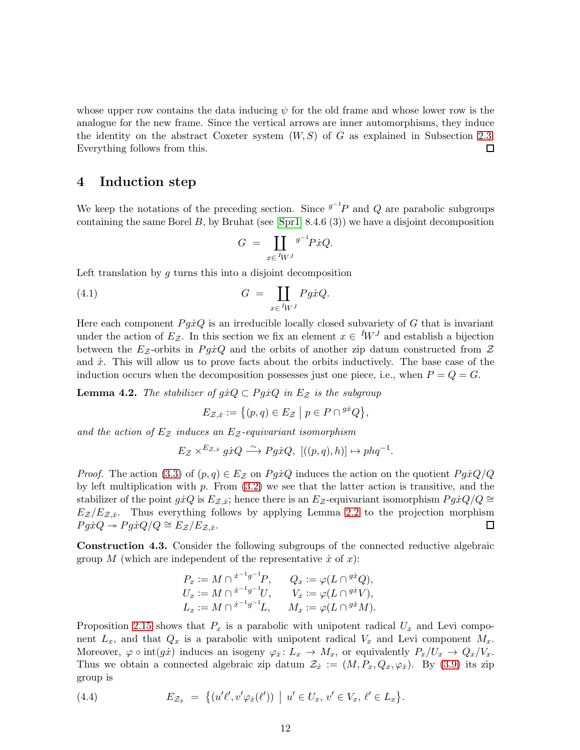whose upper row contains the data inducing  $\psi$  for the old frame and whose lower row is the analogue for the new frame. Since the vertical arrows are inner automorphisms, they induce the identity on the abstract Coxeter system  $(W, S)$  of G as explained in Subsection [2.3.](#page-8-0) Everything follows from this. 口

### <span id="page-11-0"></span>4 Induction step

We keep the notations of the preceding section. Since  $g^{-1}P$  and Q are parabolic subgroups containing the same Borel B, by Bruhat (see [\[Spr1\]](#page-41-10) 8.4.6 (3)) we have a disjoint decomposition

<span id="page-11-4"></span>
$$
G = \coprod_{x \in {}^{I}W^{J}} g^{-1} P \dot{x} Q.
$$

Left translation by  $g$  turns this into a disjoint decomposition

(4.1) 
$$
G = \coprod_{x \in {}^{I}W^{J}} Pg\dot{x}Q.
$$

Here each component  $P g \dot{x} Q$  is an irreducible locally closed subvariety of G that is invariant under the action of  $E_z$ . In this section we fix an element  $x \in {}^I W^J$  and establish a bijection between the  $E_z$ -orbits in  $P g \dot{x} Q$  and the orbits of another zip datum constructed from  $\mathcal Z$ and  $\dot{x}$ . This will allow us to prove facts about the orbits inductively. The base case of the induction occurs when the decomposition possesses just one piece, i.e., when  $P = Q = G$ .

<span id="page-11-2"></span>**Lemma 4.2.** The stabilizer of  $g\dot{x}Q \subset Pg\dot{x}Q$  in  $E_z$  is the subgroup

$$
E_{\mathcal{Z},\dot{x}} := \{ (p,q) \in E_{\mathcal{Z}} \mid p \in P \cap {}^{g\dot{x}}Q \},\
$$

and the action of  $E_z$  induces an  $E_z$ -equivariant isomorphism

$$
E_{\mathcal{Z}}\times^{E_{\mathcal{Z},x}}g\dot{x}Q\stackrel{\sim}{\longrightarrow}Pg\dot{x}Q,\text{ }[((p,q),h)]\mapsto phq^{-1}.
$$

*Proof.* The action [\(3.3\)](#page-9-3) of  $(p,q) \in E_{\mathcal{Z}}$  on PgxQ induces the action on the quotient  $P g \dot{x} Q/Q$ by left multiplication with  $p$ . From  $(3.2)$  we see that the latter action is transitive, and the stabilizer of the point  $gxQ$  is  $E_{\mathcal{Z},\dot{x}}$ ; hence there is an  $E_{\mathcal{Z}}$ -equivariant isomorphism  $Pg\dot{x}Q/Q \cong$  $E_z/E_{z,i}$ . Thus everything follows by applying Lemma [2.2](#page-4-1) to the projection morphism  $P g \dot{x} Q \rightarrow P g \dot{x} Q/Q \cong E_{\mathcal{Z}}/E_{\mathcal{Z},\dot{x}}.$  $\Box$ 

<span id="page-11-3"></span>Construction 4.3. Consider the following subgroups of the connected reductive algebraic group M (which are independent of the representative  $\dot{x}$  of  $x$ ):

$$
P_x := M \cap {}^{\dot{x}^{-1}g^{-1}}P, \qquad Q_x := \varphi(L \cap {}^{g\dot{x}}Q),
$$
  
\n
$$
U_x := M \cap {}^{\dot{x}^{-1}g^{-1}}U, \qquad V_x := \varphi(L \cap {}^{g\dot{x}}V),
$$
  
\n
$$
L_x := M \cap {}^{\dot{x}^{-1}g^{-1}}L, \qquad M_x := \varphi(L \cap {}^{g\dot{x}}M).
$$

Proposition [2.15](#page-8-1) shows that  $P_x$  is a parabolic with unipotent radical  $U_x$  and Levi component  $L_x$ , and that  $Q_x$  is a parabolic with unipotent radical  $V_x$  and Levi component  $M_x$ . Moreover,  $\varphi \circ \text{int}(g\dot{x})$  induces an isogeny  $\varphi_{\dot{x}}: L_x \to M_x$ , or equivalently  $P_x/U_x \to Q_x/V_x$ . Thus we obtain a connected algebraic zip datum  $\mathcal{Z}_x := (M, P_x, Q_x, \varphi_x)$ . By [\(3.9\)](#page-10-2) its zip group is

<span id="page-11-1"></span>(4.4) 
$$
E_{\mathcal{Z}_{\dot{x}}} = \{ (u'\ell', v'\varphi_{\dot{x}}(\ell')) \mid u' \in U_x, v' \in V_x, \ell' \in L_x \}.
$$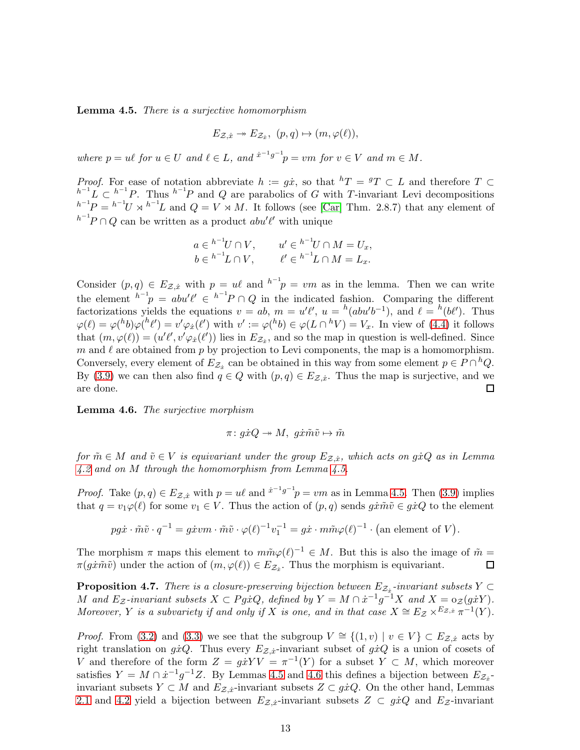<span id="page-12-0"></span>Lemma 4.5. There is a surjective homomorphism

$$
E_{\mathcal{Z},\dot{x}} \twoheadrightarrow E_{\mathcal{Z}_{\dot{x}}}, \ (p,q) \mapsto (m,\varphi(\ell)),
$$

where  $p = u\ell$  for  $u \in U$  and  $\ell \in L$ , and  $x^{-1}g^{-1}p = v m$  for  $v \in V$  and  $m \in M$ .

*Proof.* For ease of notation abbreviate  $h := g\dot{x}$ , so that  ${}^h T = {}^g T \subset L$  and therefore  $T \subset$  $h^{-1}L \subset h^{-1}P$ . Thus  $h^{-1}P$  and Q are parabolics of G with T-invariant Levi decompositions  $h^{-1}P = h^{-1}U \rtimes h^{-1}L$  and  $Q = V \rtimes M$ . It follows (see [\[Car\]](#page-40-13) Thm. 2.8.7) that any element of  $h^{-1}P \cap Q$  can be written as a product  $abu'\ell'$  with unique

$$
a \in {}^{h^{-1}}U \cap V, \qquad u' \in {}^{h^{-1}}U \cap M = U_x,
$$
  

$$
b \in {}^{h^{-1}}L \cap V, \qquad \ell' \in {}^{h^{-1}}L \cap M = L_x.
$$

Consider  $(p, q) \in E_{\mathcal{Z},\dot{x}}$  with  $p = u\ell$  and  $h^{-1}p = v\ell m$  as in the lemma. Then we can write the element  $h^{-1}p = abu'l' \in h^{-1}p \cap Q$  in the indicated fashion. Comparing the different factorizations yields the equations  $v = ab$ ,  $m = u'\ell'$ ,  $u = {}^h(abu'b^{-1})$ , and  $\ell = {}^h(b\ell')$ . Thus  $\varphi(\ell) = \varphi({}^h b)\varphi({}^h \ell') = v'\varphi_x({}^{\ell})$  with  $v' := \varphi({}^h b) \in \varphi(L \cap {}^h V) = V_x$ . In view of [\(4.4\)](#page-11-1) it follows that  $(m, \varphi(\ell)) = (u'\ell', v'\varphi_x(\ell'))$  lies in  $E_{\mathcal{Z}_x}$ , and so the map in question is well-defined. Since m and  $\ell$  are obtained from p by projection to Levi components, the map is a homomorphism. Conversely, every element of  $E_{\mathcal{Z}_{\dot{x}}}$  can be obtained in this way from some element  $p \in P \cap {}^h Q$ . By [\(3.9\)](#page-10-2) we can then also find  $q \in Q$  with  $(p,q) \in E_{\mathcal{Z},\dot{x}}$ . Thus the map is surjective, and we are done. □

<span id="page-12-1"></span>Lemma 4.6. The surjective morphism

$$
\pi\colon g\dot{x}Q\twoheadrightarrow M,\ g\dot{x}\tilde{m}\tilde{v}\mapsto\tilde{m}
$$

for  $\tilde{m} \in M$  and  $\tilde{v} \in V$  is equivariant under the group  $E_{\mathcal{Z},\dot{x}},$  which acts on  $g\dot{x}Q$  as in Lemma [4.2](#page-11-2) and on M through the homomorphism from Lemma [4.5.](#page-12-0)

*Proof.* Take  $(p, q) \in E_{\mathcal{Z}, \dot{x}}$  with  $p = u\ell$  and  $\dot{x}^{-1}g^{-1}p = v\ell m$  as in Lemma [4.5.](#page-12-0) Then [\(3.9\)](#page-10-2) implies that  $q = v_1 \varphi(\ell)$  for some  $v_1 \in V$ . Thus the action of  $(p, q)$  sends  $g\dot{x}\tilde{m}\tilde{v} \in g\dot{x}Q$  to the element

 $pg\dot{x} \cdot \tilde{m}\tilde{v} \cdot q^{-1} = g\dot{x}vm \cdot \tilde{m}\tilde{v} \cdot \varphi(\ell)^{-1}v_1^{-1} = g\dot{x} \cdot m\tilde{m}\varphi(\ell)^{-1} \cdot \text{(an element of } V\text{)}.$ 

The morphism  $\pi$  maps this element to  $m\tilde{m}\varphi(\ell)^{-1} \in M$ . But this is also the image of  $\tilde{m} =$  $\Box$  $\pi(g\dot{x}\tilde{m}\tilde{v})$  under the action of  $(m,\varphi(\ell)) \in E_{\mathcal{Z}_{\dot{x}}}$ . Thus the morphism is equivariant.

<span id="page-12-2"></span>**Proposition 4.7.** There is a closure-preserving bijection between  $E_{\mathcal{Z}_x}$ -invariant subsets  $Y \subset$ M and  $E_z$ -invariant subsets  $X \subset Pg\dot{x}Q$ , defined by  $Y = M \cap \dot{x}^{-1}g^{-1}X$  and  $X = o_{\mathcal{Z}}(g\dot{x}Y)$ . Moreover, Y is a subvariety if and only if X is one, and in that case  $X \cong E_{\mathcal{Z}} \times^{E_{\mathcal{Z},x}} \pi^{-1}(Y)$ .

*Proof.* From [\(3.2\)](#page-9-4) and [\(3.3\)](#page-9-3) we see that the subgroup  $V \cong \{(1, v) \mid v \in V\} \subset E_{\mathcal{Z},\dot{x}}$  acts by right translation on  $gxQ$ . Thus every  $E_{\mathcal{Z},x}$ -invariant subset of  $gxQ$  is a union of cosets of V and therefore of the form  $Z = g\dot{x}YV = \pi^{-1}(Y)$  for a subset  $Y \subset M$ , which moreover satisfies  $Y = M \cap \dot{x}^{-1}g^{-1}Z$ . By Lemmas [4.5](#page-12-0) and [4.6](#page-12-1) this defines a bijection between  $E_{\mathcal{Z}_{\dot{x}}}$ invariant subsets  $Y \subset M$  and  $E_{\mathcal{Z},\dot{x}}$ -invariant subsets  $Z \subset g\dot{x}Q$ . On the other hand, Lemmas [2.1](#page-4-2) and [4.2](#page-11-2) yield a bijection between  $E_{\mathcal{Z},\dot{x}}$ -invariant subsets  $Z \subset g\dot{x}Q$  and  $E_{\mathcal{Z}}$ -invariant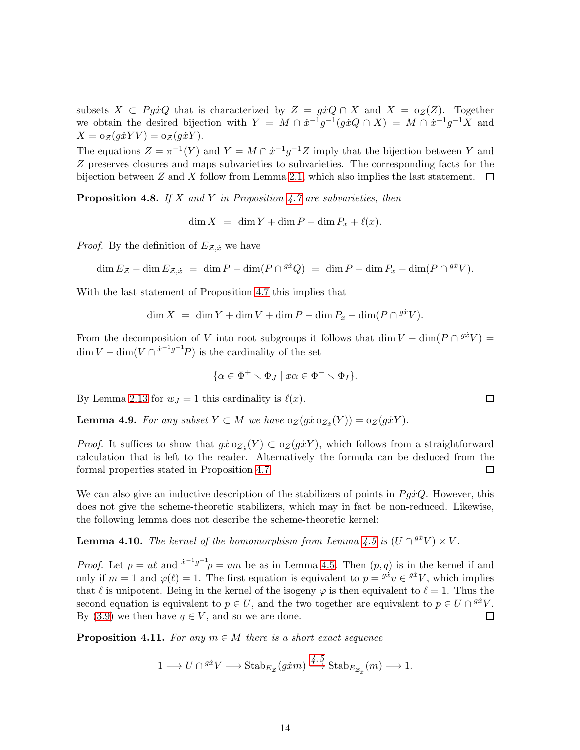subsets  $X \subset P g \dot{x} Q$  that is characterized by  $Z = g \dot{x} Q \cap X$  and  $X = o_{\mathcal{Z}}(Z)$ . Together we obtain the desired bijection with  $Y = M \cap \dot{x}^{-1}g^{-1}(g\dot{x}Q \cap X) = M \cap \dot{x}^{-1}g^{-1}X$  and  $X = o_{\mathcal{Z}}(g\dot{x}YV) = o_{\mathcal{Z}}(g\dot{x}Y).$ 

The equations  $Z = \pi^{-1}(Y)$  and  $Y = M \cap \dot{x}^{-1}g^{-1}Z$  imply that the bijection between Y and Z preserves closures and maps subvarieties to subvarieties. The corresponding facts for the bijection between Z and X follow from Lemma [2.1,](#page-4-2) which also implies the last statement.  $\Box$ 

<span id="page-13-2"></span>**Proposition 4.8.** If X and Y in Proposition [4.7](#page-12-2) are subvarieties, then

 $\dim X = \dim Y + \dim P - \dim P_x + \ell(x).$ 

*Proof.* By the definition of  $E_{\mathcal{Z},\dot{x}}$  we have

$$
\dim E_{\mathcal{Z}} - \dim E_{\mathcal{Z},\dot{x}} = \dim P - \dim(P \cap {}^{g\dot{x}}Q) = \dim P - \dim P_x - \dim(P \cap {}^{g\dot{x}}V).
$$

With the last statement of Proposition [4.7](#page-12-2) this implies that

$$
\dim X = \dim Y + \dim V + \dim P - \dim P_x - \dim (P \cap {}^{g\dot{x}}V).
$$

From the decomposition of V into root subgroups it follows that dim  $V - \dim(P \cap {}^{g\dot{x}}V) =$  $\dim V - \dim(V \cap i^{j-1}g^{-1}P)$  is the cardinality of the set

$$
\{\alpha \in \Phi^+ \smallsetminus \Phi_J \mid x\alpha \in \Phi^- \smallsetminus \Phi_I\}.
$$

By Lemma [2.13](#page-7-2) for  $w_J = 1$  this cardinality is  $\ell(x)$ .

<span id="page-13-1"></span>**Lemma 4.9.** For any subset  $Y \subset M$  we have  $\mathrm{O}_{\mathcal{Z}}(g\dot{x} \mathrm{O}_{\mathcal{Z}_{\dot{x}}}(Y)) = \mathrm{O}_{\mathcal{Z}}(g\dot{x}Y)$ .

*Proof.* It suffices to show that  $g\dot{x} \circ z_{\dot{x}}(Y) \subset \circ z(g\dot{x}Y)$ , which follows from a straightforward calculation that is left to the reader. Alternatively the formula can be deduced from the formal properties stated in Proposition [4.7.](#page-12-2)  $\Box$ 

We can also give an inductive description of the stabilizers of points in  $Pg\dot{x}Q$ . However, this does not give the scheme-theoretic stabilizers, which may in fact be non-reduced. Likewise, the following lemma does not describe the scheme-theoretic kernel:

<span id="page-13-0"></span>**Lemma 4.10.** The kernel of the homomorphism from Lemma [4.5](#page-12-0) is  $(U \cap {}^{g\dot{x}}V) \times V$ .

*Proof.* Let  $p = u\ell$  and  $x^{-1}g^{-1}p = v\ell$  be as in Lemma [4.5.](#page-12-0) Then  $(p, q)$  is in the kernel if and only if  $m = 1$  and  $\varphi(\ell) = 1$ . The first equation is equivalent to  $p = g\dot{x}_v \in g\dot{x}_v$ , which implies that  $\ell$  is unipotent. Being in the kernel of the isogeny  $\varphi$  is then equivalent to  $\ell = 1$ . Thus the second equation is equivalent to  $p \in U$ , and the two together are equivalent to  $p \in U \cap {}^{g\dot{x}}V$ . By [\(3.9\)](#page-10-2) we then have  $q \in V$ , and so we are done.  $\Box$ 

<span id="page-13-3"></span>**Proposition 4.11.** For any  $m \in M$  there is a short exact sequence

$$
1 \longrightarrow U \cap {}^{g\dot{x}}V \longrightarrow Stab_{E_{\mathcal{Z}}}(g\dot{x}m) \stackrel{\{4\cdot 5}{\longrightarrow}} Stab_{E_{\mathcal{Z}_{\dot{x}}}}(m) \longrightarrow 1.
$$

 $\Box$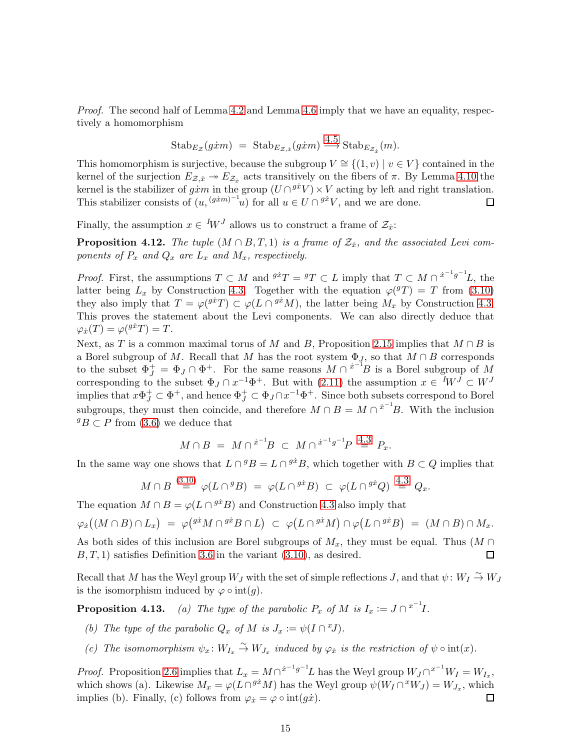Proof. The second half of Lemma [4.2](#page-11-2) and Lemma [4.6](#page-12-1) imply that we have an equality, respectively a homomorphism

$$
Stab_{E_{\mathcal{Z}}}(g\dot{x}m) = Stab_{E_{\mathcal{Z},\dot{x}}}(g\dot{x}m) \xrightarrow{4.5} Stab_{E_{\mathcal{Z}_{\dot{x}}}}(m).
$$

This homomorphism is surjective, because the subgroup  $V \cong \{(1, v) \mid v \in V\}$  contained in the kernel of the surjection  $E_{\mathcal{Z},\dot{x}} \twoheadrightarrow E_{\mathcal{Z}_{\dot{x}}}$  acts transitively on the fibers of  $\pi$ . By Lemma [4.10](#page-13-0) the kernel is the stabilizer of  $g\dot{x}m$  in the group  $(U \cap {}^{g\dot{x}}V) \times V$  acting by left and right translation. This stabilizer consists of  $(u, (g^{j+m})^{-1}u)$  for all  $u \in U \cap g^{j}V$ , and we are done.

Finally, the assumption  $x \in {}^{I}W^{J}$  allows us to construct a frame of  $\mathcal{Z}_{\dot{x}}$ :

<span id="page-14-0"></span>**Proposition 4.12.** The tuple  $(M \cap B, T, 1)$  is a frame of  $\mathcal{Z}_x$ , and the associated Levi components of  $P_x$  and  $Q_x$  are  $L_x$  and  $M_x$ , respectively.

*Proof.* First, the assumptions  $T \subset M$  and  $\frac{g \dot{x}}{T} = {}^g T \subset L$  imply that  $T \subset M \cap \frac{\dot{x}}{T} = {}^g T \cup L$ , the latter being  $L_x$  by Construction [4.3.](#page-11-3) Together with the equation  $\varphi(T) = T$  from [\(3.10\)](#page-10-1) they also imply that  $T = \varphi(^{g\dot{x}}T) \subset \varphi(L \cap {}^{g\dot{x}}M)$ , the latter being  $M_x$  by Construction [4.3.](#page-11-3) This proves the statement about the Levi components. We can also directly deduce that  $\varphi_x(T) = \varphi({}^{g\dot x}T) = T.$ 

Next, as T is a common maximal torus of M and B, Proposition [2.15](#page-8-1) implies that  $M \cap B$  is a Borel subgroup of M. Recall that M has the root system  $\Phi_J,$  so that  $M \cap B$  corresponds to the subset  $\Phi_J^+ = \Phi_J \cap \Phi^+$ . For the same reasons  $M \cap {\dot{x}}^{-1}B$  is a Borel subgroup of M corresponding to the subset  $\Phi_J \cap x^{-1}\Phi^+$ . But with [\(2.11\)](#page-7-0) the assumption  $x \in {}^I W^J \subset W^J$ implies that  $x\Phi_J^+\subset \Phi^+$ , and hence  $\Phi_J^+\subset \Phi_J\cap x^{-1}\Phi^+$ . Since both subsets correspond to Borel subgroups, they must then coincide, and therefore  $M \cap B = M \cap \dot{x}^{-1}B$ . With the inclusion  ${}^g B \subset P$  from [\(3.6\)](#page-9-1) we deduce that

$$
M \cap B = M \cap {}^{\dot{x}^{-1}}B \subset M \cap {}^{\dot{x}^{-1}g^{-1}}P \stackrel{4.3}{=} P_x.
$$

In the same way one shows that  $L \cap {}^{g}B = L \cap {}^{g\dot{x}}B$ , which together with  $B \subset Q$  implies that

$$
M \cap B \stackrel{(3.10)}{=} \varphi(L \cap {}^g B) = \varphi(L \cap {}^{g\dot{x}}B) \subset \varphi(L \cap {}^{g\dot{x}}Q) \stackrel{4.3}{=} Q_x.
$$

The equation  $M \cap B = \varphi(L \cap {}^{g\dot{x}}B)$  and Construction [4.3](#page-11-3) also imply that

$$
\varphi_{\dot{x}}\big((M\cap B)\cap L_x\big) \;=\; \varphi\big({}^{g\dot{x}}M\cap {}^{g\dot{x}}B\cap L\big) \;\subset\; \varphi\big(L\cap {}^{g\dot{x}}M\big)\cap \varphi\big(L\cap {}^{g\dot{x}}B\big) \;=\; (M\cap B)\cap M_x.
$$

As both sides of this inclusion are Borel subgroups of  $M_x$ , they must be equal. Thus  $(M \cap$  $B, T, 1$ ) satisfies Definition [3.6](#page-9-1) in the variant  $(3.10)$ , as desired. 囗

Recall that M has the Weyl group  $W_J$  with the set of simple reflections J, and that  $\psi: W_I \overset{\sim}{\rightarrow} W_J$ is the isomorphism induced by  $\varphi \circ \text{int}(g)$ .

**Proposition 4.13.** (a) The type of the parabolic  $P_x$  of M is  $I_x := J \cap {}^{x^{-1}}I$ .

- (b) The type of the parabolic  $Q_x$  of M is  $J_x := \psi(I \cap {}^xJ)$ .
- (c) The isomomorphism  $\psi_x \colon W_{I_x} \stackrel{\sim}{\to} W_{J_x}$  induced by  $\varphi_x$  is the restriction of  $\psi \circ \text{int}(x)$ .

*Proof.* Proposition [2.6](#page-6-2) implies that  $L_x = M \cap^{x^{-1}g^{-1}}L$  has the Weyl group  $W_J \cap^{x^{-1}}W_I = W_{I_x}$ , which shows (a). Likewise  $M_x = \varphi(L \cap^{g_x} M)$  has the Weyl group  $\psi(W_I \cap^x W_J) = W_{J_x}$ , which implies (b). Finally, (c) follows from  $\varphi_{\dot{x}} = \varphi \circ \text{int}(g\dot{x})$ .  $\Box$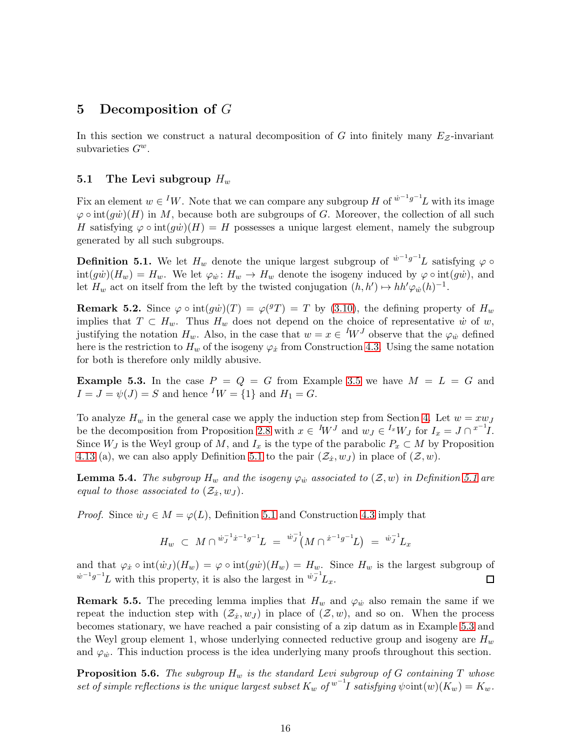## <span id="page-15-0"></span>5 Decomposition of  $G$

In this section we construct a natural decomposition of G into finitely many  $E_z$ -invariant subvarieties  $G^w$ .

### 5.1 The Levi subgroup  $H_w$

Fix an element  $w \in {}^I W$ . Note that we can compare any subgroup H of  $\dot{w}^{-1}g^{-1}L$  with its image  $\varphi \circ \text{int}(q\dot{w})(H)$  in M, because both are subgroups of G. Moreover, the collection of all such H satisfying  $\varphi \circ \text{int}(g\dot{w})(H) = H$  possesses a unique largest element, namely the subgroup generated by all such subgroups.

<span id="page-15-1"></span>**Definition 5.1.** We let  $H_w$  denote the unique largest subgroup of  $\psi^{-1}g^{-1}L$  satisfying  $\varphi \circ$  $\text{int}(g\dot{w})(H_w) = H_w$ . We let  $\varphi_{\dot{w}}: H_w \to H_w$  denote the isogeny induced by  $\varphi \circ \text{int}(g\dot{w})$ , and let  $H_w$  act on itself from the left by the twisted conjugation  $(h, h') \mapsto hh' \varphi_w(h)^{-1}$ .

<span id="page-15-3"></span>**Remark 5.2.** Since  $\varphi \circ \text{int}(g\dot{w})(T) = \varphi(^{g}T) = T$  by [\(3.10\)](#page-10-1), the defining property of  $H_w$ implies that  $T \subset H_w$ . Thus  $H_w$  does not depend on the choice of representative  $\dot{w}$  of  $w$ , justifying the notation  $H_w$ . Also, in the case that  $w = x \in W^J$  observe that the  $\varphi_w$  defined here is the restriction to  $H_w$  of the isogeny  $\varphi_{\dot{x}}$  from Construction [4.3.](#page-11-3) Using the same notation for both is therefore only mildly abusive.

<span id="page-15-2"></span>**Example 5.3.** In the case  $P = Q = G$  from Example [3.5](#page-9-5) we have  $M = L = G$  and  $I = J = \psi(J) = S$  and hence  $^I W = \{1\}$  and  $H_1 = G$ .

To analyze  $H_w$  in the general case we apply the induction step from Section [4.](#page-11-0) Let  $w = xw_J$ be the decomposition from Proposition [2.8](#page-6-1) with  $x \in {}^{I}W^{J}$  and  $w_{J} \in {}^{I_{x}}W_{J}$  for  $I_{x} = J \cap {}^{x^{-1}I}$ . Since  $W_J$  is the Weyl group of M, and  $I_x$  is the type of the parabolic  $P_x \subset M$  by Proposition 4.13 (a), we can also apply Definition [5.1](#page-15-1) to the pair  $(\mathcal{Z}_x, w_J)$  in place of  $(\mathcal{Z}, w)$ .

<span id="page-15-4"></span>**Lemma 5.4.** The subgroup  $H_w$  and the isogeny  $\varphi_w$  associated to  $(\mathcal{Z}, w)$  in Definition [5.1](#page-15-1) are equal to those associated to  $(\mathcal{Z}_x, w_J)$ .

*Proof.* Since  $\dot{w}_J \in M = \varphi(L)$ , Definition [5.1](#page-15-1) and Construction [4.3](#page-11-3) imply that

$$
H_w \ \subset \ M \cap {}^{\dot w_J^{-1} \dot x^{-1} g^{-1}} \! L \ = \ {}^{\dot w_J^{-1}} \! \big( M \cap {}^{\dot x^{-1} g^{-1}} \! L \big) \ = \ {}^{\dot w_J^{-1}} \! L_x
$$

and that  $\varphi_x \circ \text{int}(\dot{w}_y)(H_w) = \varphi \circ \text{int}(g\dot{w})(H_w) = H_w$ . Since  $H_w$  is the largest subgroup of  $\dot{w}^{-1}g^{-1}L$  with this property, it is also the largest in  $\dot{w}^{-1}_J L_x$ .  $\Box$ 

**Remark 5.5.** The preceding lemma implies that  $H_w$  and  $\varphi_w$  also remain the same if we repeat the induction step with  $(\mathcal{Z}_x, w_J)$  in place of  $(\mathcal{Z}, w)$ , and so on. When the process becomes stationary, we have reached a pair consisting of a zip datum as in Example [5.3](#page-15-2) and the Weyl group element 1, whose underlying connected reductive group and isogeny are  $H_w$ and  $\varphi_w$ . This induction process is the idea underlying many proofs throughout this section.

<span id="page-15-5"></span>**Proposition 5.6.** The subgroup  $H_w$  is the standard Levi subgroup of G containing T whose set of simple reflections is the unique largest subset  $K_w$  of  $w^{-1}I$  satisfying  $\psi \circ int(w)(\tilde{K}_w) = K_w$ .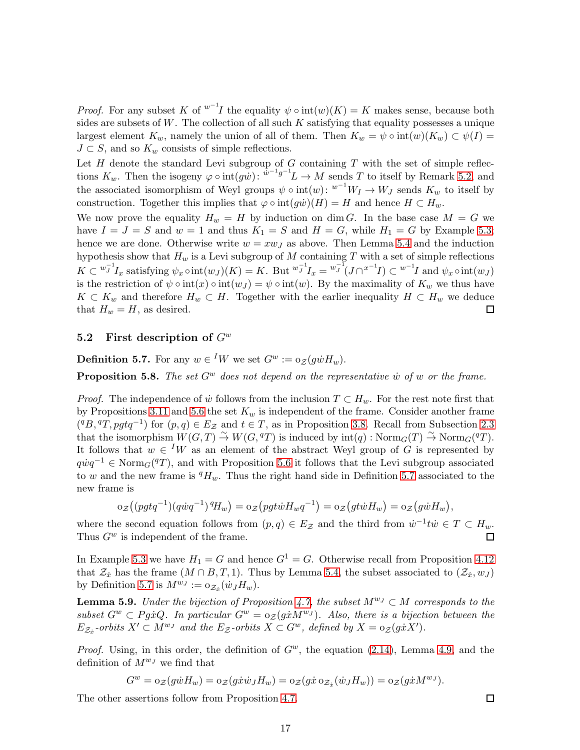*Proof.* For any subset K of  $w^{-1}I$  the equality  $\psi \circ int(w)(K) = K$  makes sense, because both sides are subsets of  $W$ . The collection of all such  $K$  satisfying that equality possesses a unique largest element  $K_w$ , namely the union of all of them. Then  $K_w = \psi \circ \text{int}(w)(K_w) \subset \psi(I) =$  $J \subset S$ , and so  $K_w$  consists of simple reflections.

Let  $H$  denote the standard Levi subgroup of  $G$  containing  $T$  with the set of simple reflections  $K_w$ . Then the isogeny  $\varphi \circ \text{int}(g\tilde{w})$ :  $\tilde{w}^{-1}g^{-1}L \to M$  sends T to itself by Remark [5.2,](#page-15-3) and the associated isomorphism of Weyl groups  $\psi \circ \text{int}(w)$ :  $w^{-1}W_I \to W_J$  sends  $K_w$  to itself by construction. Together this implies that  $\varphi \circ \text{int}(g\dot{w})(H) = H$  and hence  $H \subset H_w$ .

We now prove the equality  $H_w = H$  by induction on dim G. In the base case  $M = G$  we have  $I = J = S$  and  $w = 1$  and thus  $K_1 = S$  and  $H = G$ , while  $H_1 = G$  by Example [5.3;](#page-15-2) hence we are done. Otherwise write  $w = xw_J$  as above. Then Lemma [5.4](#page-15-4) and the induction hypothesis show that  $H_w$  is a Levi subgroup of M containing T with a set of simple reflections  $K \subset {}^{w_J^{-1}}I_x$  satisfying  $\psi_x \circ \text{int}(w_J)(K) = K$ . But  ${}^{w_J^{-1}}I_x = {}^{w_J^{-1}}(J \cap {}^{x^{-1}}I) \subset {}^{w^{-1}}I$  and  $\psi_x \circ \text{int}(w_J)$ is the restriction of  $\psi \circ \text{int}(x) \circ \text{int}(w_J) = \psi \circ \text{int}(w)$ . By the maximality of  $K_w$  we thus have  $K \subset K_w$  and therefore  $H_w \subset H$ . Together with the earlier inequality  $H \subset H_w$  we deduce that  $H_w = H$ , as desired.

### <span id="page-16-0"></span>5.2 First description of  $G^w$

<span id="page-16-1"></span>**Definition 5.7.** For any  $w \in {}^I W$  we set  $G^w := o_{\mathcal{Z}}(g \dot{w} H_w)$ .

**Proposition 5.8.** The set  $G^w$  does not depend on the representative w of w or the frame.

*Proof.* The independence of  $\dot{w}$  follows from the inclusion  $T \subset H_w$ . For the rest note first that by Propositions [3.11](#page-10-3) and [5.6](#page-15-5) the set  $K_w$  is independent of the frame. Consider another frame  $({}^qB, {}^qT, pgtq^{-1})$  for  $(p, q) \in E_{\mathcal{Z}}$  and  $t \in T$ , as in Proposition [3.8.](#page-9-2) Recall from Subsection [2.3](#page-8-0) that the isomorphism  $W(G, \widetilde{T}) \overset{\sim}{\to} W(G, {}^qT)$  is induced by  $\text{int}(q) : \text{Norm}_G(T) \overset{\sim}{\to} \text{Norm}_G({}^qT)$ . It follows that  $w \in {}^I W$  as an element of the abstract Weyl group of G is represented by  $q\dot{w}q^{-1} \in \text{Norm}_G(qT)$ , and with Proposition [5.6](#page-15-5) it follows that the Levi subgroup associated to w and the new frame is  $^{q}H_{w}$ . Thus the right hand side in Definition [5.7](#page-16-1) associated to the new frame is

$$
\mathrm{o}_{\mathcal{Z}}\big((pgtq^{-1})(q\dot{w}q^{-1})^qH_w\big)=\mathrm{o}_{\mathcal{Z}}\big(pgt\dot{w}H_wq^{-1}\big)=\mathrm{o}_{\mathcal{Z}}\big(gt\dot{w}H_w\big)=\mathrm{o}_{\mathcal{Z}}\big(g\dot{w}H_w\big),
$$

where the second equation follows from  $(p,q) \in E_{\mathcal{Z}}$  and the third from  $\dot{w}^{-1}t\dot{w} \in T \subset H_w$ . Thus  $G^w$  is independent of the frame.  $\Box$ 

In Example [5.3](#page-15-2) we have  $H_1 = G$  and hence  $G^1 = G$ . Otherwise recall from Proposition [4.12](#page-14-0) that  $\mathcal{Z}_x$  has the frame  $(M \cap B, T, 1)$ . Thus by Lemma [5.4,](#page-15-4) the subset associated to  $(\mathcal{Z}_x, w_J)$ by Definition [5.7](#page-16-1) is  $M^{w_J} := \mathrm{o}_{\mathcal{Z}_x}(\dot{w}_J H_w)$ .

<span id="page-16-2"></span>**Lemma 5.9.** Under the bijection of Proposition [4.7,](#page-12-2) the subset  $M^{w_J} \subset M$  corresponds to the subset  $G^w \subset Pg\dot{x}Q$ . In particular  $G^w = o_{\mathcal{Z}}(g\dot{x}M^{w_J})$ . Also, there is a bijection between the  $E_{\mathcal{Z}_{\dot{x}}}$ -orbits  $X' \subset M^{w_J}$  and the  $E_{\mathcal{Z}}$ -orbits  $X \subset G^w$ , defined by  $X = o_{\mathcal{Z}}(g\dot{x}X')$ .

*Proof.* Using, in this order, the definition of  $G^w$ , the equation [\(2.14\)](#page-8-2), Lemma [4.9,](#page-13-1) and the definition of  $M^{w_J}$  we find that

$$
G^w = o_{\mathcal{Z}}(g\dot{w}H_w) = o_{\mathcal{Z}}(g\dot{x}\dot{w}_JH_w) = o_{\mathcal{Z}}(g\dot{x} \circ_{\mathcal{Z}_{\dot{x}}}(\dot{w}_JH_w)) = o_{\mathcal{Z}}(g\dot{x}M^{w_J}).
$$

The other assertions follow from Proposition [4.7.](#page-12-2)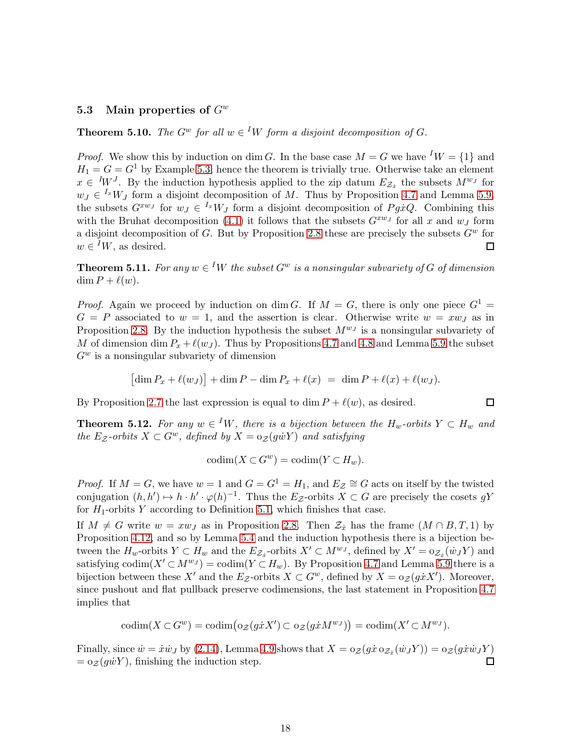### 5.3 Main properties of  $G^w$

<span id="page-17-0"></span>**Theorem 5.10.** The  $G^w$  for all  $w \in {}^I W$  form a disjoint decomposition of  $G$ .

*Proof.* We show this by induction on dim G. In the base case  $M = G$  we have  $^I W = \{1\}$  and  $H_1 = G = G^1$  by Example [5.3;](#page-15-2) hence the theorem is trivially true. Otherwise take an element  $x \in {}^{I}W^{J}$ . By the induction hypothesis applied to the zip datum  $E_{\mathcal{Z}_{\dot{x}}}$  the subsets  $M^{w_{J}}$  for  $w_J \in {}^{I_x}W_J$  form a disjoint decomposition of M. Thus by Proposition [4.7](#page-12-2) and Lemma [5.9,](#page-16-2) the subsets  $G^{xw_J}$  for  $w_J \in {}^{I_x}W_J$  form a disjoint decomposition of  $P_g \dot{x} Q$ . Combining this with the Bruhat decomposition [\(4.1\)](#page-11-4) it follows that the subsets  $G^{xw_J}$  for all x and  $w_J$  form a disjoint decomposition of G. But by Proposition [2.8](#page-6-1) these are precisely the subsets  $G^w$  for  $w \in {}^{I}W$ , as desired.  $\Box$ 

<span id="page-17-1"></span>**Theorem 5.11.** For any  $w \in {}^I W$  the subset  $G^w$  is a nonsingular subvariety of G of dimension  $\dim P + \ell(w)$ .

*Proof.* Again we proceed by induction on dim G. If  $M = G$ , there is only one piece  $G^1 =$  $G = P$  associated to  $w = 1$ , and the assertion is clear. Otherwise write  $w = xw_J$  as in Proposition [2.8.](#page-6-1) By the induction hypothesis the subset  $M^{w_J}$  is a nonsingular subvariety of M of dimension dim  $P_x + \ell(w_j)$ . Thus by Propositions [4.7](#page-12-2) and [4.8](#page-13-2) and Lemma [5.9](#page-16-2) the subset  $G^w$  is a nonsingular subvariety of dimension

$$
[\dim P_x + \ell(w_J)] + \dim P - \dim P_x + \ell(x) = \dim P + \ell(x) + \ell(w_J).
$$

□

By Proposition [2.7](#page-6-0) the last expression is equal to dim  $P + \ell(w)$ , as desired.

<span id="page-17-2"></span>**Theorem 5.12.** For any  $w \in {}^I W$ , there is a bijection between the  $H_w$ -orbits  $Y \subset H_w$  and the E<sub>Z</sub>-orbits  $X \subset G^w$ , defined by  $X = o_{\mathcal{Z}}(g\dot{w}Y)$  and satisfying

$$
\mathrm{codim}(X \subset G^w) = \mathrm{codim}(Y \subset H_w).
$$

*Proof.* If  $M = G$ , we have  $w = 1$  and  $G = G^1 = H_1$ , and  $E_Z \cong G$  acts on itself by the twisted conjugation  $(h, h') \mapsto h \cdot h' \cdot \varphi(h)^{-1}$ . Thus the  $E_{\mathcal{Z}}$ -orbits  $X \subset G$  are precisely the cosets gY for  $H_1$ -orbits Y according to Definition [5.1,](#page-15-1) which finishes that case.

If  $M \neq G$  write  $w = xw_J$  as in Proposition [2.8.](#page-6-1) Then  $\mathcal{Z}_x$  has the frame  $(M \cap B, T, 1)$  by Proposition [4.12,](#page-14-0) and so by Lemma [5.4](#page-15-4) and the induction hypothesis there is a bijection between the  $H_w$ -orbits  $Y \subset H_w$  and the  $E_{\mathcal{Z}_x}$ -orbits  $X' \subset M^{w_J}$ , defined by  $X' = o_{\mathcal{Z}_x}(w_J Y)$  and satisfying  $\text{codim}(X' \subset M^{w_J}) = \text{codim}(Y \subset H_w)$ . By Proposition [4.7](#page-12-2) and Lemma [5.9](#page-16-2) there is a bijection between these X' and the  $E_{\mathcal{Z}}$ -orbits  $X \subset G^w$ , defined by  $X = o_{\mathcal{Z}}(g \dot{x} X')$ . Moreover, since pushout and flat pullback preserve codimensions, the last statement in Proposition [4.7](#page-12-2) implies that

$$
\mathrm{codim}(X \subset G^w) = \mathrm{codim}(\mathrm{o}_{\mathcal{Z}}(g\dot{x}X') \subset \mathrm{o}_{\mathcal{Z}}(g\dot{x}M^{w_J})) = \mathrm{codim}(X' \subset M^{w_J}).
$$

Finally, since  $\dot{w} = \dot{x}\dot{w}_J$  by [\(2.14\)](#page-8-2), Lemma [4.9](#page-13-1) shows that  $X = o_Z(g\dot{x} o_{Z_{\dot{x}}}(\dot{w}_J Y)) = o_Z(g\dot{x}\dot{w}_J Y)$  $= o<sub>Z</sub>(g\dot{w}Y)$ , finishing the induction step.  $\Box$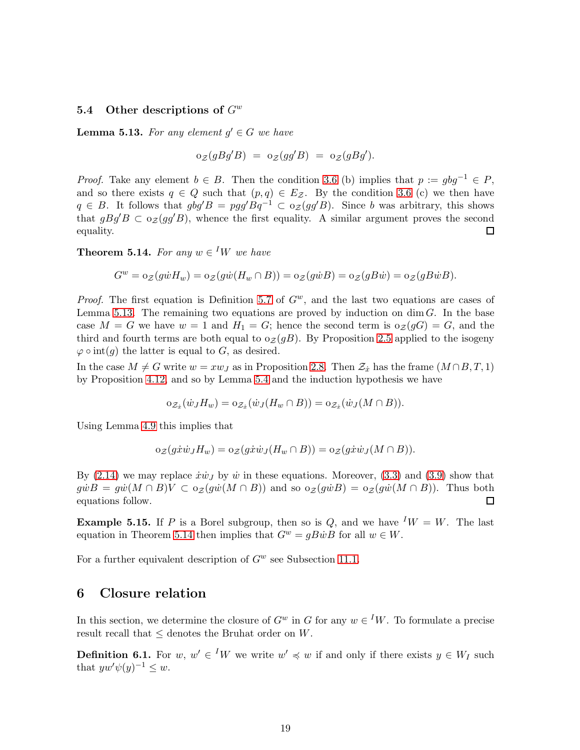#### 5.4 Other descriptions of  $G^w$

<span id="page-18-2"></span>**Lemma 5.13.** For any element  $g' \in G$  we have

 $\mathrm{o}_{\mathcal{Z}}(gBg'B) = \mathrm{o}_{\mathcal{Z}}(gg'B) = \mathrm{o}_{\mathcal{Z}}(gBg').$ 

*Proof.* Take any element  $b \in B$ . Then the condition [3.6](#page-9-1) (b) implies that  $p := qbg^{-1} \in P$ , and so there exists  $q \in Q$  such that  $(p,q) \in E_{\mathcal{Z}}$ . By the condition [3.6](#page-9-1) (c) we then have  $q \in B$ . It follows that  $gbg'B = pgg'Bq^{-1} \subset o_{\mathcal{Z}}(gg'B)$ . Since b was arbitrary, this shows that  $gBg'B \subset o_{\mathcal{Z}}(gg'B)$ , whence the first equality. A similar argument proves the second equality. □

<span id="page-18-0"></span>**Theorem 5.14.** For any  $w \in {}^I W$  we have

$$
G^w = o_{\mathcal{Z}}(g\dot{w}H_w) = o_{\mathcal{Z}}(g\dot{w}(H_w \cap B)) = o_{\mathcal{Z}}(g\dot{w}B) = o_{\mathcal{Z}}(gB\dot{w}) = o_{\mathcal{Z}}(gB\dot{w}B).
$$

*Proof.* The first equation is Definition [5.7](#page-16-1) of  $G^w$ , and the last two equations are cases of Lemma [5.13.](#page-18-2) The remaining two equations are proved by induction on  $\dim G$ . In the base case  $M = G$  we have  $w = 1$  and  $H_1 = G$ ; hence the second term is  $o_{\mathcal{Z}}(gG) = G$ , and the third and fourth terms are both equal to  $o_{\mathcal{Z}}(gB)$ . By Proposition [2.5](#page-5-0) applied to the isogeny  $\varphi \circ \text{int}(g)$  the latter is equal to G, as desired.

In the case  $M \neq G$  write  $w = xw_J$  as in Proposition [2.8.](#page-6-1) Then  $\mathcal{Z}_x$  has the frame  $(M \cap B, T, 1)$ by Proposition [4.12,](#page-14-0) and so by Lemma [5.4](#page-15-4) and the induction hypothesis we have

$$
\mathrm{o}_{\mathcal{Z}_{\dot{x}}}(\dot{w}_J H_w) = \mathrm{o}_{\mathcal{Z}_{\dot{x}}}(\dot{w}_J(H_w \cap B)) = \mathrm{o}_{\mathcal{Z}_{\dot{x}}}(\dot{w}_J(M \cap B)).
$$

Using Lemma [4.9](#page-13-1) this implies that

$$
\mathrm{o}_{\mathcal{Z}}(g\dot{x}\dot{w}_J H_w) = \mathrm{o}_{\mathcal{Z}}(g\dot{x}\dot{w}_J (H_w \cap B)) = \mathrm{o}_{\mathcal{Z}}(g\dot{x}\dot{w}_J (M \cap B)).
$$

By  $(2.14)$  we may replace  $\dot{x}\dot{w}_J$  by  $\dot{w}$  in these equations. Moreover,  $(3.3)$  and  $(3.9)$  show that  $g\dot{w}B = g\dot{w}(M \cap B)V \subset o_{\mathcal{Z}}(g\dot{w}(M \cap B))$  and so  $o_{\mathcal{Z}}(g\dot{w}B) = o_{\mathcal{Z}}(g\dot{w}(M \cap B))$ . Thus both equations follow.  $\Box$ 

**Example 5.15.** If P is a Borel subgroup, then so is Q, and we have  $^I W = W$ . The last equation in Theorem [5.14](#page-18-0) then implies that  $G^w = gB\dot{w}B$  for all  $w \in W$ .

<span id="page-18-1"></span>For a further equivalent description of  $G^w$  see Subsection [11.1.](#page-30-1)

### 6 Closure relation

In this section, we determine the closure of  $G^w$  in G for any  $w \in {}^I W$ . To formulate a precise result recall that ≤ denotes the Bruhat order on W.

<span id="page-18-3"></span>**Definition 6.1.** For  $w, w' \in {}^I W$  we write  $w' \preccurlyeq w$  if and only if there exists  $y \in W_I$  such that  $yw'\psi(y)^{-1} \leq w$ .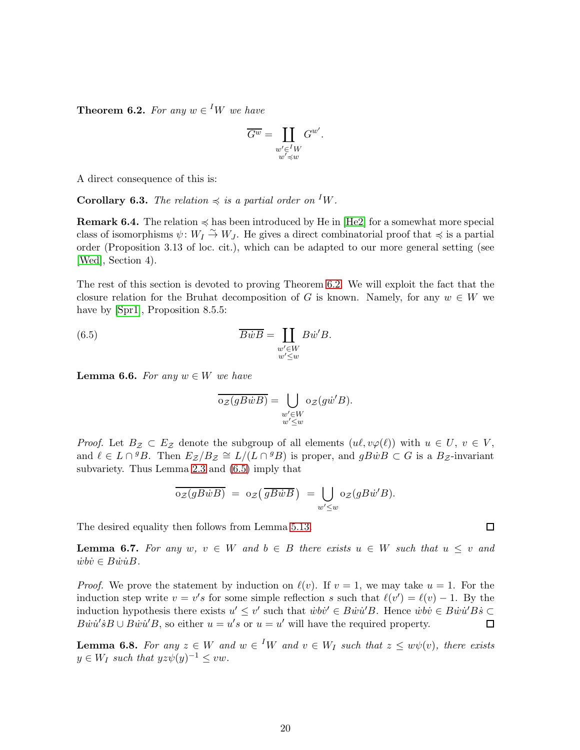<span id="page-19-0"></span>**Theorem 6.2.** For any  $w \in {}^I W$  we have

$$
\overline{G^w} = \coprod_{\substack{w' \in {^I}W \\ w' \preccurlyeq w}} G^{w'}.
$$

A direct consequence of this is:

**Corollary 6.3.** The relation  $\preccurlyeq$  is a partial order on <sup>I</sup>W.

**Remark 6.4.** The relation  $\leq$  has been introduced by He in [\[He2\]](#page-40-2) for a somewhat more special class of isomorphisms  $\psi: W_I \overset{\sim}{\to} W_J$ . He gives a direct combinatorial proof that  $\preccurlyeq$  is a partial order (Proposition 3.13 of loc. cit.), which can be adapted to our more general setting (see [\[Wed\]](#page-41-1), Section 4).

The rest of this section is devoted to proving Theorem [6.2.](#page-19-0) We will exploit the fact that the closure relation for the Bruhat decomposition of G is known. Namely, for any  $w \in W$  we have by [\[Spr1\]](#page-41-10), Proposition 8.5.5:

(6.5) 
$$
\overline{B\dot{w}B} = \coprod_{\substack{w' \in W \\ w' \le w}} B\dot{w}'B.
$$

<span id="page-19-4"></span>**Lemma 6.6.** For any  $w \in W$  we have

<span id="page-19-1"></span>
$$
\overline{\mathrm{o}_{\mathcal{Z}}(gB\dot{w}B)} = \bigcup_{\substack{w' \in W \\ w' \le w}} \mathrm{o}_{\mathcal{Z}}(g\dot{w}'B).
$$

*Proof.* Let  $B_{\mathcal{Z}} \subset E_{\mathcal{Z}}$  denote the subgroup of all elements  $(u\ell, v\varphi(\ell))$  with  $u \in U, v \in V$ , and  $\ell \in L \cap {}^g B$ . Then  $E_Z/B_Z \cong L/(L \cap {}^g B)$  is proper, and  $gB\dot{w}B \subset G$  is a  $B_Z$ -invariant subvariety. Thus Lemma [2.3](#page-5-1) and [\(6.5\)](#page-19-1) imply that

$$
\overline{\mathrm{o}_{\mathcal{Z}}(gB\dot{w}B)} = \mathrm{o}_{\mathcal{Z}}(\overline{gB\dot{w}B}) = \bigcup_{w' \leq w} \mathrm{o}_{\mathcal{Z}}(gB\dot{w}'B).
$$

The desired equality then follows from Lemma [5.13.](#page-18-2)

<span id="page-19-2"></span>**Lemma 6.7.** For any  $w, v \in W$  and  $b \in B$  there exists  $u \in W$  such that  $u \leq v$  and  $\dot{w}\dot{b}\dot{v} \in B\dot{w}\dot{u}B.$ 

*Proof.* We prove the statement by induction on  $\ell(v)$ . If  $v = 1$ , we may take  $u = 1$ . For the induction step write  $v = v's$  for some simple reflection s such that  $\ell(v') = \ell(v) - 1$ . By the induction hypothesis there exists  $u' \leq v'$  such that  $\dot{w} \dot{v}' \in B\dot{w}\dot{u}'B$ . Hence  $\dot{w} \dot{v} \in B\dot{w}\dot{u}'B\dot{s} \subset$  $B\dot{w}\dot{u}'\dot{s}B \cup B\dot{w}\dot{u}'B$ , so either  $u = u's$  or  $u = u'$  will have the required property.  $\Box$ 

<span id="page-19-3"></span>**Lemma 6.8.** For any  $z \in W$  and  $w \in {}^I W$  and  $v \in W_I$  such that  $z \leq w\psi(v)$ , there exists  $y \in W_I$  such that  $yz\psi(y)^{-1} \leq vw$ .

 $\Box$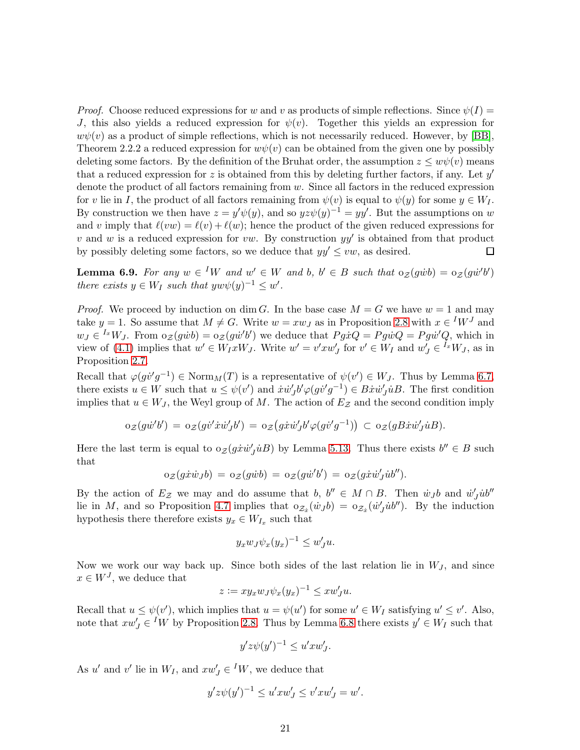*Proof.* Choose reduced expressions for w and v as products of simple reflections. Since  $\psi(I)$  = J, this also yields a reduced expression for  $\psi(v)$ . Together this yields an expression for  $w\psi(v)$  as a product of simple reflections, which is not necessarily reduced. However, by [\[BB\]](#page-40-12), Theorem 2.2.2 a reduced expression for  $w\psi(v)$  can be obtained from the given one by possibly deleting some factors. By the definition of the Bruhat order, the assumption  $z \leq w\psi(v)$  means that a reduced expression for  $z$  is obtained from this by deleting further factors, if any. Let  $y'$ denote the product of all factors remaining from w. Since all factors in the reduced expression for v lie in I, the product of all factors remaining from  $\psi(v)$  is equal to  $\psi(y)$  for some  $y \in W_I$ . By construction we then have  $z = y'\psi(y)$ , and so  $yz\psi(y)^{-1} = yy'$ . But the assumptions on w and v imply that  $\ell(vw) = \ell(v) + \ell(w)$ ; hence the product of the given reduced expressions for v and w is a reduced expression for vw. By construction  $yy'$  is obtained from that product by possibly deleting some factors, so we deduce that  $yy' \leq vw$ , as desired. □

<span id="page-20-0"></span>**Lemma 6.9.** For any  $w \in {}^I W$  and  $w' \in W$  and  $b, b' \in B$  such that  $\alpha_{\mathcal{Z}}(g\dot{w}b) = \alpha_{\mathcal{Z}}(g\dot{w}'b')$ there exists  $y \in W_I$  such that  $y w \psi(y)^{-1} \leq w'.$ 

*Proof.* We proceed by induction on dim G. In the base case  $M = G$  we have  $w = 1$  and may take  $y = 1$ . So assume that  $M \neq G$ . Write  $w = xw_J$  as in Proposition [2.8](#page-6-1) with  $x \in {}^I W^J$  and  $w_J \in {}^{I_x}W_J$ . From  $\circ_{\mathcal{Z}}(g\dot{w}^l b') = \circ_{\mathcal{Z}}(g\dot{w}^l b')$  we deduce that  $Pg\dot{x}Q = Pg\dot{w}Q = Pg\dot{w}^lQ$ , which in view of [\(4.1\)](#page-11-4) implies that  $w' \in W_I x W_J$ . Write  $w' = v' x w'_J$  for  $v' \in W_I$  and  $w'_J \in {}^{I_x} W_J$ , as in Proposition [2.7.](#page-6-0)

Recall that  $\varphi(gv'g^{-1}) \in \text{Norm}_M(T)$  is a representative of  $\psi(v') \in W_J$ . Thus by Lemma [6.7,](#page-19-2) there exists  $u \in W$  such that  $u \leq \psi(v')$  and  $\dot{x}\dot{w}'_J b' \varphi(g\dot{v}'g^{-1}) \in B\dot{x}\dot{w}'_J \dot{u}B$ . The first condition implies that  $u \in W_J$ , the Weyl group of M. The action of  $E_Z$  and the second condition imply

$$
\mathrm{o}_{\mathcal{Z}}(g\dot{w}'b') = \mathrm{o}_{\mathcal{Z}}(g\dot{v}'\dot{x}\dot{w}'_Jb') = \mathrm{o}_{\mathcal{Z}}(g\dot{x}\dot{w}'_Jb'\varphi(g\dot{v}'g^{-1})) \subset \mathrm{o}_{\mathcal{Z}}(gB\dot{x}\dot{w}'_J\dot{u}B).
$$

Here the last term is equal to  $o_{\mathcal{Z}}(g\dot{x}\dot{w}'_{J}\dot{u}B)$  by Lemma [5.13.](#page-18-2) Thus there exists  $b'' \in B$  such that

$$
\mathrm{o}_{\mathcal{Z}}(g\dot{x}\dot{w}_{J}b) = \mathrm{o}_{\mathcal{Z}}(g\dot{w}b) = \mathrm{o}_{\mathcal{Z}}(g\dot{w}'b') = \mathrm{o}_{\mathcal{Z}}(g\dot{x}\dot{w}'_{J}\dot{u}b'').
$$

By the action of  $E_z$  we may and do assume that  $b, b'' \in M \cap B$ . Then  $\dot{w}_j b$  and  $\dot{w}'_j \dot{w}''$ lie in M, and so Proposition [4.7](#page-12-2) implies that  $o_{\mathcal{Z}_{\dot{x}}}(\dot{w}_J b) = o_{\mathcal{Z}_{\dot{x}}}(\dot{w}'_J \dot{u} b'')$ . By the induction hypothesis there therefore exists  $y_x \in W_{I_x}$  such that

$$
y_x w_J \psi_x (y_x)^{-1} \le w'_J u.
$$

Now we work our way back up. Since both sides of the last relation lie in  $W_J$ , and since  $x \in W<sup>J</sup>$ , we deduce that

$$
z := xy_x w_J \psi_x(y_x)^{-1} \leq x w'_J u.
$$

Recall that  $u \leq \psi(v')$ , which implies that  $u = \psi(u')$  for some  $u' \in W_I$  satisfying  $u' \leq v'$ . Also, note that  $xw'_J \in {}^I W$  by Proposition [2.8.](#page-6-1) Thus by Lemma [6.8](#page-19-3) there exists  $y' \in W_I$  such that

$$
y'z\psi(y')^{-1} \le u'xw'_J.
$$

As u' and v' lie in  $W_I$ , and  $xw'_J \in {}^I W$ , we deduce that

$$
y'z\psi(y')^{-1} \le u'xw'_J \le v'xw'_J = w'.
$$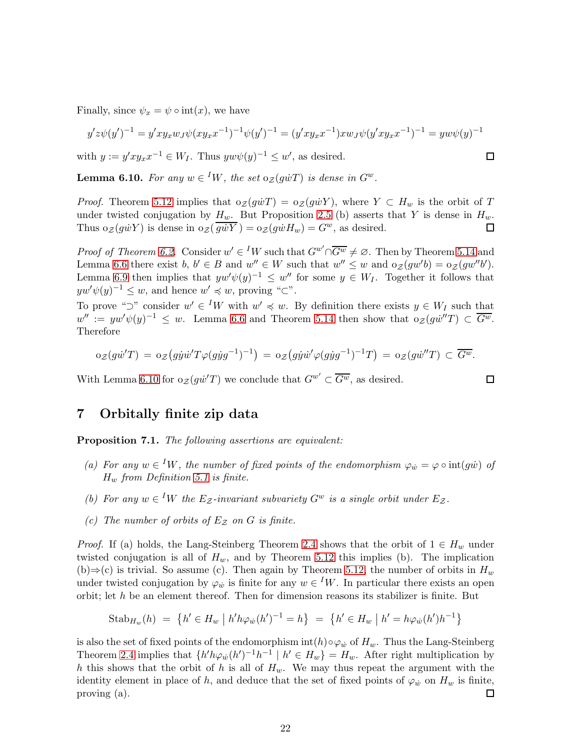Finally, since  $\psi_x = \psi \circ \text{int}(x)$ , we have

$$
y'z\psi(y')^{-1} = y'xy_xw_J\psi(xy_xx^{-1})^{-1}\psi(y')^{-1} = (y'xy_xx^{-1})xw_J\psi(y'xy_xx^{-1})^{-1} = yw\psi(y)^{-1}
$$

with  $y := y'xy_x x^{-1} \in W_I$ . Thus  $y w \psi(y)^{-1} \leq w'$ , as desired.

<span id="page-21-2"></span>**Lemma 6.10.** For any  $w \in {}^I W$ , the set  $o_{\mathcal{Z}}(g \dot{w} T)$  is dense in  $G^w$ .

*Proof.* Theorem [5.12](#page-17-2) implies that  $o_{\mathcal{Z}}(g\dot{w}T) = o_{\mathcal{Z}}(g\dot{w}Y)$ , where  $Y \subset H_w$  is the orbit of T under twisted conjugation by  $H_w$ . But Proposition [2.5](#page-5-0) (b) asserts that Y is dense in  $H_w$ . Thus  $o_{\mathcal{Z}}(g\dot{w}Y)$  is dense in  $o_{\mathcal{Z}}(\overline{g\dot{w}Y}) = o_{\mathcal{Z}}(g\dot{w}H_w) = G^w$ , as desired. 口

*Proof of Theorem [6.2.](#page-19-0)* Consider  $w' \in {}^I W$  such that  $G^{w'} \cap \overline{G^w} \neq \emptyset$ . Then by Theorem [5.14](#page-18-0) and Lemma [6.6](#page-19-4) there exist b,  $b' \in B$  and  $w'' \in W$  such that  $w'' \leq w$  and  $o_{\mathcal{Z}}(gw'b) = o_{\mathcal{Z}}(gw''b')$ . Lemma [6.9](#page-20-0) then implies that  $yw'\psi(y)^{-1} \leq w''$  for some  $y \in W_I$ . Together it follows that  $yw'\psi(y)^{-1} \leq w$ , and hence  $w' \preccurlyeq w$ , proving " $\subset$ ".

To prove " $\supset$ " consider  $w' \in {}^I W$  with  $w' \preccurlyeq w$ . By definition there exists  $y \in W_I$  such that  $w'':= yw'\psi(y)^{-1} \leq w.$  Lemma [6.6](#page-19-4) and Theorem [5.14](#page-18-0) then show that  $o_{\mathcal{Z}}(g\dot{w}''T) \subset \overline{G^w}.$ Therefore

$$
\mathrm{o}_{\mathcal{Z}}(g\dot{w}^{\prime}T) = \mathrm{o}_{\mathcal{Z}}(g\dot{y}\dot{w}^{\prime}T\varphi(g\dot{y}g^{-1})^{-1}) = \mathrm{o}_{\mathcal{Z}}(g\dot{y}\dot{w}^{\prime}\varphi(g\dot{y}g^{-1})^{-1}T) = \mathrm{o}_{\mathcal{Z}}(g\dot{w}^{\prime\prime}T) \subset \overline{G^w}.
$$

With Lemma [6.10](#page-21-2) for  $o_{\mathcal{Z}}(g\dot{w}^{\prime}T)$  we conclude that  $G^{w'} \subset \overline{G^w}$ , as desired.

### <span id="page-21-1"></span>7 Orbitally finite zip data

<span id="page-21-0"></span>Proposition 7.1. The following assertions are equivalent:

- (a) For any  $w \in {}^I W$ , the number of fixed points of the endomorphism  $\varphi_w = \varphi \circ int(gw)$  of  $H_w$  from Definition [5.1](#page-15-1) is finite.
- (b) For any  $w \in {}^I W$  the  $E_Z$ -invariant subvariety  $G^w$  is a single orbit under  $E_Z$ .
- (c) The number of orbits of  $E_z$  on G is finite.

*Proof.* If (a) holds, the Lang-Steinberg Theorem [2.4](#page-5-2) shows that the orbit of  $1 \in H_w$  under twisted conjugation is all of  $H_w$ , and by Theorem [5.12](#page-17-2) this implies (b). The implication (b)⇒(c) is trivial. So assume (c). Then again by Theorem [5.12,](#page-17-2) the number of orbits in  $H_w$ under twisted conjugation by  $\varphi_w$  is finite for any  $w \in {}^I W$ . In particular there exists an open orbit; let h be an element thereof. Then for dimension reasons its stabilizer is finite. But

Stab<sub>H<sub>w</sub></sub>(h) = {
$$
h' \in H_w | h'h\varphi_w(h')^{-1} = h
$$
} = { $h' \in H_w | h' = h\varphi_w(h')h^{-1}$ }

is also the set of fixed points of the endomorphism  $int(h) \circ \varphi_w$  of  $H_w$ . Thus the Lang-Steinberg Theorem [2.4](#page-5-2) implies that  $\{h'h\varphi_w(h')^{-1}h^{-1} \mid h' \in H_w\} = H_w$ . After right multiplication by h this shows that the orbit of h is all of  $H_w$ . We may thus repeat the argument with the identity element in place of h, and deduce that the set of fixed points of  $\varphi_w$  on  $H_w$  is finite, proving (a). 囗

 $\Box$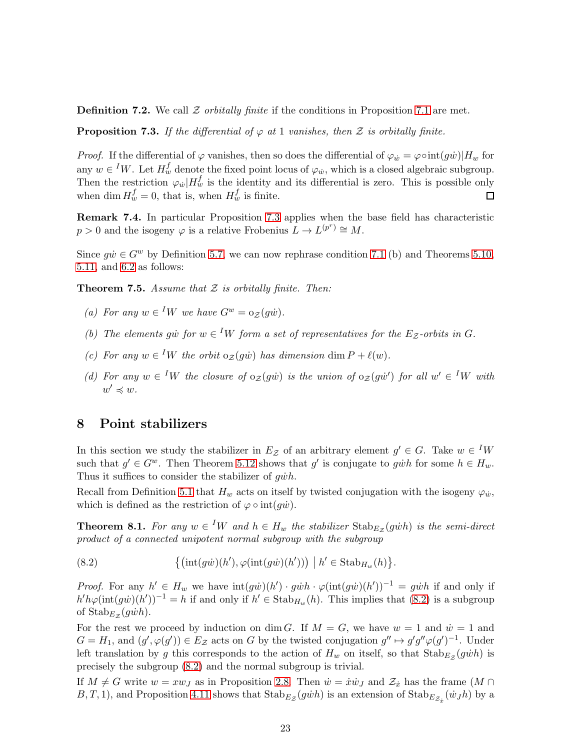**Definition 7.2.** We call  $\mathcal Z$  orbitally finite if the conditions in Proposition [7.1](#page-21-0) are met.

<span id="page-22-0"></span>**Proposition 7.3.** If the differential of  $\varphi$  at 1 vanishes, then  $\mathcal Z$  is orbitally finite.

*Proof.* If the differential of  $\varphi$  vanishes, then so does the differential of  $\varphi_w = \varphi \circ \text{int}(g\dot{w})|H_w$  for any  $w \in {}^I W$ . Let  $H_w^f$  denote the fixed point locus of  $\varphi_w$ , which is a closed algebraic subgroup. Then the restriction  $\varphi_w|H_w^f$  is the identity and its differential is zero. This is possible only when dim  $H_w^f = 0$ , that is, when  $H_w^f$  is finite.  $\Box$ 

Remark 7.4. In particular Proposition [7.3](#page-22-0) applies when the base field has characteristic  $p > 0$  and the isogeny  $\varphi$  is a relative Frobenius  $L \to L^{(p^r)} \cong M$ .

Since  $g\dot{w} \in G^w$  by Definition [5.7,](#page-16-1) we can now rephrase condition [7.1](#page-21-0) (b) and Theorems [5.10,](#page-17-0) [5.11,](#page-17-1) and [6.2](#page-19-0) as follows:

<span id="page-22-1"></span>**Theorem 7.5.** Assume that  $Z$  is orbitally finite. Then:

- (a) For any  $w \in {}^I W$  we have  $G^w = o_{\mathcal{Z}}(g\dot{w})$ .
- (b) The elements giv for  $w \in {}^I W$  form a set of representatives for the  $E_z$ -orbits in G.
- (c) For any  $w \in {}^I W$  the orbit  $\circ z(g\dot{w})$  has dimension dim  $P + \ell(w)$ .
- (d) For any  $w \in {}^I W$  the closure of  $\circ z(gw)$  is the union of  $\circ z(gw')$  for all  $w' \in {}^I W$  with  $w' \preccurlyeq w$ .

### <span id="page-22-2"></span>8 Point stabilizers

In this section we study the stabilizer in  $E_z$  of an arbitrary element  $g' \in G$ . Take  $w \in {}^I W$ such that  $g' \in G^w$ . Then Theorem [5.12](#page-17-2) shows that g' is conjugate to given for some  $h \in H_w$ . Thus it suffices to consider the stabilizer of  $q\dot{w}h$ .

Recall from Definition [5.1](#page-15-1) that  $H_w$  acts on itself by twisted conjugation with the isogeny  $\varphi_w$ , which is defined as the restriction of  $\varphi \circ \text{int}(g\dot{w})$ .

<span id="page-22-4"></span>**Theorem 8.1.** For any  $w \in {}^I W$  and  $h \in H_w$  the stabilizer  $\text{Stab}_{E_\mathcal{Z}}(g\dot{w}h)$  is the semi-direct product of a connected unipotent normal subgroup with the subgroup

<span id="page-22-3"></span>(8.2)  $\{(\text{int}(g\dot{w})(h'), \varphi(\text{int}(g\dot{w})(h'))) \mid h' \in \text{Stab}_{H_w}(h)\}.$ 

*Proof.* For any  $h' \in H_w$  we have  $\text{int}(g\dot{w})(h') \cdot g\dot{w}h \cdot \varphi(\text{int}(g\dot{w})(h'))^{-1} = g\dot{w}h$  if and only if  $h'h\varphi(\text{int}(g\dot{w})(h'))^{-1} = h$  if and only if  $h' \in \text{Stab}_{H_w}(h)$ . This implies that  $(8.2)$  is a subgroup of  $\text{Stab}_{E_{\mathcal{Z}}}(g\dot{w}h)$ .

For the rest we proceed by induction on dim G. If  $M = G$ , we have  $w = 1$  and  $\dot{w} = 1$  and  $G = H_1$ , and  $(g', \varphi(g')) \in E_{\mathcal{Z}}$  acts on G by the twisted conjugation  $g'' \mapsto g'g''\varphi(g')^{-1}$ . Under left translation by g this corresponds to the action of  $H_w$  on itself, so that  $\text{Stab}_{E_z}(g\dot{w}h)$  is precisely the subgroup [\(8.2\)](#page-22-3) and the normal subgroup is trivial.

If  $M \neq G$  write  $w = xw_J$  as in Proposition [2.8.](#page-6-1) Then  $\dot{w} = \dot{x}\dot{w}_J$  and  $\mathcal{Z}_{\dot{x}}$  has the frame  $(M \cap$  $B, T, 1$ , and Proposition [4.11](#page-13-3) shows that  $\text{Stab}_{E_{\mathcal{Z}}}(g\dot{w}h)$  is an extension of  $\text{Stab}_{E_{\mathcal{Z}_x}}(\dot{w}_Jh)$  by a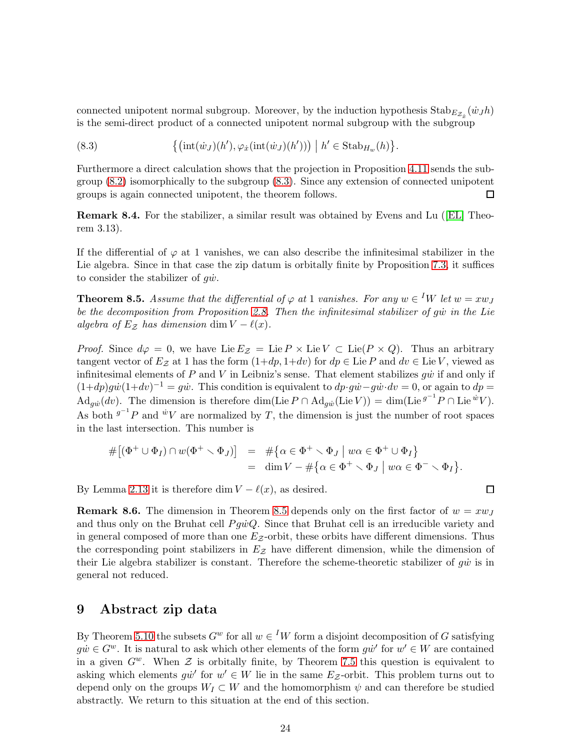connected unipotent normal subgroup. Moreover, by the induction hypothesis  $\text{Stab}_{E_{\mathcal{Z}_x}}(\dot{w}_J h)$ is the semi-direct product of a connected unipotent normal subgroup with the subgroup

<span id="page-23-1"></span>(8.3) 
$$
\{(\text{int}(\dot{w}_J)(h'), \varphi_x(\text{int}(\dot{w}_J)(h'))) \mid h' \in \text{Stab}_{H_w}(h)\}.
$$

Furthermore a direct calculation shows that the projection in Proposition [4.11](#page-13-3) sends the subgroup [\(8.2\)](#page-22-3) isomorphically to the subgroup [\(8.3\)](#page-23-1). Since any extension of connected unipotent groups is again connected unipotent, the theorem follows. П

Remark 8.4. For the stabilizer, a similar result was obtained by Evens and Lu([\[EL\]](#page-40-7) Theorem 3.13).

If the differential of  $\varphi$  at 1 vanishes, we can also describe the infinitesimal stabilizer in the Lie algebra. Since in that case the zip datum is orbitally finite by Proposition [7.3,](#page-22-0) it suffices to consider the stabilizer of  $g\dot{w}$ .

<span id="page-23-2"></span>**Theorem 8.5.** Assume that the differential of  $\varphi$  at 1 vanishes. For any  $w \in {}^I W$  let  $w = xw_J$ be the decomposition from Proposition [2.8.](#page-6-1) Then the infinitesimal stabilizer of gw in the Lie algebra of  $E_z$  has dimension dim  $V - \ell(x)$ .

*Proof.* Since  $d\varphi = 0$ , we have Lie  $E_z = \text{Lie } P \times \text{Lie } V \subset \text{Lie}(P \times Q)$ . Thus an arbitrary tangent vector of  $E_z$  at 1 has the form  $(1+dp, 1+dv)$  for  $dp \in \text{Lie } P$  and  $dv \in \text{Lie } V$ , viewed as infinitesimal elements of  $P$  and  $V$  in Leibniz's sense. That element stabilizes  $g\dot{w}$  if and only if  $(1+dp)g\dot{w}(1+dv)^{-1} = g\dot{w}$ . This condition is equivalent to  $dp \cdot g\dot{w} - g\dot{w} \cdot dv = 0$ , or again to  $dp =$  $\mathrm{Ad}_{g\dot{w}}(dv)$ . The dimension is therefore dim(Lie  $P \cap \mathrm{Ad}_{g\dot{w}}(\mathrm{Lie} V)) = \dim(\mathrm{Lie}^{g^{-1}}P \cap \mathrm{Lie}^{\dot{w}}V)$ . As both  $g^{-1}P$  and  $\dot{w}V$  are normalized by T, the dimension is just the number of root spaces in the last intersection. This number is

$$
\begin{array}{rcl}\n\#[(\Phi^+ \cup \Phi_I) \cap w(\Phi^+ \setminus \Phi_J)] & = & \# \{ \alpha \in \Phi^+ \setminus \Phi_J \mid w\alpha \in \Phi^+ \cup \Phi_I \} \\
& = & \dim V - \# \{ \alpha \in \Phi^+ \setminus \Phi_J \mid w\alpha \in \Phi^- \setminus \Phi_I \}.\n\end{array}
$$

 $\Box$ 

By Lemma [2.13](#page-7-2) it is therefore dim  $V - \ell(x)$ , as desired.

**Remark 8.6.** The dimension in Theorem [8.5](#page-23-2) depends only on the first factor of  $w = xw_J$ and thus only on the Bruhat cell  $Pg\dot{w}Q$ . Since that Bruhat cell is an irreducible variety and in general composed of more than one  $E_z$ -orbit, these orbits have different dimensions. Thus the corresponding point stabilizers in  $E_z$  have different dimension, while the dimension of their Lie algebra stabilizer is constant. Therefore the scheme-theoretic stabilizer of  $q\dot{w}$  is in general not reduced.

## <span id="page-23-0"></span>9 Abstract zip data

By Theorem [5.10](#page-17-0) the subsets  $G^w$  for all  $w \in {}^I W$  form a disjoint decomposition of G satisfying  $g\dot{w} \in G^w$ . It is natural to ask which other elements of the form  $g\dot{w}'$  for  $w' \in W$  are contained in a given  $G^w$ . When  $\mathcal Z$  is orbitally finite, by Theorem [7.5](#page-22-1) this question is equivalent to asking which elements  $g\dot{w}'$  for  $w' \in W$  lie in the same  $E_z$ -orbit. This problem turns out to depend only on the groups  $W_I \subset W$  and the homomorphism  $\psi$  and can therefore be studied abstractly. We return to this situation at the end of this section.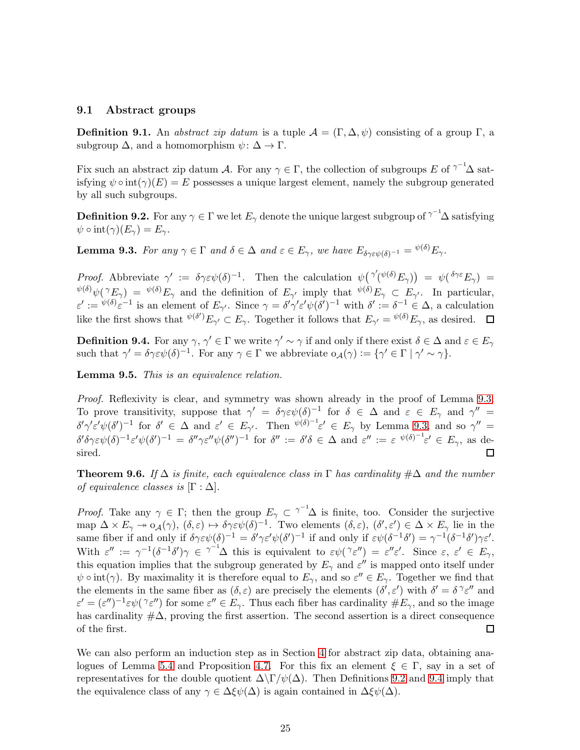#### 9.1 Abstract groups

**Definition 9.1.** An abstract zip datum is a tuple  $\mathcal{A} = (\Gamma, \Delta, \psi)$  consisting of a group  $\Gamma$ , a subgroup  $\Delta$ , and a homomorphism  $\psi: \Delta \to \Gamma$ .

Fix such an abstract zip datum A. For any  $\gamma \in \Gamma$ , the collection of subgroups E of  $\gamma^{-1}\Delta$  satisfying  $\psi \circ \text{int}(\gamma)(E) = E$  possesses a unique largest element, namely the subgroup generated by all such subgroups.

<span id="page-24-2"></span>**Definition 9.2.** For any  $\gamma \in \Gamma$  we let  $E_\gamma$  denote the unique largest subgroup of  $^{\gamma^{-1}}\!\Delta$  satisfying  $\psi \circ \text{int}(\gamma)(E_{\gamma}) = E_{\gamma}.$ 

<span id="page-24-1"></span>**Lemma 9.3.** For any  $\gamma \in \Gamma$  and  $\delta \in \Delta$  and  $\varepsilon \in E_{\gamma}$ , we have  $E_{\delta \gamma \in \psi(\delta)^{-1}} = \psi(\delta) E_{\gamma}$ .

Proof. Abbreviate  $\gamma' := \delta \gamma \varepsilon \psi(\delta)^{-1}$ . Then the calculation  $\psi(\gamma'(\psi(\delta)) E_{\gamma}) = \psi(\delta \gamma \varepsilon E_{\gamma}) =$  $\psi^{(\delta)}\psi(\gamma E_{\gamma}) = \psi^{(\delta)}E_{\gamma}$  and the definition of  $E_{\gamma'}$  imply that  $\psi^{(\delta)}E_{\gamma} \subset E_{\gamma'}$ . In particular,  $\varepsilon' := \psi^{(\delta)} \varepsilon^{-1}$  is an element of  $E_{\gamma'}$ . Since  $\gamma = \delta' \gamma' \varepsilon' \psi(\delta')^{-1}$  with  $\delta' := \delta^{-1} \in \Delta$ , a calculation like the first shows that  $\psi^{(\delta')} E_{\gamma'} \subset E_{\gamma}$ . Together it follows that  $E_{\gamma'} = \psi^{(\delta)} E_{\gamma}$ , as desired.

<span id="page-24-3"></span>**Definition 9.4.** For any  $\gamma$ ,  $\gamma' \in \Gamma$  we write  $\gamma' \sim \gamma$  if and only if there exist  $\delta \in \Delta$  and  $\varepsilon \in E_{\gamma}$ such that  $\gamma' = \delta \gamma \varepsilon \psi(\delta)^{-1}$ . For any  $\gamma \in \Gamma$  we abbreviate  $o_{\mathcal{A}}(\gamma) := {\gamma' \in \Gamma | \gamma' \sim \gamma}.$ 

Lemma 9.5. This is an equivalence relation.

Proof. Reflexivity is clear, and symmetry was shown already in the proof of Lemma [9.3.](#page-24-1) To prove transitivity, suppose that  $\gamma' = \delta \gamma \varepsilon \psi(\delta)^{-1}$  for  $\delta \in \Delta$  and  $\varepsilon \in E_{\gamma}$  and  $\gamma'' =$  $\delta' \gamma' \varepsilon' \psi (\delta')^{-1}$  for  $\delta' \in \Delta$  and  $\varepsilon' \in E_{\gamma'}$ . Then  $\psi^{(\delta)^{-1}} \varepsilon' \in E_{\gamma}$  by Lemma [9.3,](#page-24-1) and so  $\gamma'' =$  $\delta' \delta \gamma \varepsilon \psi(\delta)^{-1} \varepsilon' \psi(\delta')^{-1} = \delta'' \gamma \varepsilon'' \psi(\delta'')^{-1}$  for  $\delta'' := \delta' \delta \in \Delta$  and  $\varepsilon'' := \varepsilon \psi(\delta)^{-1} \varepsilon' \in E_\gamma$ , as desired. □

<span id="page-24-0"></span>**Theorem 9.6.** If  $\Delta$  is finite, each equivalence class in  $\Gamma$  has cardinality  $\#\Delta$  and the number of equivalence classes is  $[\Gamma : \Delta]$ .

*Proof.* Take any  $\gamma \in \Gamma$ ; then the group  $E_{\gamma} \subset \gamma^{-1} \Delta$  is finite, too. Consider the surjective map  $\Delta \times E_\gamma \twoheadrightarrow o_\mathcal{A}(\gamma)$ ,  $(\delta, \varepsilon) \mapsto \delta \gamma \varepsilon \psi(\delta)^{-1}$ . Two elements  $(\delta, \varepsilon)$ ,  $(\delta', \varepsilon') \in \Delta \times E_\gamma$  lie in the same fiber if and only if  $\delta \gamma \varepsilon \psi(\delta)^{-1} = \delta' \gamma \varepsilon' \psi(\delta')^{-1}$  if and only if  $\varepsilon \psi(\delta^{-1} \delta') = \gamma^{-1} (\delta^{-1} \delta') \gamma \varepsilon'.$ With  $\varepsilon'' := \gamma^{-1}(\delta^{-1}\delta')\gamma \in \gamma^{-1}\Delta$  this is equivalent to  $\varepsilon\psi(\gamma \varepsilon'') = \varepsilon''\varepsilon'$ . Since  $\varepsilon, \varepsilon' \in E_{\gamma}$ , this equation implies that the subgroup generated by  $E_{\gamma}$  and  $\varepsilon''$  is mapped onto itself under  $\psi \circ \text{int}(\gamma)$ . By maximality it is therefore equal to  $E_{\gamma}$ , and so  $\varepsilon'' \in E_{\gamma}$ . Together we find that the elements in the same fiber as  $(\delta, \varepsilon)$  are precisely the elements  $(\delta', \varepsilon')$  with  $\delta' = \delta^{\gamma} \varepsilon''$  and  $\varepsilon' = (\varepsilon'')^{-1} \varepsilon \psi(\gamma \varepsilon'')$  for some  $\varepsilon'' \in E_\gamma$ . Thus each fiber has cardinality  $\#E_\gamma$ , and so the image has cardinality  $\#\Delta$ , proving the first assertion. The second assertion is a direct consequence of the first. 囗

We can also perform an induction step as in Section [4](#page-11-0) for abstract zip data, obtaining ana-logues of Lemma [5.4](#page-15-4) and Proposition [4.7.](#page-12-2) For this fix an element  $\xi \in \Gamma$ , say in a set of representatives for the double quotient  $\Delta\Gamma/\psi(\Delta)$ . Then Definitions [9.2](#page-24-2) and [9.4](#page-24-3) imply that the equivalence class of any  $\gamma \in \Delta \xi \psi(\Delta)$  is again contained in  $\Delta \xi \psi(\Delta)$ .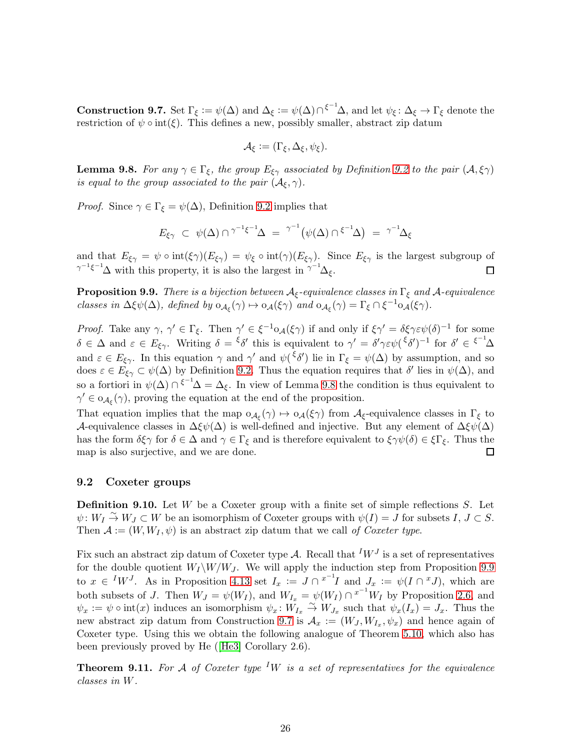<span id="page-25-3"></span>**Construction 9.7.** Set  $\Gamma_{\xi} := \psi(\Delta)$  and  $\Delta_{\xi} := \psi(\Delta) \cap {\xi^{-1}}\Delta$ , and let  $\psi_{\xi} : \Delta_{\xi} \to \Gamma_{\xi}$  denote the restriction of  $\psi \circ \text{int}(\xi)$ . This defines a new, possibly smaller, abstract zip datum

$$
\mathcal{A}_{\xi} := (\Gamma_{\xi}, \Delta_{\xi}, \psi_{\xi}).
$$

<span id="page-25-1"></span>**Lemma 9.8.** For any  $\gamma \in \Gamma_{\xi}$ , the group  $E_{\xi\gamma}$  associated by Definition [9.2](#page-24-2) to the pair  $(A, \xi\gamma)$ is equal to the group associated to the pair  $(\mathcal{A}_{\xi}, \gamma)$ .

*Proof.* Since  $\gamma \in \Gamma_{\xi} = \psi(\Delta)$ , Definition [9.2](#page-24-2) implies that

$$
E_{\xi\gamma} \ \subset \ \psi(\Delta) \cap^{\gamma^{-1}\xi^{-1}}\Delta \ = \ {}^{\gamma^{-1}}\big(\psi(\Delta) \cap {}^{\xi^{-1}}\Delta\big) \ = \ {}^{\gamma^{-1}}\Delta_{\xi}
$$

and that  $E_{\xi\gamma} = \psi \circ \text{int}(\xi\gamma)(E_{\xi\gamma}) = \psi_{\xi} \circ \text{int}(\gamma)(E_{\xi\gamma})$ . Since  $E_{\xi\gamma}$  is the largest subgroup of  $\gamma^{-1} \xi^{-1} \Delta$  with this property, it is also the largest in  $\gamma^{-1} \Delta_{\xi}$ .  $\Box$ 

<span id="page-25-2"></span>**Proposition 9.9.** There is a bijection between  $A_{\xi}$ -equivalence classes in  $\Gamma_{\xi}$  and  $A$ -equivalence classes in  $\Delta \xi \psi(\Delta)$ , defined by  $o_{\mathcal{A}_{\xi}}(\gamma) \mapsto o_{\mathcal{A}}(\xi \gamma)$  and  $o_{\mathcal{A}_{\xi}}(\gamma) = \Gamma_{\xi} \cap \xi^{-1} o_{\mathcal{A}}(\xi \gamma)$ .

Proof. Take any  $\gamma$ ,  $\gamma' \in \Gamma_{\xi}$ . Then  $\gamma' \in \xi^{-1} \circ \mathcal{A}(\xi \gamma)$  if and only if  $\xi \gamma' = \delta \xi \gamma \varepsilon \psi(\delta)^{-1}$  for some  $\delta \in \Delta$  and  $\varepsilon \in E_{\xi\gamma}$ . Writing  $\delta = \frac{\xi \delta'}{\zeta}$  this is equivalent to  $\gamma' = \delta' \gamma \varepsilon \psi(\frac{\xi \delta')^{-1}}{\zeta}$  for  $\delta' \in \frac{\xi^{-1} \Delta \zeta}{\zeta \delta}$ and  $\varepsilon \in E_{\xi\gamma}$ . In this equation  $\gamma$  and  $\gamma'$  and  $\psi({\xi\delta}')$  lie in  $\Gamma_{\xi} = \psi(\Delta)$  by assumption, and so does  $\varepsilon \in \overline{E}_{\xi\gamma} \subset \psi(\Delta)$  by Definition [9.2.](#page-24-2) Thus the equation requires that  $\delta'$  lies in  $\psi(\Delta)$ , and so a fortiori in  $\psi(\Delta) \cap {\xi^{-1}}\Delta = \Delta_{\xi}$ . In view of Lemma [9.8](#page-25-1) the condition is thus equivalent to  $\gamma' \in o_{\mathcal{A}_{\xi}}(\gamma)$ , proving the equation at the end of the proposition.

That equation implies that the map  $o_{\mathcal{A}_{\xi}}(\gamma) \mapsto o_{\mathcal{A}}(\xi \gamma)$  from  $\mathcal{A}_{\xi}$ -equivalence classes in  $\Gamma_{\xi}$  to A-equivalence classes in  $\Delta \xi \psi(\Delta)$  is well-defined and injective. But any element of  $\Delta \xi \psi(\Delta)$ has the form  $\delta \xi \gamma$  for  $\delta \in \Delta$  and  $\gamma \in \Gamma_{\xi}$  and is therefore equivalent to  $\xi \gamma \psi(\delta) \in \xi \Gamma_{\xi}$ . Thus the map is also surjective, and we are done.  $\Box$ 

#### <span id="page-25-4"></span>9.2 Coxeter groups

**Definition 9.10.** Let  $W$  be a Coxeter group with a finite set of simple reflections  $S$ . Let  $\psi: W_I \overset{\sim}{\to} W_J \subset W$  be an isomorphism of Coxeter groups with  $\psi(I) = J$  for subsets  $I, J \subset S$ . Then  $\mathcal{A} := (W, W_I, \psi)$  is an abstract zip datum that we call of Coxeter type.

Fix such an abstract zip datum of Coxeter type A. Recall that  $^I W^J$  is a set of representatives for the double quotient  $W_I \backslash W/W_J$ . We will apply the induction step from Proposition [9.9](#page-25-2) to  $x \in {}^{I}W^{J}$ . As in Proposition 4.13 set  $I_x := J \cap {}^{x^{-1}}I$  and  $J_x := \psi(I \cap {}^{x}J)$ , which are both subsets of J. Then  $W_J = \psi(W_I)$ , and  $W_{I_x} = \psi(W_I) \cap {}^{x^{-1}}W_I$  by Proposition [2.6,](#page-6-2) and  $\psi_x := \psi \circ \text{int}(x)$  induces an isomorphism  $\psi_x : W_{I_x} \overset{\sim}{\to} W_{J_x}$  such that  $\psi_x(I_x) = J_x$ . Thus the new abstract zip datum from Construction [9.7](#page-25-3) is  $\mathcal{A}_x := (W_J, W_{I_x}, \psi_x)$  and hence again of Coxeter type. Using this we obtain the following analogue of Theorem [5.10,](#page-17-0) which also has been previously proved by He([\[He3\]](#page-40-4) Corollary 2.6).

<span id="page-25-0"></span>**Theorem 9.11.** For A of Coxeter type <sup>I</sup>W is a set of representatives for the equivalence classes in W.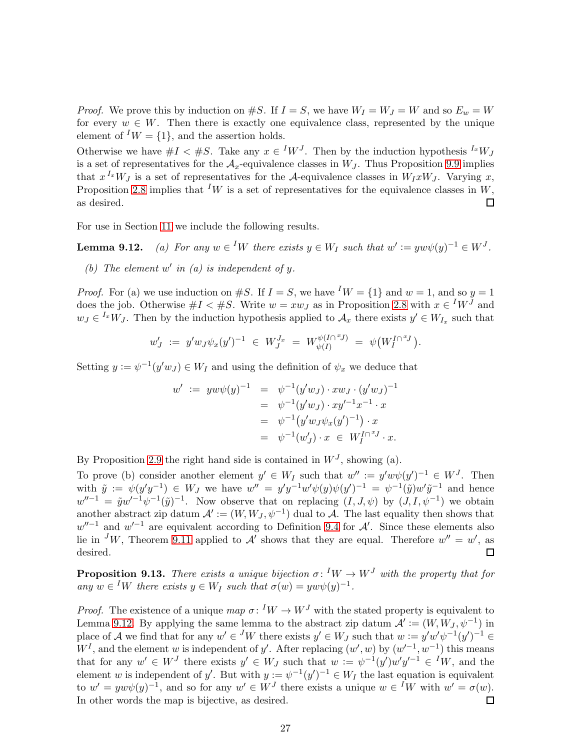*Proof.* We prove this by induction on #S. If  $I = S$ , we have  $W_I = W_J = W$  and so  $E_w = W$ for every  $w \in W$ . Then there is exactly one equivalence class, represented by the unique element of  $^I W = \{1\}$ , and the assertion holds.

Otherwise we have  $#I < #S$ . Take any  $x \in {}^I W^J$ . Then by the induction hypothesis  ${}^{I_x} W_J$ is a set of representatives for the  $A_x$ -equivalence classes in  $W_J$ . Thus Proposition [9.9](#page-25-2) implies that  $x^{I_x}W_J$  is a set of representatives for the A-equivalence classes in  $W_I x W_J$ . Varying x, Proposition [2.8](#page-6-1) implies that <sup>I</sup>W is a set of representatives for the equivalence classes in W, as desired.  $\Box$ 

For use in Section [11](#page-30-0) we include the following results.

**Lemma 9.12.** (a) For any  $w \in {}^I W$  there exists  $y \in W_I$  such that  $w' := y w \psi(y)^{-1} \in W^J$ .

(b) The element  $w'$  in (a) is independent of  $y$ .

*Proof.* For (a) we use induction on #S. If  $I = S$ , we have <sup>I</sup>W = {1} and w = 1, and so y = 1 does the job. Otherwise  $#I < #S$ . Write  $w = xw_J$  as in Proposition [2.8](#page-6-1) with  $x \in {}^I W^J$  and  $w_J \in {}^{I_x}W_J$ . Then by the induction hypothesis applied to  $\mathcal{A}_x$  there exists  $y' \in W_{I_x}$  such that

$$
w'_J := y' w_J \psi_x(y')^{-1} \in W_J^{J_x} = W_{\psi(I)}^{\psi(I \cap {^x\!J})} = \psi(W_I^{I \cap {^x\!J}}).
$$

Setting  $y := \psi^{-1}(y'w_J) \in W_I$  and using the definition of  $\psi_x$  we deduce that

$$
w' := y w \psi(y)^{-1} = \psi^{-1} (y' w_J) \cdot x w_J \cdot (y' w_J)^{-1}
$$
  
=  $\psi^{-1} (y' w_J) \cdot x y'^{-1} x^{-1} \cdot x$   
=  $\psi^{-1} (y' w_J \psi_x (y')^{-1}) \cdot x$   
=  $\psi^{-1} (w'_J) \cdot x \in W_I^{I \cap {^xJ}} \cdot x.$ 

By Proposition [2.9](#page-7-3) the right hand side is contained in  $W<sup>J</sup>$ , showing (a).

To prove (b) consider another element  $y' \in W_I$  such that  $w'' := y' w \psi(y')^{-1} \in W^J$ . Then with  $\tilde{y} := \psi(y'y^{-1}) \in W_J$  we have  $w'' = y'y^{-1}w'\psi(y)\psi(y')^{-1} = \psi^{-1}(\tilde{y})w'\tilde{y}^{-1}$  and hence  $w''^{-1} = \tilde{y}w'^{-1}\psi^{-1}(\tilde{y})^{-1}$ . Now observe that on replacing  $(I, J, \psi)$  by  $(J, I, \psi^{-1})$  we obtain another abstract zip datum  $\mathcal{A}' := (W, W_J, \psi^{-1})$  dual to  $\mathcal{A}$ . The last equality then shows that  $w''^{-1}$  and  $w'^{-1}$  are equivalent according to Definition [9.4](#page-24-3) for A'. Since these elements also lie in <sup>J</sup>W, Theorem [9.11](#page-25-0) applied to A' shows that they are equal. Therefore  $w'' = w'$ , as desired.  $\Box$ 

<span id="page-26-0"></span>**Proposition 9.13.** There exists a unique bijection  $\sigma: {}^I W \to W^J$  with the property that for any  $w \in {}^I W$  there exists  $y \in W_I$  such that  $\sigma(w) = y w \psi(y)^{-1}$ .

*Proof.* The existence of a unique  $map \ \sigma: {}^I W \to W^J$  with the stated property is equivalent to Lemma 9.12. By applying the same lemma to the abstract zip datum  $\mathcal{A}' := (W, W_J, \psi^{-1})$  in place of A we find that for any  $w' \in {}^J W$  there exists  $y' \in W_J$  such that  $w := y' w' \psi^{-1}(y')^{-1} \in$  $W<sup>I</sup>$ , and the element w is independent of y'. After replacing  $(w', w)$  by  $(w'^{-1}, w^{-1})$  this means that for any  $w' \in W^J$  there exists  $y' \in W_J$  such that  $w := \psi^{-1}(y')w'y'^{-1} \in {}^I W$ , and the element w is independent of y'. But with  $y := \psi^{-1}(y')^{-1} \in W_I$  the last equation is equivalent to  $w' = y w \psi(y)^{-1}$ , and so for any  $w' \in W^J$  there exists a unique  $w \in {}^I W$  with  $w' = \sigma(w)$ . In other words the map is bijective, as desired.  $\Box$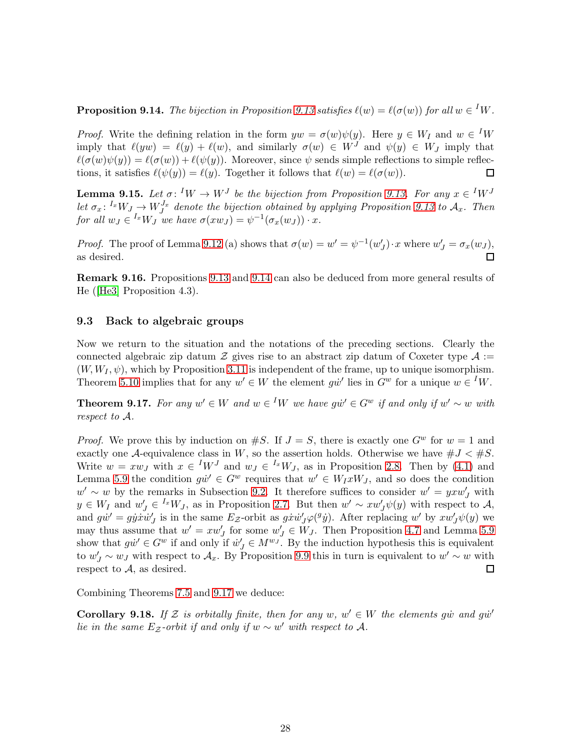<span id="page-27-1"></span>**Proposition 9.14.** The bijection in Proposition [9.13](#page-26-0) satisfies  $\ell(w) = \ell(\sigma(w))$  for all  $w \in {}^I W$ .

*Proof.* Write the defining relation in the form  $yw = \sigma(w)\psi(y)$ . Here  $y \in W_I$  and  $w \in {}^I W$ imply that  $\ell(yw) = \ell(y) + \ell(w)$ , and similarly  $\sigma(w) \in W^J$  and  $\psi(y) \in W_J$  imply that  $\ell(\sigma(w)\psi(y)) = \ell(\sigma(w)) + \ell(\psi(y)).$  Moreover, since  $\psi$  sends simple reflections to simple reflections, it satisfies  $\ell(\psi(y)) = \ell(y)$ . Together it follows that  $\ell(w) = \ell(\sigma(w))$ . □

<span id="page-27-2"></span>**Lemma 9.15.** Let  $\sigma: {}^I W \to W^J$  be the bijection from Proposition [9.13.](#page-26-0) For any  $x \in {}^I W^J$ let  $\sigma_x$ : <sup>I</sup><sub>x</sub>W<sub>J</sub>  $\rightarrow$  W<sub>J</sub><sup>T</sup><sub>x</sub> denote the bijection obtained by applying Proposition [9.13](#page-26-0) to  $\mathcal{A}_x$ . Then for all  $w_J \in {}^{I_x}W_J$  we have  $\sigma(xw_J) = \psi^{-1}(\sigma_x(w_J)) \cdot x$ .

*Proof.* The proof of Lemma 9.12 (a) shows that  $\sigma(w) = w' = \psi^{-1}(w'_J) \cdot x$  where  $w'_J = \sigma_x(w_J)$ , as desired.  $\Box$ 

Remark 9.16. Propositions [9.13](#page-26-0) and [9.14](#page-27-1) can also be deduced from more general results of He([\[He3\]](#page-40-4) Proposition 4.3).

#### 9.3 Back to algebraic groups

Now we return to the situation and the notations of the preceding sections. Clearly the connected algebraic zip datum  $\mathcal Z$  gives rise to an abstract zip datum of Coxeter type  $\mathcal A$  :=  $(W, W_I, \psi)$ , which by Proposition [3.11](#page-10-3) is independent of the frame, up to unique isomorphism. Theorem [5.10](#page-17-0) implies that for any  $w' \in W$  the element  $g\dot{w}'$  lies in  $G^w$  for a unique  $w \in {}^I W$ .

<span id="page-27-0"></span>**Theorem 9.17.** For any  $w' \in W$  and  $w \in {}^I W$  we have  $g\dot{w}' \in G^w$  if and only if  $w' \sim w$  with respect to A.

*Proof.* We prove this by induction on  $\#S$ . If  $J = S$ , there is exactly one  $G^w$  for  $w = 1$  and exactly one A-equivalence class in W, so the assertion holds. Otherwise we have  $\#J < \#S$ . Write  $w = xw_J$  with  $x \in {}^I W^J$  and  $w_J \in {}^{I_x} W_J$ , as in Proposition [2.8.](#page-6-1) Then by [\(4.1\)](#page-11-4) and Lemma [5.9](#page-16-2) the condition  $g\dot{w}' \in G^w$  requires that  $w' \in W_I xW_J$ , and so does the condition  $w' \sim w$  by the remarks in Subsection [9.2.](#page-25-4) It therefore suffices to consider  $w' = y x w'_{J}$  with  $y \in W_I$  and  $w'_J \in {}^{I_x}W_J$ , as in Proposition [2.7.](#page-6-0) But then  $w' \sim x w'_J \psi(y)$  with respect to A, and  $g\dot{w}' = g\dot{y}\dot{x}\dot{w}'_J$  is in the same  $E_z$ -orbit as  $g\dot{x}\dot{w}'_J\varphi({}^g\dot{y})$ . After replacing  $w'$  by  $xw'_J\psi(y)$  we may thus assume that  $w' = xw'_{J}$  for some  $w'_{J} \in W_{J}$ . Then Proposition [4.7](#page-12-2) and Lemma [5.9](#page-16-2) show that  $g\dot{w}' \in G^w$  if and only if  $\dot{w}'_J \in M^{w_J}$ . By the induction hypothesis this is equivalent to  $w'_J \sim w_J$  with respect to  $\mathcal{A}_x$ . By Proposition [9.9](#page-25-2) this in turn is equivalent to  $w' \sim w$  with respect to  $A$ , as desired. □

Combining Theorems [7.5](#page-22-1) and [9.17](#page-27-0) we deduce:

**Corollary 9.18.** If  $\mathcal{Z}$  is orbitally finite, then for any  $w, w' \in W$  the elements gw and gw' lie in the same  $E_z$ -orbit if and only if  $w \sim w'$  with respect to A.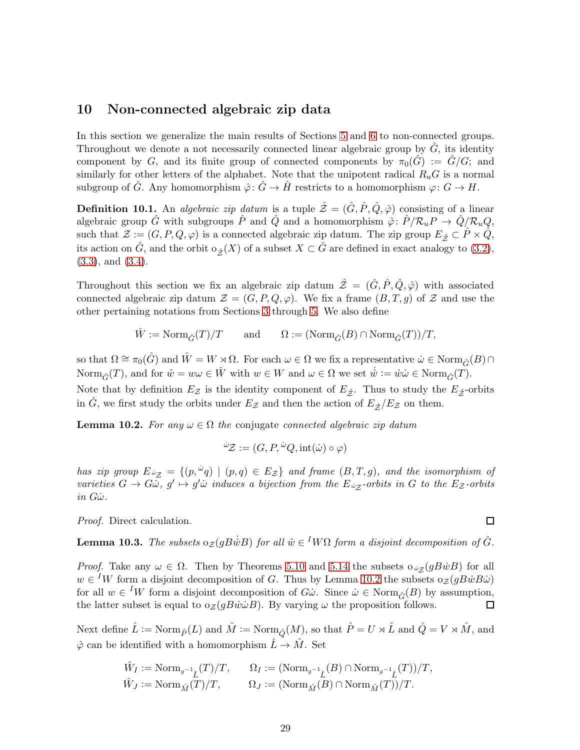### <span id="page-28-0"></span>10 Non-connected algebraic zip data

In this section we generalize the main results of Sections [5](#page-15-0) and [6](#page-18-1) to non-connected groups. Throughout we denote a not necessarily connected linear algebraic group by  $\ddot{G}$ , its identity component by G, and its finite group of connected components by  $\pi_0(\hat{G}) := \hat{G}/G$ ; and similarly for other letters of the alphabet. Note that the unipotent radical  $R_uG$  is a normal subgroup of  $\hat{G}$ . Any homomorphism  $\hat{\varphi}$ :  $\hat{G} \to \hat{H}$  restricts to a homomorphism  $\varphi$ :  $G \to H$ .

**Definition 10.1.** An *algebraic zip datum* is a tuple  $\hat{\mathcal{Z}} = (\hat{G}, \hat{P}, \hat{Q}, \hat{\varphi})$  consisting of a linear algebraic group  $\hat{G}$  with subgroups  $\hat{P}$  and  $\hat{Q}$  and a homomorphism  $\hat{\varphi}$ :  $\hat{P}/\mathcal{R}_u P \to \hat{Q}/\mathcal{R}_u Q$ , such that  $\mathcal{Z} := (G, P, Q, \varphi)$  is a connected algebraic zip datum. The zip group  $E_{\hat{Z}} \subset \hat{P} \times \hat{Q}$ , its action on  $\hat{G}$ , and the orbit  $\circ_{\hat{\mathcal{Z}}}(X)$  of a subset  $X \subset \hat{G}$  are defined in exact analogy to  $(3.2)$ , [\(3.3\)](#page-9-3), and [\(3.4\)](#page-9-6).

Throughout this section we fix an algebraic zip datum  $\hat{\mathcal{Z}} = (\hat{G}, \hat{P}, \hat{Q}, \hat{\varphi})$  with associated connected algebraic zip datum  $\mathcal{Z} = (G, P, Q, \varphi)$ . We fix a frame  $(B, T, g)$  of  $\mathcal Z$  and use the other pertaining notations from Sections [3](#page-9-0) through [5.](#page-15-0) We also define

$$
\hat{W}:=\text{Norm}_{\hat{G}}(T)/T\qquad\text{and}\qquad \Omega:=(\text{Norm}_{\hat{G}}(B)\cap \text{Norm}_{\hat{G}}(T))/T,
$$

so that  $\Omega \cong \pi_0(\hat{G})$  and  $\hat{W} = W \rtimes \Omega$ . For each  $\omega \in \Omega$  we fix a representative  $\hat{\omega} \in \text{Norm}_{\hat{G}}(B) \cap$ Norm $_{\hat{G}}(T)$ , and for  $\hat{w} = w\omega \in \hat{W}$  with  $w \in W$  and  $\omega \in \Omega$  we set  $\dot{\hat{w}} := \dot{w}\dot{\omega} \in \text{Norm}_{\hat{G}}(T)$ . Note that by definition  $E_z$  is the identity component of  $E_{\hat{z}}$ . Thus to study the  $E_{\hat{z}}$ -orbits in G, we first study the orbits under  $E_z$  and then the action of  $E_{\hat{z}}/E_z$  on them.

<span id="page-28-1"></span>**Lemma 10.2.** For any  $\omega \in \Omega$  the conjugate connected algebraic zip datum

$$
\omega z := (G, P, \omega Q, \text{int}(\omega) \circ \varphi)
$$

has zip group  $E_{\omega_{\mathcal{Z}}} = \{(p, \omega_q) \mid (p,q) \in E_{\mathcal{Z}}\}$  and frame  $(B,T,g)$ , and the isomorphism of varieties  $G \to G\ddot{\omega}$ ,  $g' \mapsto g'\dot{\omega}$  induces a bijection from the  $E_{\dot{\omega}_{\mathcal{Z}}}$ -orbits in G to the  $E_{\mathcal{Z}}$ -orbits  $in G\dot{\omega}$ .

Proof. Direct calculation.

<span id="page-28-2"></span>**Lemma 10.3.** The subsets  $o_{\mathcal{Z}}(gB\dot{\hat{w}}B)$  for all  $\hat{w} \in {}^I W\Omega$  form a disjoint decomposition of  $\hat{G}$ .

*Proof.* Take any  $\omega \in \Omega$ . Then by Theorems [5.10](#page-17-0) and [5.14](#page-18-0) the subsets  $\omega_{\mathcal{Z}}(gB\dot{w}B)$  for all  $w \in {}^{I}W$  form a disjoint decomposition of G. Thus by Lemma [10.2](#page-28-1) the subsets  $o_{\mathcal{Z}}(gB\dot{w}B\dot{\omega})$ for all  $w \in {}^I W$  form a disjoint decomposition of  $G\dot{\omega}$ . Since  $\dot{\omega} \in \text{Norm}_{\hat{G}}(B)$  by assumption, the latter subset is equal to  $o_{\mathcal{Z}}(gB\dot{w}\dot{\omega}B)$ . By varying  $\omega$  the proposition follows. □

Next define  $\hat{L} := \text{Norm}_{\hat{P}}(L)$  and  $\hat{M} := \text{Norm}_{\hat{O}}(M)$ , so that  $\hat{P} = U \rtimes \hat{L}$  and  $\hat{Q} = V \rtimes \hat{M}$ , and  $\hat{\varphi}$  can be identified with a homomorphism  $\hat{L} \to \hat{M}$ . Set

$$
\hat{W}_I := \text{Norm}_{g^{-1}\hat{L}}(T)/T, \qquad \Omega_I := (\text{Norm}_{g^{-1}\hat{L}}(B) \cap \text{Norm}_{g^{-1}\hat{L}}(T))/T, \n\hat{W}_J := \text{Norm}_{\hat{M}}(T)/T, \qquad \Omega_J := (\text{Norm}_{\hat{M}}(B) \cap \text{Norm}_{\hat{M}}(T))/T.
$$

 $\Box$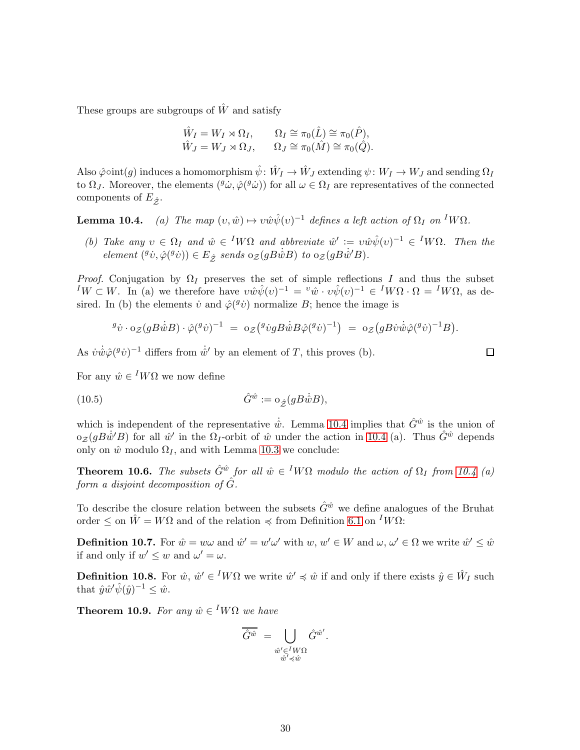These groups are subgroups of  $\hat{W}$  and satisfy

$$
\hat{W}_I = W_I \rtimes \Omega_I, \qquad \Omega_I \cong \pi_0(\hat{L}) \cong \pi_0(\hat{P}), \n\hat{W}_J = W_J \rtimes \Omega_J, \qquad \Omega_J \cong \pi_0(\hat{M}) \cong \pi_0(\hat{Q}).
$$

Also  $\hat{\varphi} \circ \text{int}(g)$  induces a homomorphism  $\hat{\psi} \colon \hat{W}_I \to \hat{W}_J$  extending  $\psi \colon W_I \to W_J$  and sending  $\Omega_I$ to  $\Omega_J$ . Moreover, the elements  $({}^g\dot{\omega}, \hat{\varphi}({}^g\dot{\omega}))$  for all  $\omega \in \Omega_I$  are representatives of the connected components of  $E_{\hat{\boldsymbol{z}}}$ .

**Lemma 10.4.** (a) The map  $(v, \hat{w}) \mapsto v \hat{w} \hat{\psi}(v)^{-1}$  defines a left action of  $\Omega_I$  on <sup>I</sup>W $\Omega$ .

(b) Take any  $v \in \Omega_I$  and  $\hat{w} \in {}^I W \Omega$  and abbreviate  $\hat{w}' := v \hat{w} \hat{\psi}(v)^{-1} \in {}^I W \Omega$ . Then the element  $({}^g\dot{v}, \hat{\varphi}({}^g\dot{v})) \in E_{\hat{\mathcal{Z}}}$  sends  $o_{\mathcal{Z}}(gB\dot{\hat{w}}B)$  to  $o_{\mathcal{Z}}(gB\dot{\hat{w}}'B)$ .

*Proof.* Conjugation by  $\Omega_I$  preserves the set of simple reflections I and thus the subset  ${}^I W \subset W$ . In (a) we therefore have  $v \hat{w} \hat{\psi}(v)^{-1} = {}^v \hat{w} \cdot v \hat{\psi}(v)^{-1} \in {}^I W \Omega \cdot \Omega = {}^I W \Omega$ , as desired. In (b) the elements  $\dot{v}$  and  $\hat{\varphi}(\theta \dot{v})$  normalize B; hence the image is

<span id="page-29-3"></span>
$$
{}^g\dot{v}\cdot {\rm o}_{\mathcal{Z}}(gB\dot{\hat{w}}B)\cdot\hat{\varphi}({}^g\dot{v})^{-1} \ = \ {\rm o}_{\mathcal{Z}}\big({}^g\dot{v}gB\dot{\hat{w}}B\hat{\varphi}({}^g\dot{v})^{-1}\big) \ = \ {\rm o}_{\mathcal{Z}}\big(gB\dot{v}\dot{\hat{w}}\hat{\varphi}({}^g\dot{v})^{-1}B\big).
$$

As  $\dot{v}\dot{\hat{w}}\hat{\varphi}({}^g\dot{v})^{-1}$  differs from  $\dot{\hat{w}}'$  by an element of T, this proves (b).

For any  $\hat{w} \in {}^{I}W\Omega$  we now define

(10.5) 
$$
\hat{G}^{\hat{w}} := o_{\hat{\mathcal{Z}}}(gB\dot{w}B),
$$

which is independent of the representative  $\dot{\hat{w}}$ . Lemma 10.4 implies that  $\hat{G}^{\hat{w}}$  is the union of  $\sigma_{\mathcal{Z}}(gB\dot{w}^{\prime}B)$  for all  $\hat{w}^{\prime}$  in the  $\Omega_{I}$ -orbit of  $\hat{w}$  under the action in 10.4 (a). Thus  $\hat{G}^{\hat{w}}$  depends only on  $\hat{w}$  modulo  $\Omega_I$ , and with Lemma [10.3](#page-28-2) we conclude:

<span id="page-29-2"></span>**Theorem 10.6.** The subsets  $\hat{G}^{\hat{w}}$  for all  $\hat{w} \in {}^{I}W\Omega$  modulo the action of  $\Omega_I$  from 10.4 (a) form a disjoint decomposition of  $\hat{G}$ .

To describe the closure relation between the subsets  $\hat{G}^{\hat{w}}$  we define analogues of the Bruhat order  $\leq$  on  $\hat{W} = W\Omega$  and of the relation  $\preccurlyeq$  from Definition [6.1](#page-18-3) on  $^I W\Omega$ :

<span id="page-29-0"></span>**Definition 10.7.** For  $\hat{w} = w\omega$  and  $\hat{w}' = w'\omega'$  with  $w, w' \in W$  and  $\omega, \omega' \in \Omega$  we write  $\hat{w}' \leq \hat{w}$ if and only if  $w' \leq w$  and  $\omega' = \omega$ .

<span id="page-29-1"></span>**Definition 10.8.** For  $\hat{w}, \hat{w}' \in {}^I W \Omega$  we write  $\hat{w}' \preccurlyeq \hat{w}$  if and only if there exists  $\hat{y} \in \hat{W}_I$  such that  $\hat{y}\hat{w}'\hat{\psi}(\hat{y})^{-1} \leq \hat{w}$ .

**Theorem 10.9.** For any  $\hat{w} \in {}^{I}W\Omega$  we have

$$
\overline{\hat{G}^{\hat{w}}}\ =\bigcup_{\substack{\hat{w}'\in {^I}W\Omega\\ \hat{w}'\preccurlyeq \hat{w}}}\hat{G}^{\hat{w}'}.
$$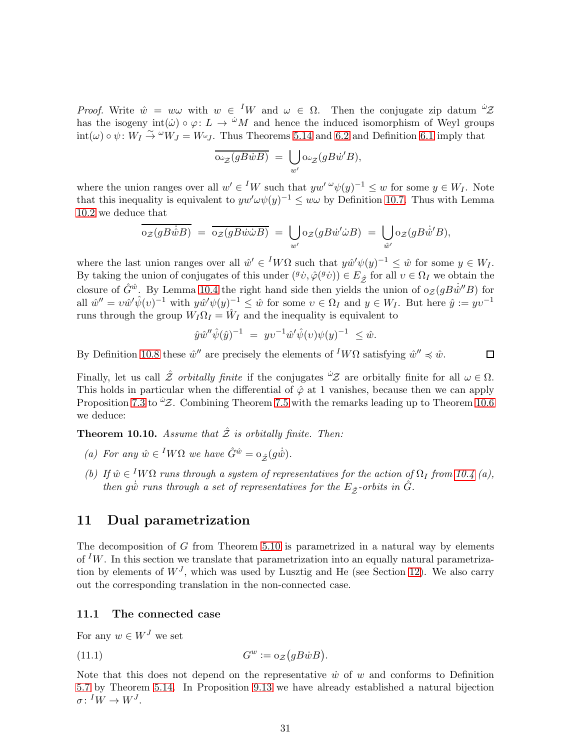*Proof.* Write  $\hat{w} = w\omega$  with  $w \in {}^I W$  and  $\omega \in \Omega$ . Then the conjugate zip datum  $\omega$ . has the isogeny  $int(\omega) \circ \varphi: L \to {}^{\omega}M$  and hence the induced isomorphism of Weyl groups  $\text{int}(\omega) \circ \psi : W_I \overset{\sim}{\to} {}^{\omega}W_J = W_{\omega}J$ . Thus Theorems [5.14](#page-18-0) and [6.2](#page-19-0) and Definition [6.1](#page-18-3) imply that

$$
\overline{\mathrm{O}_{\dot{\omega}_{\mathcal{Z}}}(gB\dot{w}B)} = \bigcup_{w'} \mathrm{O}_{\dot{\omega}_{\mathcal{Z}}}(gB\dot{w}'B),
$$

where the union ranges over all  $w' \in {}^I W$  such that  $yw' \omega \psi(y)^{-1} \leq w$  for some  $y \in W_I$ . Note that this inequality is equivalent to  $yw'\omega\psi(y)^{-1} \leq w\omega$  by Definition [10.7.](#page-29-0) Thus with Lemma [10.2](#page-28-1) we deduce that

$$
\overline{\mathrm{o}_{\mathcal{Z}}(g\dot{B}\dot{\hat{w}}B)} = \overline{\mathrm{o}_{\mathcal{Z}}(g\dot{B}\dot{w}\dot{\omega}B)} = \bigcup_{w'} \mathrm{o}_{\mathcal{Z}}(g\dot{B}\dot{w}'\dot{\omega}B) = \bigcup_{\hat{w}'} \mathrm{o}_{\mathcal{Z}}(g\dot{B}\dot{\hat{w}}'B),
$$

where the last union ranges over all  $\hat{w}' \in {}^I W \Omega$  such that  $y \hat{w}' \psi(y)^{-1} \leq \hat{w}$  for some  $y \in W_I$ . By taking the union of conjugates of this under  $({}^g\dot{v}, \hat{\varphi}({}^g\dot{v})) \in E_{\hat{\mathcal{Z}}}$  for all  $v \in \Omega_I$  we obtain the closure of  $\hat{G}^{\hat{w}}$ . By Lemma 10.4 the right hand side then yields the union of  $\sigma_{\mathcal{Z}}(gB\dot{w}''B)$  for all  $\hat{w}'' = v\hat{w}'\hat{\psi}(v)^{-1}$  with  $y\hat{w}'\psi(y)^{-1} \leq \hat{w}$  for some  $v \in \Omega_I$  and  $y \in W_I$ . But here  $\hat{y} := yv^{-1}$ runs through the group  $W_I \Omega_I = \hat{W}_I$  and the inequality is equivalent to

$$
\hat{y}\hat{w}''\hat{\psi}(\hat{y})^{-1} = yv^{-1}\hat{w}'\hat{\psi}(v)\psi(y)^{-1} \leq \hat{w}.
$$

 $\Box$ 

By Definition [10.8](#page-29-1) these  $\hat{w}''$  are precisely the elements of  $^I W\Omega$  satisfying  $\hat{w}'' \preccurlyeq \hat{w}$ .

Finally, let us call  $\hat{\mathcal{Z}}$  orbitally finite if the conjugates  $\hat{\mathcal{Z}}$  are orbitally finite for all  $\omega \in \Omega$ . This holds in particular when the differential of  $\hat{\varphi}$  at 1 vanishes, because then we can apply Proposition [7.3](#page-22-0) to  $\mathscr{Z}$ . Combining Theorem [7.5](#page-22-1) with the remarks leading up to Theorem [10.6](#page-29-2) we deduce:

**Theorem 10.10.** Assume that  $\hat{z}$  is orbitally finite. Then:

- (a) For any  $\hat{w} \in {}^{I}W\Omega$  we have  $\hat{G}^{\hat{w}} = o_{\hat{\mathcal{Z}}}(g\hat{w}).$
- (b) If  $\hat{w} \in {}^{I}W\Omega$  runs through a system of representatives for the action of  $\Omega_I$  from 10.4 (a), then g $\dot{\hat{w}}$  runs through a set of representatives for the  $E_{\hat{\mathcal{Z}}}$ -orbits in  $\hat{G}$ .

### <span id="page-30-0"></span>11 Dual parametrization

The decomposition of  $G$  from Theorem [5.10](#page-17-0) is parametrized in a natural way by elements of  $^I W$ . In this section we translate that parametrization into an equally natural parametrization by elements of  $W<sup>J</sup>$ , which was used by Lusztig and He (see Section [12\)](#page-33-0). We also carry out the corresponding translation in the non-connected case.

### <span id="page-30-1"></span>11.1 The connected case

For any  $w \in W^J$  we set

<span id="page-30-2"></span>(11.1) 
$$
G^w := o_{\mathcal{Z}}(gB\dot{w}B).
$$

Note that this does not depend on the representative  $\dot{w}$  of w and conforms to Definition [5.7](#page-16-1) by Theorem [5.14.](#page-18-0) In Proposition [9.13](#page-26-0) we have already established a natural bijection  $\sigma\colon {}^IW\to W^J.$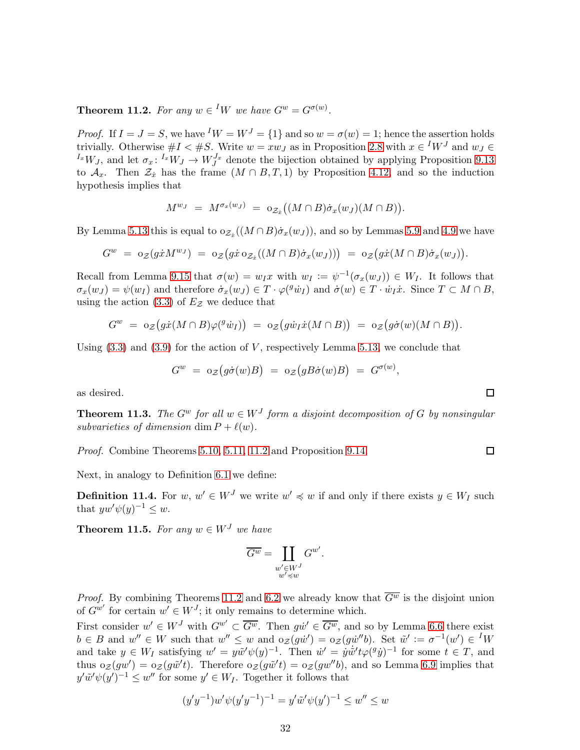<span id="page-31-0"></span>**Theorem 11.2.** For any  $w \in {}^I W$  we have  $G^w = G^{\sigma(w)}$ .

*Proof.* If  $I = J = S$ , we have  $^I W = W^J = \{1\}$  and so  $w = \sigma(w) = 1$ ; hence the assertion holds trivially. Otherwise  $\#I \leq \#S$ . Write  $w = xw_J$  as in Proposition [2.8](#page-6-1) with  $x \in {}^I W^J$  and  $w_J \in$  $^{I_x}W_J$ , and let  $\sigma_x: {}^{I_x}W_J \to W_J^{J_x}$  denote the bijection obtained by applying Proposition [9.13](#page-26-0) to  $\mathcal{A}_x$ . Then  $\mathcal{Z}_x$  has the frame  $(M \cap B, T, 1)$  by Proposition [4.12,](#page-14-0) and so the induction hypothesis implies that

$$
M^{w_J} = M^{\sigma_x(w_J)} = o_{\mathcal{Z}_x}((M \cap B)\dot{\sigma}_x(w_J)(M \cap B)).
$$

By Lemma [5.13](#page-18-2) this is equal to  $o_{\mathcal{Z}_x}((M \cap B)\dot{\sigma}_x(w_J))$ , and so by Lemmas [5.9](#page-16-2) and [4.9](#page-13-1) we have

$$
G^w = o_{\mathcal{Z}}(g\dot{x}M^{w_J}) = o_{\mathcal{Z}}(g\dot{x} o_{\mathcal{Z}_{\dot{x}}}((M \cap B)\dot{\sigma}_x(w_J))) = o_{\mathcal{Z}}(g\dot{x}(M \cap B)\dot{\sigma}_x(w_J)).
$$

Recall from Lemma [9.15](#page-27-2) that  $\sigma(w) = w_I x$  with  $w_I := \psi^{-1}(\sigma_x(w_J)) \in W_I$ . It follows that  $\sigma_x(w_J) = \psi(w_I)$  and therefore  $\dot{\sigma}_x(w_J) \in T \cdot \varphi({}^g \dot{w}_I)$  and  $\dot{\sigma}(w) \in T \cdot \dot{w}_I \dot{x}$ . Since  $T \subset M \cap B$ , using the action [\(3.3\)](#page-9-3) of  $E_z$  we deduce that

$$
G^w = o_{\mathcal{Z}}\big(g\dot{x}(M \cap B)\varphi({}^g\dot{w}_I)\big) = o_{\mathcal{Z}}\big(g\dot{w}_I\dot{x}(M \cap B)\big) = o_{\mathcal{Z}}\big(g\dot{\sigma}(w)(M \cap B)\big).
$$

Using  $(3.3)$  and  $(3.9)$  for the action of V, respectively Lemma [5.13,](#page-18-2) we conclude that

$$
G^w\,\,=\,\,\mathrm{o}_{\mathcal{Z}}\big(g\dot{\sigma}(w)B\big)\,\,=\,\,\mathrm{o}_{\mathcal{Z}}\big(gB\dot{\sigma}(w)B\big)\,\,=\,\,G^{\sigma(w)},
$$

 $\Box$ 

 $\Box$ 

as desired.

<span id="page-31-2"></span>**Theorem 11.3.** The  $G^w$  for all  $w \in W<sup>J</sup>$  form a disjoint decomposition of G by nonsingular subvarieties of dimension dim  $P + \ell(w)$ .

Proof. Combine Theorems [5.10,](#page-17-0) [5.11,](#page-17-1) [11.2](#page-31-0) and Proposition [9.14.](#page-27-1)

Next, in analogy to Definition [6.1](#page-18-3) we define:

**Definition 11.4.** For  $w, w' \in W^J$  we write  $w' \preccurlyeq w$  if and only if there exists  $y \in W_I$  such that  $yw'\psi(y)^{-1} \leq w$ .

<span id="page-31-1"></span>**Theorem 11.5.** For any  $w \in W<sup>J</sup>$  we have

$$
\overline{G^w} = \coprod_{\substack{w' \in W^J \\ w' \preccurlyeq w}} G^{w'}.
$$

*Proof.* By combining Theorems [11.2](#page-31-0) and [6.2](#page-19-0) we already know that  $\overline{G^w}$  is the disjoint union of  $G^{w'}$  for certain  $w' \in W^J$ ; it only remains to determine which.

First consider  $w' \in W^J$  with  $G^{w'} \subset \overline{G^w}$ . Then  $g\dot{w}' \in \overline{G^w}$ , and so by Lemma [6.6](#page-19-4) there exist  $b \in B$  and  $w'' \in W$  such that  $w'' \leq w$  and  $o_{\mathcal{Z}}(g\dot{w}') = o_{\mathcal{Z}}(g\dot{w}''b)$ . Set  $\tilde{w}' := \sigma^{-1}(w') \in {}^I W$ and take  $y \in W_I$  satisfying  $w' = y \tilde{w}' \psi(y)^{-1}$ . Then  $\dot{w}' = \dot{y} \dot{\tilde{w}}' t \varphi({}^g \dot{y})^{-1}$  for some  $t \in T$ , and thus  $o_{\mathcal{Z}}(gw') = o_{\mathcal{Z}}(g\tilde{w}'t)$ . Therefore  $o_{\mathcal{Z}}(g\tilde{w}'t) = o_{\mathcal{Z}}(gw''b)$ , and so Lemma [6.9](#page-20-0) implies that  $y' \tilde{w}' \psi(y')^{-1} \leq w''$  for some  $y' \in W_I$ . Together it follows that

$$
(y'y^{-1})w'\psi(y'y^{-1})^{-1} = y'\tilde{w}'\psi(y')^{-1} \le w'' \le w
$$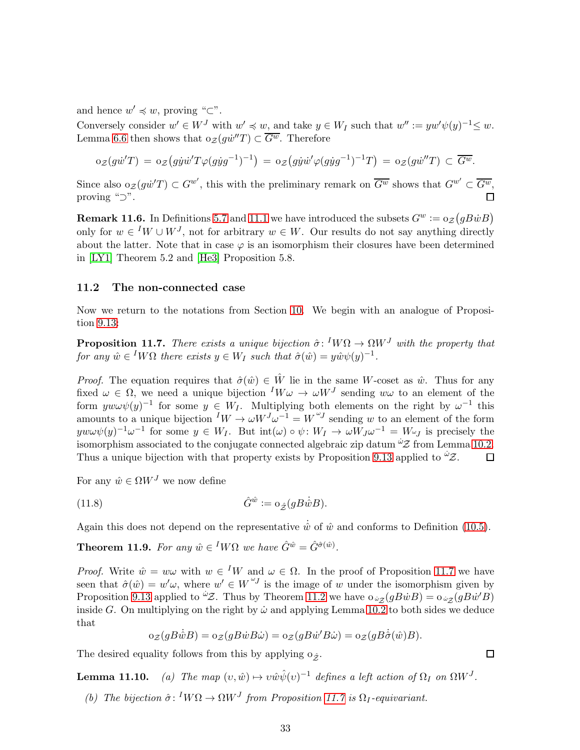and hence  $w' \preccurlyeq w$ , proving "⊂".

Conversely consider  $w' \in W^J$  with  $w' \preccurlyeq w$ , and take  $y \in W_I$  such that  $w'' := yw'\psi(y)^{-1} \preceq w$ . Lemma [6.6](#page-19-4) then shows that  $o_{\mathcal{Z}}(g\dot{w}''T) \subset \overline{G^w}$ . Therefore

$$
\mathrm{o}_{\mathcal{Z}}(g\dot{w}^{\prime}T) = \mathrm{o}_{\mathcal{Z}}(g\dot{y}\dot{w}^{\prime}T\varphi(g\dot{y}g^{-1})^{-1}) = \mathrm{o}_{\mathcal{Z}}(g\dot{y}\dot{w}^{\prime}\varphi(g\dot{y}g^{-1})^{-1}T) = \mathrm{o}_{\mathcal{Z}}(g\dot{w}^{\prime\prime}T) \subset \overline{G^w}.
$$

Since also  $o_{\mathcal{Z}}(g\dot{w}^{\prime}T)\subset G^{w}$ , this with the preliminary remark on  $\overline{G^{w}}$  shows that  $G^{w'}\subset \overline{G^{w}}$ , proving "⊃".  $\Box$ 

**Remark 11.6.** In Definitions [5.7](#page-16-1) and [11.1](#page-30-2) we have introduced the subsets  $G^w := o_{\mathcal{Z}}(gB\dot{w}B)$ only for  $w \in {}^I W \cup W^J$ , not for arbitrary  $w \in W$ . Our results do not say anything directly about the latter. Note that in case  $\varphi$  is an isomorphism their closures have been determined in [\[LY1\]](#page-40-10) Theorem 5.2 and [\[He3\]](#page-40-4) Proposition 5.8.

#### 11.2 The non-connected case

Now we return to the notations from Section [10.](#page-28-0) We begin with an analogue of Proposition [9.13:](#page-26-0)

<span id="page-32-0"></span>**Proposition 11.7.** There exists a unique bijection  $\hat{\sigma}$ : <sup>I</sup>W $\Omega \to \Omega W^J$  with the property that for any  $\hat{w} \in {}^{I}W\Omega$  there exists  $y \in W_I$  such that  $\hat{\sigma}(\hat{w}) = y\hat{w}\psi(y)^{-1}$ .

*Proof.* The equation requires that  $\hat{\sigma}(\hat{w}) \in \hat{W}$  lie in the same W-coset as  $\hat{w}$ . Thus for any fixed  $\omega \in \Omega$ , we need a unique bijection  $^I W \omega \to \omega W^J$  sending  $w \omega$  to an element of the form  $yw\omega\psi(y)^{-1}$  for some  $y \in W_I$ . Multiplying both elements on the right by  $\omega^{-1}$  this amounts to a unique bijection  $^IW \to \omega W^J \omega^{-1} = W^{\omega J}$  sending w to an element of the form  $yw\omega\psi(y)^{-1}\omega^{-1}$  for some  $y \in W_I$ . But  $\text{int}(\omega) \circ \psi \colon W_I \to \omega W_J \omega^{-1} = W \omega_J$  is precisely the isomorphism associated to the conjugate connected algebraic zip datum  $\omega z$  from Lemma [10.2.](#page-28-1) Thus a unique bijection with that property exists by Proposition [9.13](#page-26-0) applied to  ${}^{\omega}\mathcal{Z}$ .  $\Box$ 

For any  $\hat{w} \in \Omega W^J$  we now define

(11.8) 
$$
\hat{G}^{\hat{w}} := o_{\hat{\mathcal{Z}}}(gB\dot{w}B).
$$

Again this does not depend on the representative  $\hat{w}$  of  $\hat{w}$  and conforms to Definition [\(10.5\)](#page-29-3).

<span id="page-32-1"></span>**Theorem 11.9.** For any  $\hat{w} \in {}^{I}W\Omega$  we have  $\hat{G}^{\hat{w}} = \hat{G}^{\hat{\sigma}(\hat{w})}$ .

*Proof.* Write  $\hat{w} = w\omega$  with  $w \in {}^I W$  and  $\omega \in \Omega$ . In the proof of Proposition [11.7](#page-32-0) we have seen that  $\hat{\sigma}(\hat{w}) = w' \omega$ , where  $w' \in W^{ \omega}$  is the image of w under the isomorphism given by Proposition [9.13](#page-26-0) applied to  ${}^{\dot{\omega}}Z$ . Thus by Theorem [11.2](#page-31-0) we have  $\sigma_{\dot{\omega}z}(gB\dot{w}B) = \sigma_{\dot{\omega}z}(gB\dot{w}^{\prime}B)$ inside G. On multiplying on the right by  $\dot{\omega}$  and applying Lemma [10.2](#page-28-1) to both sides we deduce that

$$
\mathrm{o}_{\mathcal{Z}}(gB\dot{\hat{w}}B) = \mathrm{o}_{\mathcal{Z}}(gB\dot{w}B\dot{\omega}) = \mathrm{o}_{\mathcal{Z}}(gB\dot{w}'B\dot{\omega}) = \mathrm{o}_{\mathcal{Z}}(gB\dot{\hat{\sigma}}(\hat{w})B).
$$

The desired equality follows from this by applying  $\sigma_{\hat{z}}$ .

**Lemma 11.10.** (a) The map  $(v, \hat{w}) \mapsto v \hat{w} \hat{\psi}(v)^{-1}$  defines a left action of  $\Omega_I$  on  $\Omega W^J$ .

(b) The bijection  $\hat{\sigma}$ :  $^I W \Omega \to \Omega W^J$  from Proposition [11.7](#page-32-0) is  $\Omega_I$ -equivariant.

 $\Box$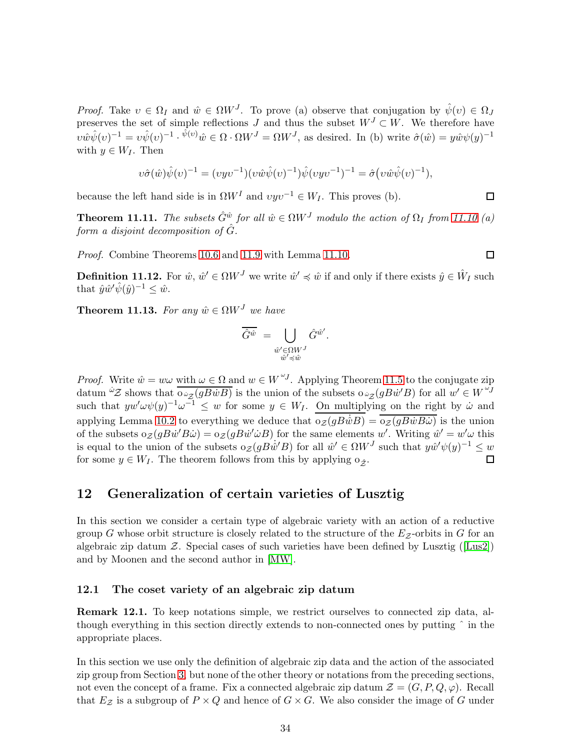*Proof.* Take  $v \in \Omega_I$  and  $\hat{w} \in \Omega W^J$ . To prove (a) observe that conjugation by  $\hat{\psi}(v) \in \Omega_J$ preserves the set of simple reflections J and thus the subset  $W<sup>J</sup> \subset W$ . We therefore have  $v\hat{w}\hat{\psi}(v)^{-1} = v\hat{\psi}(v)^{-1} \cdot \hat{\psi}(v)\hat{w} \in \Omega \cdot \Omega W^J = \Omega W^J$ , as desired. In (b) write  $\hat{\sigma}(\hat{w}) = y\hat{w}\psi(y)^{-1}$ with  $y \in W_I$ . Then

$$
v\hat{\sigma}(\hat{w})\hat{\psi}(v)^{-1} = (vyv^{-1})(v\hat{w}\hat{\psi}(v)^{-1})\hat{\psi}(vyv^{-1})^{-1} = \hat{\sigma}(v\hat{w}\hat{\psi}(v)^{-1}),
$$

because the left hand side is in  $\Omega W^I$  and  $v y v^{-1} \in W_I$ . This proves (b).

**Theorem 11.11.** The subsets  $\hat{G}^{\hat{w}}$  for all  $\hat{w} \in \Omega W^J$  modulo the action of  $\Omega_I$  from 11.10 (a) form a disjoint decomposition of  $\hat{G}$ .

Proof. Combine Theorems [10.6](#page-29-2) and [11.9](#page-32-1) with Lemma 11.10.

**Definition 11.12.** For  $\hat{w}, \hat{w}' \in \Omega W^J$  we write  $\hat{w}' \preccurlyeq \hat{w}$  if and only if there exists  $\hat{y} \in \hat{W}_I$  such that  $\hat{y}\hat{w}'\hat{\psi}(\hat{y})^{-1} \leq \hat{w}$ .

**Theorem 11.13.** For any  $\hat{w} \in \Omega W^J$  we have

$$
\overline{\hat{G}^{\hat{w}}}\ =\bigcup_{\substack{\hat{w}'\in \Omega W^J\\ \hat{w}'\preccurlyeq \hat{w}}}\hat{G}^{\hat{w}'}.
$$

*Proof.* Write  $\hat{w} = w\omega$  with  $\omega \in \Omega$  and  $w \in W^{\omega J}$ . Applying Theorem [11.5](#page-31-1) to the conjugate zip datum  $\omega z$  shows that  $\overline{\omega z(gB\dot{w}B)}$  is the union of the subsets  $\omega z(gB\dot{w}^{\prime}B)$  for all  $w' \in W^{^{[\omega]}}$ such that  $yw'w\psi(y)^{-1}\omega^{-1} \leq w$  for some  $y \in W_I$ . On multiplying on the right by  $\dot{\omega}$  and applying Lemma [10.2](#page-28-1) to everything we deduce that  $o_{\mathcal{Z}}(gB\dot{w}B) = o_{\mathcal{Z}}(gB\dot{w}B\dot{w})$  is the union of the subsets  $o_{\mathcal{Z}}(gB\dot{w}'B\dot{\omega}) = o_{\mathcal{Z}}(gB\dot{w}'\dot{\omega}B)$  for the same elements w'. Writing  $\hat{w}' = w'\omega$  this is equal to the union of the subsets  $o_{\mathcal{Z}}(gB\dot{w}^{\prime}B)$  for all  $\hat{w}^{\prime} \in \Omega W^{J}$  such that  $y\hat{w}^{\prime}\psi(y)^{-1} \leq w$ for some  $y \in W_I$ . The theorem follows from this by applying  $\circ_{\hat{z}}$ .  $\Box$ 

### <span id="page-33-0"></span>12 Generalization of certain varieties of Lusztig

In this section we consider a certain type of algebraic variety with an action of a reductive group G whose orbit structure is closely related to the structure of the  $E_z$ -orbits in G for an algebraic zip datum  $Z$ . Special cases of such varieties have been defined by Lusztig ([\[Lus2\]](#page-40-1)) and by Moonen and the second author in [\[MW\]](#page-40-8).

#### 12.1 The coset variety of an algebraic zip datum

Remark 12.1. To keep notations simple, we restrict ourselves to connected zip data, although everything in this section directly extends to non-connected ones by putting ˆ in the appropriate places.

In this section we use only the definition of algebraic zip data and the action of the associated zip group from Section [3,](#page-9-0) but none of the other theory or notations from the preceding sections, not even the concept of a frame. Fix a connected algebraic zip datum  $\mathcal{Z} = (G, P, Q, \varphi)$ . Recall that  $E_z$  is a subgroup of  $P \times Q$  and hence of  $G \times G$ . We also consider the image of G under

 $\Box$ 

 $\Box$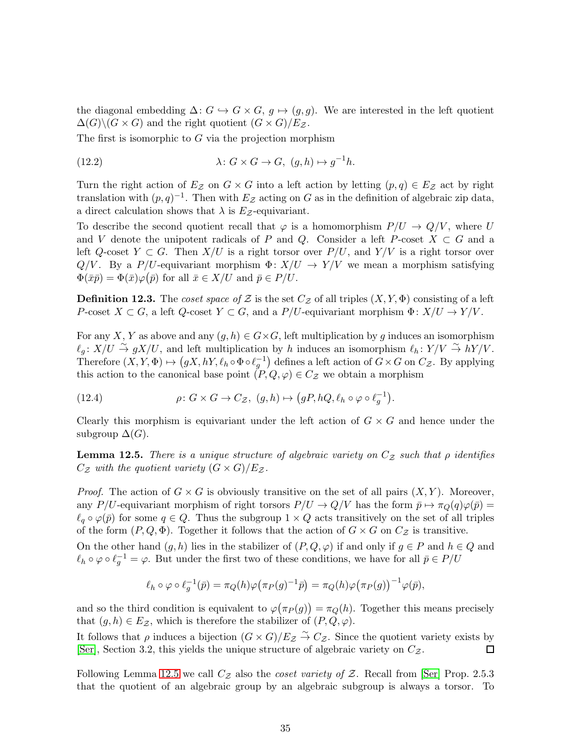the diagonal embedding  $\Delta: G \hookrightarrow G \times G$ ,  $g \mapsto (g, g)$ . We are interested in the left quotient  $\Delta(G)\backslash (G\times G)$  and the right quotient  $(G\times G)/E_{\mathcal{Z}}$ .

The first is isomorphic to  $G$  via the projection morphism

<span id="page-34-1"></span>(12.2) 
$$
\lambda \colon G \times G \to G, \ (g, h) \mapsto g^{-1}h.
$$

Turn the right action of  $E_z$  on  $G \times G$  into a left action by letting  $(p,q) \in E_z$  act by right translation with  $(p, q)^{-1}$ . Then with  $E_z$  acting on G as in the definition of algebraic zip data, a direct calculation shows that  $\lambda$  is  $E_z$ -equivariant.

To describe the second quotient recall that  $\varphi$  is a homomorphism  $P/U \to Q/V$ , where U and V denote the unipotent radicals of P and Q. Consider a left P-coset  $X \subset G$  and a left Q-coset  $Y \subset G$ . Then  $X/U$  is a right torsor over  $P/U$ , and  $Y/V$  is a right torsor over  $Q/V$ . By a P/U-equivariant morphism  $\Phi: X/U \to Y/V$  we mean a morphism satisfying  $\Phi(\bar{x}\bar{p}) = \Phi(\bar{x})\varphi(\bar{p})$  for all  $\bar{x} \in X/U$  and  $\bar{p} \in P/U$ .

**Definition 12.3.** The coset space of Z is the set  $C_z$  of all triples  $(X, Y, \Phi)$  consisting of a left P-coset  $X \subset G$ , a left  $Q$ -coset  $Y \subset G$ , and a  $P/U$ -equivariant morphism  $\Phi: X/U \to Y/V$ .

For any X, Y as above and any  $(g, h) \in G \times G$ , left multiplication by g induces an isomorphism  $\ell_q: X/U \overset{\sim}{\to} gX/U$ , and left multiplication by h induces an isomorphism  $\ell_h: Y/V \overset{\sim}{\to} hY/V$ . Therefore  $(X, Y, \Phi) \mapsto (gX, hY, \ell_h \circ \Phi \circ \ell_g^{-1})$  defines a left action of  $G \times G$  on  $C_{\mathcal{Z}}$ . By applying this action to the canonical base point  $(P, Q, \varphi) \in C_{\mathcal{Z}}$  we obtain a morphism

<span id="page-34-2"></span>(12.4) 
$$
\rho \colon G \times G \to C_{\mathcal{Z}}, \ (g,h) \mapsto \big(gP, hQ, \ell_h \circ \varphi \circ \ell_g^{-1}\big).
$$

Clearly this morphism is equivariant under the left action of  $G \times G$  and hence under the subgroup  $\Delta(G)$ .

<span id="page-34-0"></span>**Lemma 12.5.** There is a unique structure of algebraic variety on  $C_z$  such that  $\rho$  identifies  $C_{\mathcal{Z}}$  with the quotient variety  $(G \times G)/E_{\mathcal{Z}}$ .

*Proof.* The action of  $G \times G$  is obviously transitive on the set of all pairs  $(X, Y)$ . Moreover, any P/U-equivariant morphism of right torsors  $P/U \to Q/V$  has the form  $\bar{p} \to \pi_Q(q)\varphi(\bar{p}) =$  $\ell_q \circ \varphi(\bar{p})$  for some  $q \in Q$ . Thus the subgroup  $1 \times Q$  acts transitively on the set of all triples of the form  $(P, Q, \Phi)$ . Together it follows that the action of  $G \times G$  on  $C_{\mathcal{Z}}$  is transitive. On the other hand  $(g, h)$  lies in the stabilizer of  $(P, Q, \varphi)$  if and only if  $g \in P$  and  $h \in Q$  and  $\ell_h \circ \varphi \circ \ell_g^{-1} = \varphi$ . But under the first two of these conditions, we have for all  $\bar{p} \in P/U$ 

$$
\ell_h \circ \varphi \circ \ell_g^{-1}(\bar{p}) = \pi_Q(h)\varphi(\pi_P(g)^{-1}\bar{p}) = \pi_Q(h)\varphi(\pi_P(g))^{-1}\varphi(\bar{p}),
$$

and so the third condition is equivalent to  $\varphi(\pi_P(g)) = \pi_Q(h)$ . Together this means precisely that  $(g, h) \in E_{\mathcal{Z}}$ , which is therefore the stabilizer of  $(P, Q, \varphi)$ .

It follows that  $\rho$  induces a bijection  $(G \times G)/E_{\mathcal{Z}} \stackrel{\sim}{\to} C_{\mathcal{Z}}$ . Since the quotient variety exists by [\[Ser\]](#page-41-6), Section 3.2, this yields the unique structure of algebraic variety on  $C_{\mathcal{Z}}$ .  $\Box$ 

Following Lemma [12.5](#page-34-0) we call  $C_z$  also the *coset variety of*  $Z$ . Recall from [\[Ser\]](#page-41-6) Prop. 2.5.3 that the quotient of an algebraic group by an algebraic subgroup is always a torsor. To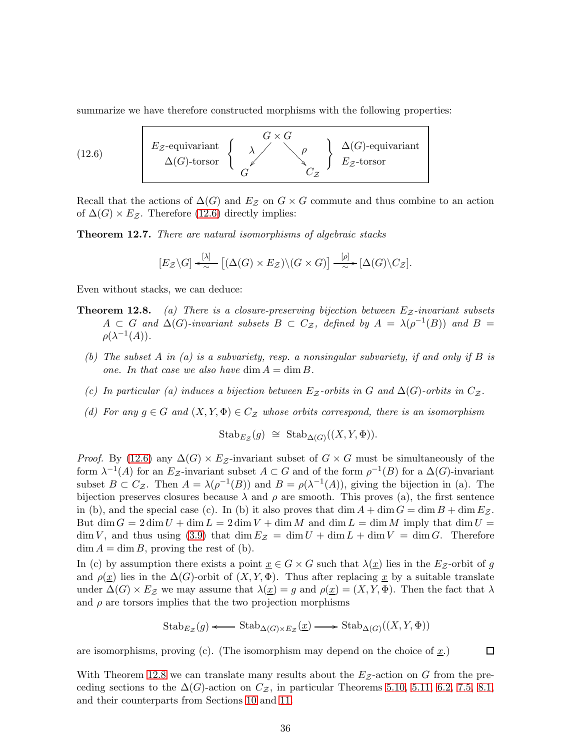<span id="page-35-1"></span>summarize we have therefore constructed morphisms with the following properties:



Recall that the actions of  $\Delta(G)$  and  $E_z$  on  $G \times G$  commute and thus combine to an action of  $\Delta(G) \times E_{\mathcal{Z}}$ . Therefore [\(12.6\)](#page-35-1) directly implies:

<span id="page-35-0"></span>**Theorem 12.7.** There are natural isomorphisms of algebraic stacks

$$
[E_{\mathcal{Z}}\backslash G]\xleftarrow[\lambda]{} [(\Delta(G)\times E_{\mathcal{Z}})\backslash(G\times G)]\xrightarrow[\sim]{[\rho]}[\Delta(G)\backslash C_{\mathcal{Z}}].
$$

Even without stacks, we can deduce:

- **Theorem 12.8.** (a) There is a closure-preserving bijection between  $E_z$ -invariant subsets  $A \subset G$  and  $\Delta(G)$ -invariant subsets  $B \subset C_{\mathcal{Z}}$ , defined by  $A = \lambda(\rho^{-1}(B))$  and  $B =$  $\rho(\lambda^{-1}(A)).$ 
	- (b) The subset A in (a) is a subvariety, resp. a nonsingular subvariety, if and only if B is one. In that case we also have  $\dim A = \dim B$ .
	- (c) In particular (a) induces a bijection between  $E_z$ -orbits in G and  $\Delta(G)$ -orbits in  $C_z$ .
	- (d) For any  $g \in G$  and  $(X, Y, \Phi) \in C_z$  whose orbits correspond, there is an isomorphism

$$
Stab_{E_{\mathcal{Z}}}(g) \cong Stab_{\Delta(G)}((X,Y,\Phi)).
$$

*Proof.* By [\(12.6\)](#page-35-1) any  $\Delta(G) \times E_{\mathcal{Z}}$ -invariant subset of  $G \times G$  must be simultaneously of the form  $\lambda^{-1}(A)$  for an E<sub>Z</sub>-invariant subset  $A \subset G$  and of the form  $\rho^{-1}(B)$  for a  $\Delta(G)$ -invariant subset  $B \subset C_{\mathcal{Z}}$ . Then  $A = \lambda(\rho^{-1}(B))$  and  $B = \rho(\lambda^{-1}(A))$ , giving the bijection in (a). The bijection preserves closures because  $\lambda$  and  $\rho$  are smooth. This proves (a), the first sentence in (b), and the special case (c). In (b) it also proves that  $\dim A + \dim G = \dim B + \dim E_{\mathcal{Z}}$ . But dim  $G = 2 \dim U + \dim L = 2 \dim V + \dim M$  and  $\dim L = \dim M$  imply that  $\dim U =$  $\dim V$ , and thus using [\(3.9\)](#page-10-2) that  $\dim E_{\mathcal{Z}} = \dim U + \dim L + \dim V = \dim G$ . Therefore  $\dim A = \dim B$ , proving the rest of (b).

In (c) by assumption there exists a point  $\underline{x} \in G \times G$  such that  $\lambda(\underline{x})$  lies in the  $E_{\mathcal{Z}}$ -orbit of g and  $\rho(\underline{x})$  lies in the  $\Delta(G)$ -orbit of  $(X, Y, \Phi)$ . Thus after replacing  $\underline{x}$  by a suitable translate under  $\Delta(G) \times E_{\mathcal{Z}}$  we may assume that  $\lambda(\underline{x}) = g$  and  $\rho(\underline{x}) = (X, Y, \Phi)$ . Then the fact that  $\lambda$ and  $\rho$  are torsors implies that the two projection morphisms

$$
\mathrm{Stab}_{E_{\mathcal{Z}}}(g) \longleftarrow \mathrm{Stab}_{\Delta(G) \times E_{\mathcal{Z}}}(\underline{x}) \longrightarrow \mathrm{Stab}_{\Delta(G)}((X, Y, \Phi))
$$

 $\Box$ 

are isomorphisms, proving (c). (The isomorphism may depend on the choice of  $\underline{x}$ .)

With Theorem 12.8 we can translate many results about the  $E_Z$ -action on G from the preceding sections to the  $\Delta(G)$ -action on  $C_{\mathcal{Z}}$ , in particular Theorems [5.10,](#page-17-0) [5.11,](#page-17-1) [6.2,](#page-19-0) [7.5,](#page-22-1) [8.1,](#page-22-4) and their counterparts from Sections [10](#page-28-0) and [11.](#page-30-0)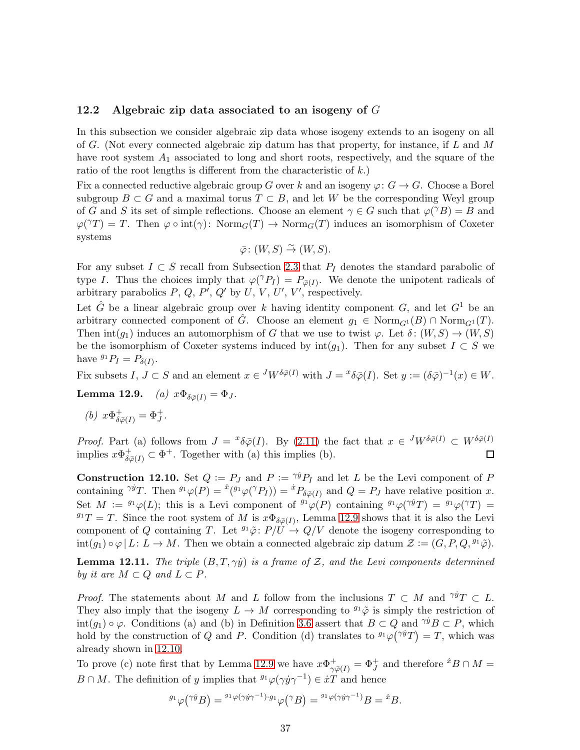#### <span id="page-36-2"></span>12.2 Algebraic zip data associated to an isogeny of  $G$

In this subsection we consider algebraic zip data whose isogeny extends to an isogeny on all of G. (Not every connected algebraic zip datum has that property, for instance, if  $L$  and  $M$ have root system  $A_1$  associated to long and short roots, respectively, and the square of the ratio of the root lengths is different from the characteristic of  $k$ .)

Fix a connected reductive algebraic group G over k and an isogeny  $\varphi: G \to G$ . Choose a Borel subgroup  $B \subset G$  and a maximal torus  $T \subset B$ , and let W be the corresponding Weyl group of G and S its set of simple reflections. Choose an element  $\gamma \in G$  such that  $\varphi(\gamma B) = B$  and  $\varphi(\gamma T) = T$ . Then  $\varphi \circ \text{int}(\gamma) : \text{Norm}_G(T) \to \text{Norm}_G(T)$  induces an isomorphism of Coxeter systems

$$
\bar{\varphi} \colon (W, S) \stackrel{\sim}{\to} (W, S).
$$

For any subset  $I \subset S$  recall from Subsection [2.3](#page-8-0) that  $P_I$  denotes the standard parabolic of type I. Thus the choices imply that  $\varphi(\gamma P_I) = P_{\bar{\varphi}(I)}$ . We denote the unipotent radicals of arbitrary parabolics  $P, Q, P', Q'$  by  $U, V, U', V'$ , respectively.

Let  $\hat{G}$  be a linear algebraic group over k having identity component G, and let  $G^1$  be an arbitrary connected component of  $\tilde{G}$ . Choose an element  $g_1 \in \text{Norm}_{G^1}(B) \cap \text{Norm}_{G^1}(T)$ . Then  $\text{int}(g_1)$  induces an automorphism of G that we use to twist  $\varphi$ . Let  $\delta: (W, S) \to (W, S)$ be the isomorphism of Coxeter systems induced by  $\text{int}(g_1)$ . Then for any subset  $I \subset S$  we have  ${}^{g_1}P_I = P_{\delta(I)}$ .

Fix subsets  $I, J \subset S$  and an element  $x \in {}^{J}W^{\delta\bar{\varphi}(I)}$  with  $J = {}^{x\delta}\bar{\varphi}(I)$ . Set  $y := (\delta\bar{\varphi})^{-1}(x) \in W$ .

Lemma 12.9. (a)  $x\Phi_{\delta\bar{\varphi}}(I) = \Phi_J$ .

(b)  $x\Phi_{\delta\bar{\varphi}(I)}^+ = \Phi_J^+$ .

*Proof.* Part (a) follows from  $J = {}^{x}\delta\bar{\varphi}(I)$ . By [\(2.11\)](#page-7-0) the fact that  $x \in {}^{J}W^{\delta\bar{\varphi}(I)} \subset W^{\delta\bar{\varphi}(I)}$ implies  $x\Phi_{\delta\bar{\varphi}(I)}^{\dagger} \subset \Phi^+$ . Together with (a) this implies (b). 口

<span id="page-36-0"></span>**Construction 12.10.** Set  $Q := P_J$  and  $P := \gamma^{ij} P_J$  and let L be the Levi component of P containing  $\gamma^{ij}T$ . Then  ${}^{g_1}\varphi(P) = {}^{\dot{x}}({}^{g_1}\varphi({}^{\gamma}P_I)) = {}^{\dot{x}}P_{\delta\bar{\varphi}(I)}$  and  $Q = P_J$  have relative position x. Set  $M := {}^{g_1}\varphi(L)$ ; this is a Levi component of  ${}^{g_1}\varphi(P)$  containing  ${}^{g_1}\varphi(\gamma^g T) = {}^{g_1}\varphi(\gamma T) =$  $g_1T = T$ . Since the root system of M is  $x\Phi_{\delta\bar{\varphi}(I)}$ , Lemma 12.9 shows that it is also the Levi component of Q containing T. Let  ${}^{g_1}\tilde{\varphi}: P/U \to Q/V$  denote the isogeny corresponding to  $\text{int}(g_1) \circ \varphi \mid L: L \to M$ . Then we obtain a connected algebraic zip datum  $\mathcal{Z} := (G, P, Q, {}^{g_1} \tilde{\varphi})$ .

<span id="page-36-1"></span>**Lemma 12.11.** The triple  $(B, T, \gamma \dot{y})$  is a frame of  $\mathcal{Z}$ , and the Levi components determined by it are  $M \subset Q$  and  $L \subset P$ .

*Proof.* The statements about M and L follow from the inclusions  $T \subset M$  and  $\gamma^{ij}T \subset L$ . They also imply that the isogeny  $L \to M$  corresponding to  $^{g_1}\tilde{\varphi}$  is simply the restriction of  $\text{int}(g_1) \circ \varphi$ . Conditions (a) and (b) in Definition [3.6](#page-9-1) assert that  $B \subset Q$  and  $\gamma^i B \subset P$ , which hold by the construction of Q and P. Condition (d) translates to  ${}^{g_1}\varphi({}^{\gamma \dot{y}}T) = T$ , which was already shown in [12.10.](#page-36-0)

To prove (c) note first that by Lemma 12.9 we have  $x\Phi_{\gamma\bar{\varphi}(I)}^+ = \Phi_J^+$  and therefore  ${}^{\dot{x}}B \cap M =$  $B \cap M$ . The definition of y implies that  $^{g_1}\varphi(\gamma \dot{y} \gamma^{-1}) \in \dot{x}T$  and hence

$$
{}^{g_1}\varphi(\gamma\dot{y}B) = {}^{g_1}\varphi(\gamma\dot{y}\gamma^{-1}) \cdot g_1 \varphi(\gamma B) = {}^{g_1}\varphi(\gamma\dot{y}\gamma^{-1})B = \dot{x}B.
$$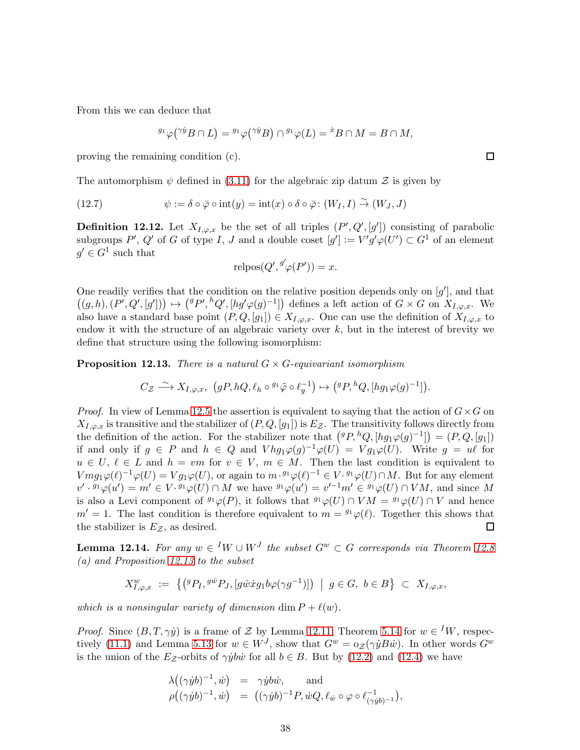From this we can deduce that

$$
{}^{g_1}\varphi({}^{\gamma}{}^{\dot y}B \cap L) = {}^{g_1}\varphi({}^{\gamma}{}^{\dot y}B) \cap {}^{g_1}\varphi(L) = {}^{\dot x}B \cap M = B \cap M,
$$

proving the remaining condition (c).

The automorphism  $\psi$  defined in [\(3.11\)](#page-10-0) for the algebraic zip datum  $\mathcal Z$  is given by

(12.7) 
$$
\psi := \delta \circ \bar{\varphi} \circ \text{int}(y) = \text{int}(x) \circ \delta \circ \bar{\varphi} : (W_I, I) \stackrel{\sim}{\to} (W_J, J)
$$

**Definition 12.12.** Let  $X_{I,\varphi,x}$  be the set of all triples  $(P',Q',[g'])$  consisting of parabolic subgroups P', Q' of G of type I, J and a double coset  $[g'] := V'g'\varphi(U') \subset G^1$  of an element  $g' \in G^1$  such that

$$
relpos(Q', {}^{g'}\varphi(P')) = x.
$$

One readily verifies that the condition on the relative position depends only on  $[g']$ , and that  $((g,h),(P',Q',[g'])\mapsto({}^gP',{}^hQ',[hg'\varphi(g)^{-1}])$  defines a left action of  $G\times G$  on  $X_{I,\varphi,x}$ . We also have a standard base point  $(P,Q,[g_1]) \in X_{I,\varphi,x}$ . One can use the definition of  $X_{I,\varphi,x}$  to endow it with the structure of an algebraic variety over  $k$ , but in the interest of brevity we define that structure using the following isomorphism:

<span id="page-37-0"></span>**Proposition 12.13.** There is a natural  $G \times G$ -equivariant isomorphism

$$
C_{\mathcal{Z}} \stackrel{\sim}{\longrightarrow} X_{I,\varphi,x}, \ \big(gP, hQ, \ell_h \circ {}^{g_1}\tilde{\varphi} \circ \ell_g^{-1}\big) \mapsto \big({}^gP, {}^hQ, [hg_1\varphi(g)^{-1}]\big).
$$

*Proof.* In view of Lemma [12.5](#page-34-0) the assertion is equivalent to saying that the action of  $G \times G$  on  $X_{I,\varphi,x}$  is transitive and the stabilizer of  $(P,Q,[g_1])$  is  $E_{\mathcal{Z}}$ . The transitivity follows directly from the definition of the action. For the stabilizer note that  $({}^{g}P, {}^{h}Q, [hg_1\varphi(g)^{-1}]) = (P, Q, [g_1])$ if and only if  $g \in P$  and  $h \in Q$  and  $V h g_1 \varphi(g)^{-1} \varphi(U) = V g_1 \varphi(U)$ . Write  $g = u\ell$  for  $u \in U, \ell \in L$  and  $h = v m$  for  $v \in V, m \in M$ . Then the last condition is equivalent to  $Vmg_1\varphi(\ell)^{-1}\varphi(U) = Vg_1\varphi(U)$ , or again to  $m \cdot {}^{g_1}\varphi(\ell)^{-1} \in V \cdot {}^{g_1}\varphi(U) \cap M$ . But for any element  $v' \cdot {}^{g_1}\varphi(u') = m' \in V \cdot {}^{g_1}\varphi(U) \cap M$  we have  ${}^{g_1}\varphi(u') = v'^{-1}m' \in {}^{g_1}\varphi(U) \cap VM$ , and since M is also a Levi component of  $^{g_1}\varphi(P)$ , it follows that  $^{g_1}\varphi(U) \cap VM = ^{g_1}\varphi(U) \cap V$  and hence  $m' = 1$ . The last condition is therefore equivalent to  $m = 9 \cdot \varphi(\ell)$ . Together this shows that the stabilizer is  $E_z$ , as desired. □

<span id="page-37-1"></span>**Lemma 12.14.** For any  $w \in {}^I W \cup W^J$  the subset  $G^w \subset G$  corresponds via Theorem 12.8 (a) and Proposition [12.13](#page-37-0) to the subset

$$
X_{I,\varphi,x}^w := \left\{ \left( {}^g P_I, {}^{g\dot w} P_J, [g\dot w \dot x g_1 b\varphi(\gamma g^{-1})] \right) \middle| g \in G, b \in B \right\} \subset X_{I,\varphi,x},
$$

which is a nonsingular variety of dimension dim  $P + \ell(w)$ .

*Proof.* Since  $(B, T, \gamma \dot{y})$  is a frame of Z by Lemma [12.11,](#page-36-1) Theorem [5.14](#page-18-0) for  $w \in {}^I W$ , respec-tively [\(11.1\)](#page-30-2) and Lemma [5.13](#page-18-2) for  $w \in W<sup>J</sup>$ , show that  $G<sup>w</sup> = o<sub>Z</sub>(\gamma y B \dot{w})$ . In other words  $G<sup>w</sup>$ is the union of the Ez-orbits of  $\gamma y \overline{b} \overline{w}$  for all  $b \in B$ . But by [\(12.2\)](#page-34-1) and [\(12.4\)](#page-34-2) we have

$$
\lambda((\gamma \dot{y}b)^{-1}, \dot{w}) = \gamma \dot{y}b\dot{w}, \text{ and}
$$
  

$$
\rho((\gamma \dot{y}b)^{-1}, \dot{w}) = ((\gamma \dot{y}b)^{-1}P, \dot{w}Q, \ell_{\dot{w}} \circ \varphi \circ \ell_{(\gamma \dot{y}b)^{-1}}^{-1}),
$$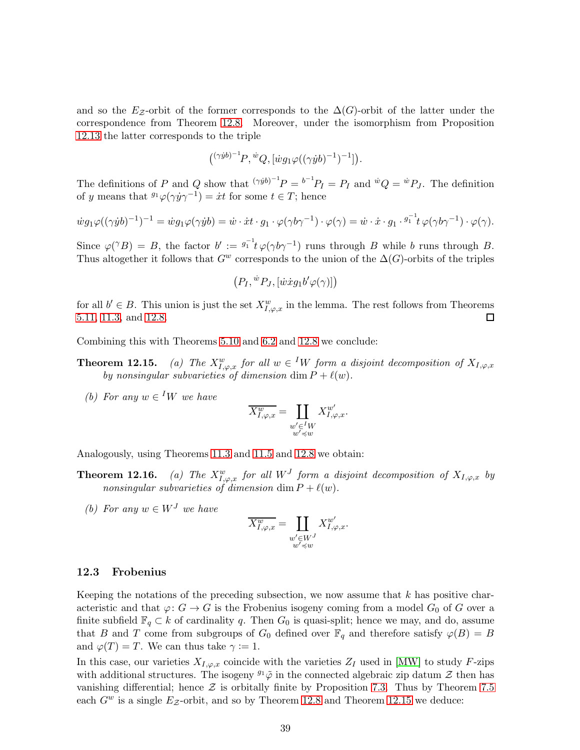and so the  $E_z$ -orbit of the former corresponds to the  $\Delta(G)$ -orbit of the latter under the correspondence from Theorem 12.8. Moreover, under the isomorphism from Proposition [12.13](#page-37-0) the latter corresponds to the triple

$$
({}^{(\gamma yb)^{-1}}P, {^wQ}, [{^wg_1\varphi((\gamma yb)^{-1})^{-1}}]).
$$

The definitions of P and Q show that  $(\gamma^{i} y^{b})^{-1} P = b^{-1} P_I = P_I$  and  $^{i} Q = ^{i} P_J$ . The definition of y means that  ${}^{g_1}\varphi(\gamma y\gamma^{-1}) = \dot{x}t$  for some  $t \in T$ ; hence

$$
\dot{w}g_1\varphi((\gamma\dot{y}b)^{-1})^{-1}=\dot{w}g_1\varphi(\gamma\dot{y}b)=\dot{w}\cdot\dot{x}t\cdot g_1\cdot\varphi(\gamma b\gamma^{-1})\cdot\varphi(\gamma)=\dot{w}\cdot\dot{x}\cdot g_1\cdot\frac{g_1^{-1}}{t}\varphi(\gamma b\gamma^{-1})\cdot\varphi(\gamma).
$$

Since  $\varphi(^{\gamma}B) = B$ , the factor  $b' := {}^{g_1^{-1}}t \varphi(\gamma b \gamma^{-1})$  runs through B while b runs through B. Thus altogether it follows that  $G^w$  corresponds to the union of the  $\Delta(G)$ -orbits of the triples

$$
(P_I, {}^{\dot{w}}P_J, [\dot{w}\dot{x}g_1b'\varphi(\gamma)]\big)
$$

for all  $b' \in B$ . This union is just the set  $X_{I,\varphi,x}^w$  in the lemma. The rest follows from Theorems [5.11,](#page-17-1) [11.3,](#page-31-2) and 12.8.  $\Box$ 

Combining this with Theorems [5.10](#page-17-0) and [6.2](#page-19-0) and 12.8 we conclude:

- **Theorem 12.15.** (a) The  $X_{I,\varphi,x}^w$  for all  $w \in {}^I W$  form a disjoint decomposition of  $X_{I,\varphi,x}$ by nonsingular subvarieties of dimension dim  $P + \ell(w)$ .
	- (b) For any  $w \in {}^I W$  we have

$$
\overline{X^w_{I,\varphi,x}} = \coprod_{\substack{w' \in {^I}W \\ w' \preccurlyeq w}} X^{w'}_{I,\varphi,x}.
$$

Analogously, using Theorems [11.3](#page-31-2) and [11.5](#page-31-1) and 12.8 we obtain:

- **Theorem 12.16.** (a) The  $X_{I,\varphi,x}^w$  for all  $W^J$  form a disjoint decomposition of  $X_{I,\varphi,x}$  by nonsingular subvarieties of dimension dim  $P + \ell(w)$ .
	- (b) For any  $w \in W^J$  we have

$$
\overline{X^w_{I,\varphi,x}}=\coprod_{\substack{w'\in W^J\\ w'\preccurlyeq w}}X^{w'}_{I,\varphi,x}.
$$

#### 12.3 Frobenius

Keeping the notations of the preceding subsection, we now assume that  $k$  has positive characteristic and that  $\varphi: G \to G$  is the Frobenius isogeny coming from a model  $G_0$  of G over a finite subfield  $\mathbb{F}_q \subset k$  of cardinality q. Then  $G_0$  is quasi-split; hence we may, and do, assume that B and T come from subgroups of  $G_0$  defined over  $\mathbb{F}_q$  and therefore satisfy  $\varphi(B) = B$ and  $\varphi(T) = T$ . We can thus take  $\gamma := 1$ .

In this case, our varieties  $X_{I,\varphi,x}$  coincide with the varieties  $Z_I$  used in [\[MW\]](#page-40-8) to study F-zips with additional structures. The isogeny  $\mathfrak{g}_1\tilde{\varphi}$  in the connected algebraic zip datum  $\mathcal Z$  then has vanishing differential; hence  $\mathcal Z$  is orbitally finite by Proposition [7.3.](#page-22-0) Thus by Theorem [7.5](#page-22-1) each  $G^w$  is a single  $E_z$ -orbit, and so by Theorem 12.8 and Theorem 12.15 we deduce: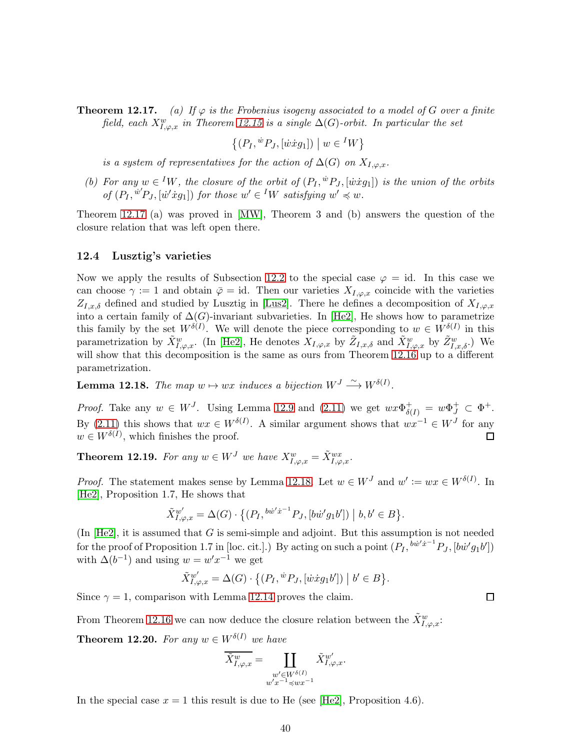**Theorem 12.17.** (a) If  $\varphi$  is the Frobenius isogeny associated to a model of G over a finite field, each  $X_{I,\varphi,x}^w$  in Theorem 12.15 is a single  $\Delta(G)$ -orbit. In particular the set

$$
\{(P_I, {}^{\dot{w}}P_J, [\dot{w}\dot{x}g_1]) \mid w \in {}^I W\}
$$

is a system of representatives for the action of  $\Delta(G)$  on  $X_{I,\omega,x}$ .

(b) For any  $w \in {}^I W$ , the closure of the orbit of  $(P_I, {}^w P_J, [\dot{w} \dot{x} g_1])$  is the union of the orbits of  $(P_I, u'P_J, [u'xg_1])$  for those  $w' \in {}^I W$  satisfying  $w' \preccurlyeq w$ .

Theorem 12.17 (a) was proved in [\[MW\]](#page-40-8), Theorem 3 and (b) answers the question of the closure relation that was left open there.

#### 12.4 Lusztig's varieties

Now we apply the results of Subsection [12.2](#page-36-2) to the special case  $\varphi = id$ . In this case we can choose  $\gamma := 1$  and obtain  $\bar{\varphi} = id$ . Then our varieties  $X_{I,\varphi,x}$  coincide with the varieties  $Z_{I,x,\delta}$  defined and studied by Lusztig in [\[Lus2\]](#page-40-1). There he defines a decomposition of  $X_{I,\varphi,x}$ into a certain family of  $\Delta(G)$ -invariant subvarieties. In [\[He2\]](#page-40-2), He shows how to parametrize this family by the set  $W^{\delta(I)}$ . We will denote the piece corresponding to  $w \in W^{\delta(I)}$  in this parametrization by  $\tilde{X}_{I,\varphi,x}^w$ . (In [\[He2\]](#page-40-2), He denotes  $X_{I,\varphi,x}$  by  $\tilde{Z}_{I,x,\delta}^w$  and  $\tilde{X}_{I,\varphi,x}^w$  by  $\tilde{Z}_{I,x,\delta}^w$ .) We will show that this decomposition is the same as ours from Theorem 12.16 up to a different parametrization.

<span id="page-39-1"></span>**Lemma 12.18.** The map  $w \mapsto wx$  induces a bijection  $W^J \xrightarrow{\sim} W^{\delta(I)}$ .

*Proof.* Take any  $w \in W^J$ . Using Lemma 12.9 and [\(2.11\)](#page-7-0) we get  $wx\Phi_{\delta(I)}^+ = w\Phi_J^+ \subset \Phi^+$ . By [\(2.11\)](#page-7-0) this shows that  $wx \in W^{\delta(I)}$ . A similar argument shows that  $wx^{-1} \in W^J$  for any  $w \in W^{\delta(I)}$ , which finishes the proof.  $\Box$ 

<span id="page-39-0"></span>**Theorem 12.19.** For any  $w \in W^J$  we have  $X^w_{I,\varphi,x} = \tilde{X}^{wx}_{I,\varphi,x}$ .

*Proof.* The statement makes sense by Lemma [12.18.](#page-39-1) Let  $w \in W<sup>J</sup>$  and  $w' := wx \in W^{\delta(I)}$ . In [\[He2\]](#page-40-2), Proposition 1.7, He shows that

$$
\tilde{X}^{w'}_{I,\varphi,x} = \Delta(G) \cdot \left\{ (P_I, {}^{b\dot{w}'\dot{x}^{-1}} P_J, [b\dot{w}' g_1 b']) \bigm| b, b' \in B \right\}.
$$

(In  $[He2]$ , it is assumed that G is semi-simple and adjoint. But this assumption is not needed for the proof of Proposition 1.7 in [loc. cit.].) By acting on such a point  $(P_I, {}^{b\dot{w}'\dot{x}^{-1}}P_J, [b\dot{w}'g_1b'])$ with  $\Delta(b^{-1})$  and using  $w = w'x^{-1}$  we get

 $\tilde{X}^{w'}_{I,\varphi,x} = \Delta(G) \cdot \{(P_I, {^w}P_J, [{\dot{w}}\dot{x}g_1 b']) \mid b' \in B\}.$ 

 $\Box$ 

Since  $\gamma = 1$ , comparison with Lemma [12.14](#page-37-1) proves the claim.

From Theorem 12.16 we can now deduce the closure relation between the  $\tilde{X}_{I,\varphi,x}^w$ :

**Theorem 12.20.** For any  $w \in W^{\delta(I)}$  we have

$$
\widetilde{X}^w_{I,\varphi,x} = \coprod_{\substack{w' \in W^{\delta(I)} \\ w'x^{-1} \preccurlyeq wx^{-1}}} \widetilde{X}^{w'}_{I,\varphi,x}.
$$

In the special case  $x = 1$  this result is due to He (see [\[He2\]](#page-40-2), Proposition 4.6).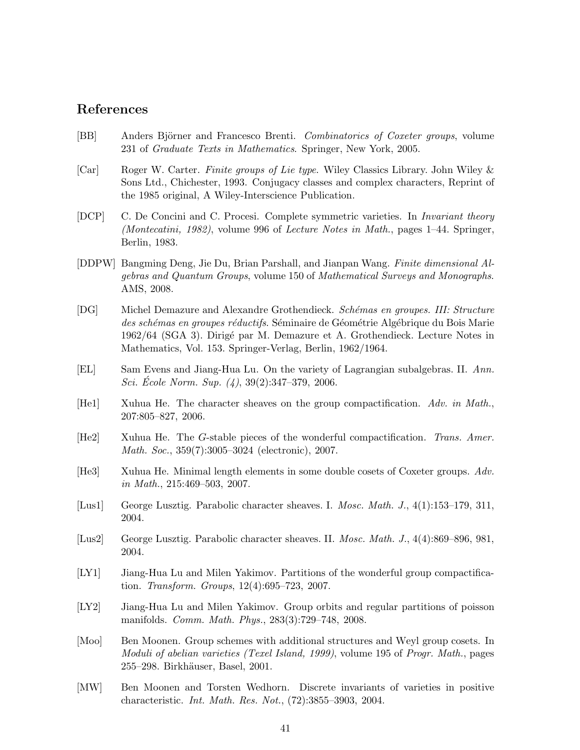## References

- <span id="page-40-12"></span>[BB] Anders Björner and Francesco Brenti. Combinatorics of Coxeter groups, volume 231 of Graduate Texts in Mathematics. Springer, New York, 2005.
- <span id="page-40-13"></span>[Car] Roger W. Carter. Finite groups of Lie type. Wiley Classics Library. John Wiley & Sons Ltd., Chichester, 1993. Conjugacy classes and complex characters, Reprint of the 1985 original, A Wiley-Interscience Publication.
- <span id="page-40-5"></span>[DCP] C. De Concini and C. Procesi. Complete symmetric varieties. In Invariant theory (Montecatini, 1982), volume 996 of Lecture Notes in Math., pages 1–44. Springer, Berlin, 1983.
- <span id="page-40-11"></span>[DDPW] Bangming Deng, Jie Du, Brian Parshall, and Jianpan Wang. Finite dimensional Algebras and Quantum Groups, volume 150 of Mathematical Surveys and Monographs. AMS, 2008.
- <span id="page-40-14"></span>[DG] Michel Demazure and Alexandre Grothendieck. Schémas en groupes. III: Structure des schémas en groupes réductifs. Séminaire de Géométrie Algébrique du Bois Marie 1962/64 (SGA 3). Dirigé par M. Demazure et A. Grothendieck. Lecture Notes in Mathematics, Vol. 153. Springer-Verlag, Berlin, 1962/1964.
- <span id="page-40-7"></span>[EL] Sam Evens and Jiang-Hua Lu. On the variety of Lagrangian subalgebras. II. Ann. Sci. École Norm. Sup.  $(4)$ ,  $39(2):347-379$ , 2006.
- <span id="page-40-3"></span>[He1] Xuhua He. The character sheaves on the group compactification. Adv. in Math., 207:805–827, 2006.
- <span id="page-40-2"></span>[He2] Xuhua He. The G-stable pieces of the wonderful compactification. Trans. Amer. Math. Soc., 359(7):3005–3024 (electronic), 2007.
- <span id="page-40-4"></span>[He3] Xuhua He. Minimal length elements in some double cosets of Coxeter groups. Adv. in Math., 215:469–503, 2007.
- <span id="page-40-0"></span>[Lus1] George Lusztig. Parabolic character sheaves. I. Mosc. Math. J., 4(1):153–179, 311, 2004.
- <span id="page-40-1"></span>[Lus2] George Lusztig. Parabolic character sheaves. II. Mosc. Math. J., 4(4):869–896, 981, 2004.
- <span id="page-40-10"></span>[LY1] Jiang-Hua Lu and Milen Yakimov. Partitions of the wonderful group compactification. Transform. Groups, 12(4):695–723, 2007.
- <span id="page-40-6"></span>[LY2] Jiang-Hua Lu and Milen Yakimov. Group orbits and regular partitions of poisson manifolds. Comm. Math. Phys., 283(3):729–748, 2008.
- <span id="page-40-9"></span>[Moo] Ben Moonen. Group schemes with additional structures and Weyl group cosets. In Moduli of abelian varieties (Texel Island, 1999), volume 195 of Progr. Math., pages 255–298. Birkhäuser, Basel, 2001.
- <span id="page-40-8"></span>[MW] Ben Moonen and Torsten Wedhorn. Discrete invariants of varieties in positive characteristic. Int. Math. Res. Not., (72):3855–3903, 2004.